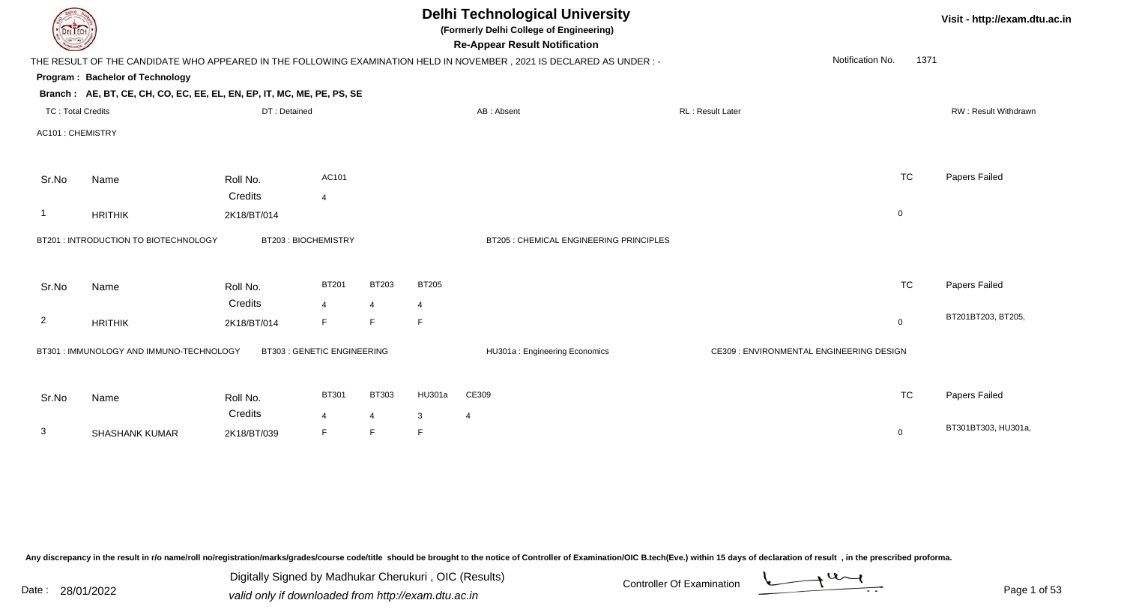|                          | <b>Delhi Technological University</b><br>(Formerly Delhi College of Engineering)<br><b>DELIECH</b><br><b>Re-Appear Result Notification</b> |                                   |                |                     |              |                                                                                                                      |                                          |                          |                      |  |  |  |
|--------------------------|--------------------------------------------------------------------------------------------------------------------------------------------|-----------------------------------|----------------|---------------------|--------------|----------------------------------------------------------------------------------------------------------------------|------------------------------------------|--------------------------|----------------------|--|--|--|
|                          |                                                                                                                                            |                                   |                |                     |              | THE RESULT OF THE CANDIDATE WHO APPEARED IN THE FOLLOWING EXAMINATION HELD IN NOVEMBER, 2021 IS DECLARED AS UNDER :- |                                          | Notification No.<br>1371 |                      |  |  |  |
|                          | Program: Bachelor of Technology                                                                                                            |                                   |                |                     |              |                                                                                                                      |                                          |                          |                      |  |  |  |
|                          | Branch: AE, BT, CE, CH, CO, EC, EE, EL, EN, EP, IT, MC, ME, PE, PS, SE                                                                     |                                   |                |                     |              |                                                                                                                      |                                          |                          |                      |  |  |  |
| <b>TC: Total Credits</b> |                                                                                                                                            | DT: Detained                      |                |                     |              | AB: Absent                                                                                                           | RL: Result Later                         |                          | RW: Result Withdrawn |  |  |  |
| AC101: CHEMISTRY         |                                                                                                                                            |                                   |                |                     |              |                                                                                                                      |                                          |                          |                      |  |  |  |
| Sr.No                    | Name                                                                                                                                       | Roll No.                          | AC101          |                     |              |                                                                                                                      |                                          | <b>TC</b>                | Papers Failed        |  |  |  |
|                          |                                                                                                                                            | Credits                           | $\overline{4}$ |                     |              |                                                                                                                      |                                          |                          |                      |  |  |  |
|                          | <b>HRITHIK</b>                                                                                                                             | 2K18/BT/014                       |                |                     |              |                                                                                                                      |                                          | $\mathbf 0$              |                      |  |  |  |
|                          | BT201 : INTRODUCTION TO BIOTECHNOLOGY                                                                                                      | BT203: BIOCHEMISTRY               |                |                     |              | BT205 : CHEMICAL ENGINEERING PRINCIPLES                                                                              |                                          |                          |                      |  |  |  |
| Sr.No                    | Name                                                                                                                                       | Roll No.                          | <b>BT201</b>   | BT203               | <b>BT205</b> |                                                                                                                      |                                          | <b>TC</b>                | Papers Failed        |  |  |  |
|                          |                                                                                                                                            | Credits                           | $\overline{4}$ | $\overline{4}$      | 4            |                                                                                                                      |                                          |                          |                      |  |  |  |
| $\overline{2}$           | <b>HRITHIK</b>                                                                                                                             | 2K18/BT/014                       | F              | F.                  | $\mathsf F$  |                                                                                                                      |                                          | $\overline{0}$           | BT201BT203, BT205,   |  |  |  |
|                          | BT301 : IMMUNOLOGY AND IMMUNO-TECHNOLOGY                                                                                                   | <b>BT303: GENETIC ENGINEERING</b> |                |                     |              | HU301a: Engineering Economics                                                                                        | CE309 : ENVIRONMENTAL ENGINEERING DESIGN |                          |                      |  |  |  |
| Sr.No                    | Name                                                                                                                                       | Roll No.                          | <b>BT301</b>   | <b>BT303</b>        | HU301a       | CE309                                                                                                                |                                          | <b>TC</b>                | Papers Failed        |  |  |  |
| 3                        | <b>SHASHANK KUMAR</b>                                                                                                                      | Credits<br>2K18/BT/039            | 4<br>F         | $\overline{4}$<br>F | 3<br>F       | 4                                                                                                                    |                                          | $\mathbf 0$              | BT301BT303, HU301a,  |  |  |  |
|                          |                                                                                                                                            |                                   |                |                     |              |                                                                                                                      |                                          |                          |                      |  |  |  |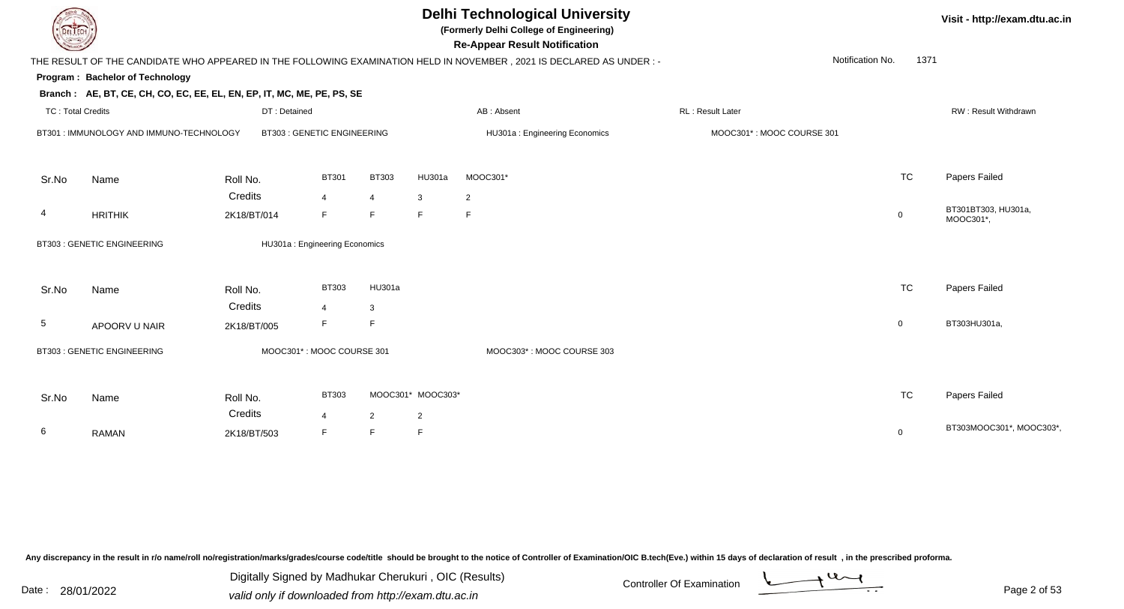**(Formerly Delhi College of Engineering)**

**Re-Appear Result Notification**

| $\sim$                   |                                                                        |              |                                   |                |                   | <b>ING-Appear INGSUIL INDUITUALION</b>                                                                               |                           |                          |                                  |
|--------------------------|------------------------------------------------------------------------|--------------|-----------------------------------|----------------|-------------------|----------------------------------------------------------------------------------------------------------------------|---------------------------|--------------------------|----------------------------------|
|                          |                                                                        |              |                                   |                |                   | THE RESULT OF THE CANDIDATE WHO APPEARED IN THE FOLLOWING EXAMINATION HELD IN NOVEMBER, 2021 IS DECLARED AS UNDER :- |                           | 1371<br>Notification No. |                                  |
|                          | Program: Bachelor of Technology                                        |              |                                   |                |                   |                                                                                                                      |                           |                          |                                  |
|                          | Branch: AE, BT, CE, CH, CO, EC, EE, EL, EN, EP, IT, MC, ME, PE, PS, SE |              |                                   |                |                   |                                                                                                                      |                           |                          |                                  |
| <b>TC: Total Credits</b> |                                                                        | DT: Detained |                                   |                |                   | AB: Absent                                                                                                           | <b>RL: Result Later</b>   |                          | RW: Result Withdrawn             |
|                          | BT301 : IMMUNOLOGY AND IMMUNO-TECHNOLOGY                               |              | <b>BT303: GENETIC ENGINEERING</b> |                |                   | HU301a: Engineering Economics                                                                                        | MOOC301*: MOOC COURSE 301 |                          |                                  |
| Sr.No                    | Name                                                                   | Roll No.     | <b>BT301</b>                      | <b>BT303</b>   | HU301a            | MOOC301*                                                                                                             |                           | <b>TC</b>                | Papers Failed                    |
|                          |                                                                        | Credits      | $\overline{4}$                    | $\overline{4}$ | $\mathbf{3}$      | $\overline{2}$                                                                                                       |                           |                          |                                  |
| $\overline{4}$           | <b>HRITHIK</b>                                                         | 2K18/BT/014  | F                                 | F              | F                 | F                                                                                                                    |                           | $\mathbf 0$              | BT301BT303, HU301a,<br>MOOC301*, |
|                          | <b>BT303: GENETIC ENGINEERING</b>                                      |              | HU301a: Engineering Economics     |                |                   |                                                                                                                      |                           |                          |                                  |
| Sr.No                    | Name                                                                   | Roll No.     | <b>BT303</b>                      | HU301a         |                   |                                                                                                                      |                           | <b>TC</b>                | Papers Failed                    |
|                          |                                                                        | Credits      | $\overline{4}$                    | 3              |                   |                                                                                                                      |                           |                          |                                  |
| 5                        | APOORV U NAIR                                                          | 2K18/BT/005  | F.                                | F              |                   |                                                                                                                      |                           | $\mathbf 0$              | BT303HU301a,                     |
|                          | BT303 : GENETIC ENGINEERING                                            |              | MOOC301*: MOOC COURSE 301         |                |                   | MOOC303*: MOOC COURSE 303                                                                                            |                           |                          |                                  |
| Sr.No                    | Name                                                                   | Roll No.     | <b>BT303</b>                      |                | MOOC301* MOOC303* |                                                                                                                      |                           | <b>TC</b>                | Papers Failed                    |
|                          |                                                                        | Credits      | $\overline{4}$                    | 2              | $\overline{2}$    |                                                                                                                      |                           |                          |                                  |
| 6                        | <b>RAMAN</b>                                                           | 2K18/BT/503  | F.                                | F              | $\mathsf F$       |                                                                                                                      |                           | $\mathbf 0$              | BT303MOOC301*, MOOC303*          |
|                          |                                                                        |              |                                   |                |                   |                                                                                                                      |                           |                          |                                  |

Any discrepancy in the result in r/o name/roll no/registration/marks/grades/course code/title should be brought to the notice of Controller of Examination/OIC B.tech(Eve.) within 15 days of declaration of result, in the pr

Date : 28/01/2022 Valid only if downloaded from http://exam.dtu.ac.in<br>valid only if downloaded from http://exam.dtu.ac.in Digitally Signed by Madhukar Cherukuri , OIC (Results)

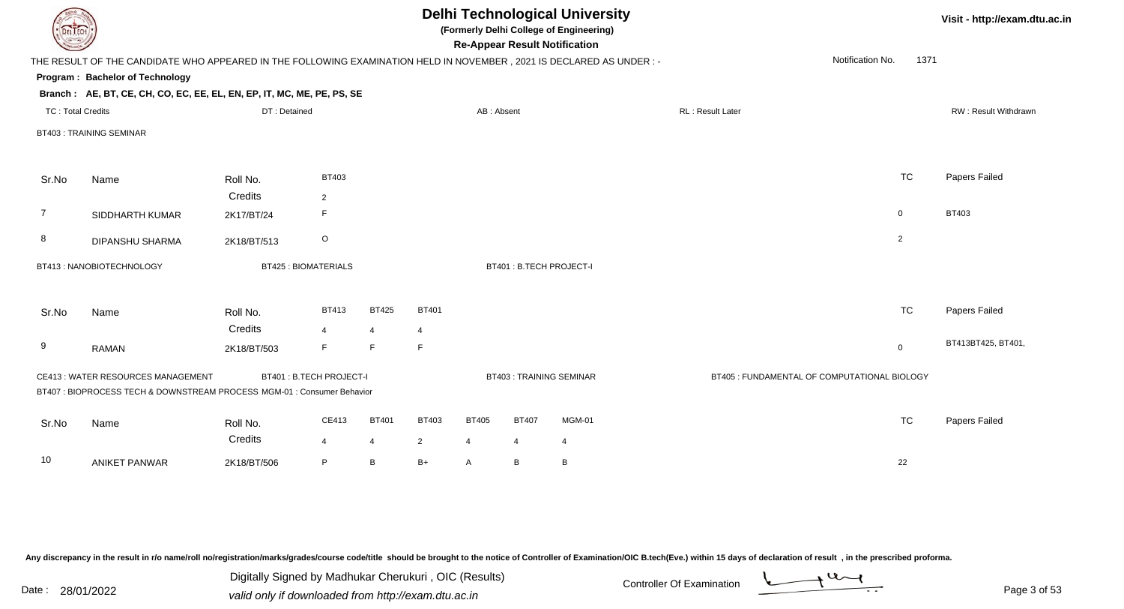| DEL TECH                 |                                                                                                                      |                        |                            |                     |                                |                   |                                | <b>Delhi Technological University</b><br>(Formerly Delhi College of Engineering)<br><b>Re-Appear Result Notification</b> |                  |                                              |              | Visit - http://exam.dtu.ac.in |  |
|--------------------------|----------------------------------------------------------------------------------------------------------------------|------------------------|----------------------------|---------------------|--------------------------------|-------------------|--------------------------------|--------------------------------------------------------------------------------------------------------------------------|------------------|----------------------------------------------|--------------|-------------------------------|--|
|                          | THE RESULT OF THE CANDIDATE WHO APPEARED IN THE FOLLOWING EXAMINATION HELD IN NOVEMBER, 2021 IS DECLARED AS UNDER :- |                        |                            |                     |                                |                   |                                |                                                                                                                          |                  | Notification No.                             | 1371         |                               |  |
|                          | Program: Bachelor of Technology                                                                                      |                        |                            |                     |                                |                   |                                |                                                                                                                          |                  |                                              |              |                               |  |
|                          | Branch: AE, BT, CE, CH, CO, EC, EE, EL, EN, EP, IT, MC, ME, PE, PS, SE                                               |                        |                            |                     |                                |                   |                                |                                                                                                                          |                  |                                              |              |                               |  |
| <b>TC: Total Credits</b> |                                                                                                                      | DT: Detained           |                            |                     |                                | AB: Absent        |                                |                                                                                                                          | RL: Result Later |                                              |              | RW: Result Withdrawn          |  |
|                          | <b>BT403: TRAINING SEMINAR</b>                                                                                       |                        |                            |                     |                                |                   |                                |                                                                                                                          |                  |                                              |              |                               |  |
| Sr.No                    | Name                                                                                                                 | Roll No.               | <b>BT403</b>               |                     |                                |                   |                                |                                                                                                                          |                  | <b>TC</b>                                    |              | Papers Failed                 |  |
| 7                        | SIDDHARTH KUMAR                                                                                                      | Credits<br>2K17/BT/24  | $\overline{2}$<br>E        |                     |                                |                   |                                |                                                                                                                          |                  | $\mathbf 0$                                  | <b>BT403</b> |                               |  |
| 8                        | DIPANSHU SHARMA                                                                                                      | 2K18/BT/513            | $\circ$                    |                     |                                |                   |                                |                                                                                                                          |                  | $\overline{2}$                               |              |                               |  |
|                          | BT413: NANOBIOTECHNOLOGY                                                                                             |                        | <b>BT425: BIOMATERIALS</b> |                     |                                |                   | BT401: B.TECH PROJECT-I        |                                                                                                                          |                  |                                              |              |                               |  |
| Sr.No                    | Name                                                                                                                 | Roll No.               | <b>BT413</b>               | <b>BT425</b>        | <b>BT401</b>                   |                   |                                |                                                                                                                          |                  | <b>TC</b>                                    |              | Papers Failed                 |  |
| 9                        | <b>RAMAN</b>                                                                                                         | Credits<br>2K18/BT/503 | $\overline{4}$<br>F        | $\overline{4}$<br>F | 4<br>F                         |                   |                                |                                                                                                                          |                  | $\mathbf 0$                                  |              | BT413BT425, BT401,            |  |
|                          | <b>CE413: WATER RESOURCES MANAGEMENT</b><br>BT407 : BIOPROCESS TECH & DOWNSTREAM PROCESS MGM-01 : Consumer Behavior  |                        | BT401 : B.TECH PROJECT-I   |                     |                                |                   |                                | <b>BT403: TRAINING SEMINAR</b>                                                                                           |                  | BT405 : FUNDAMENTAL OF COMPUTATIONAL BIOLOGY |              |                               |  |
| Sr.No                    | Name                                                                                                                 | Roll No.<br>Credits    | CE413<br>$\overline{4}$    | <b>BT401</b><br>4   | <b>BT403</b><br>$\overline{2}$ | <b>BT405</b><br>4 | <b>BT407</b><br>$\overline{4}$ | MGM-01<br>$\overline{4}$                                                                                                 |                  | <b>TC</b>                                    |              | Papers Failed                 |  |
| 10                       | <b>ANIKET PANWAR</b>                                                                                                 | 2K18/BT/506            | P                          | B                   | $B+$                           | $\mathsf{A}$      | B                              | B                                                                                                                        |                  | 22                                           |              |                               |  |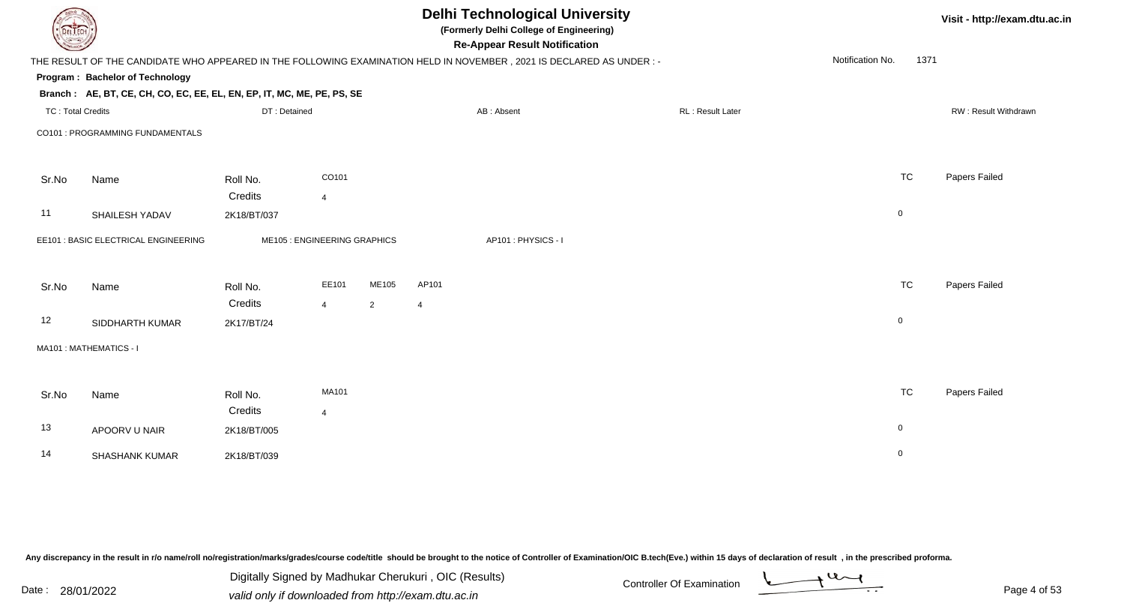| <b>DELTECH</b>           |                                                                                                                      |              |                              |                | <b>Delhi Technological University</b><br>(Formerly Delhi College of Engineering)<br><b>Re-Appear Result Notification</b> |                    |  |                  |                  |           | Visit - http://exam.dtu.ac.in |
|--------------------------|----------------------------------------------------------------------------------------------------------------------|--------------|------------------------------|----------------|--------------------------------------------------------------------------------------------------------------------------|--------------------|--|------------------|------------------|-----------|-------------------------------|
|                          | THE RESULT OF THE CANDIDATE WHO APPEARED IN THE FOLLOWING EXAMINATION HELD IN NOVEMBER, 2021 IS DECLARED AS UNDER :- |              |                              |                |                                                                                                                          |                    |  |                  | Notification No. | 1371      |                               |
|                          | Program: Bachelor of Technology                                                                                      |              |                              |                |                                                                                                                          |                    |  |                  |                  |           |                               |
|                          | Branch: AE, BT, CE, CH, CO, EC, EE, EL, EN, EP, IT, MC, ME, PE, PS, SE                                               |              |                              |                |                                                                                                                          |                    |  |                  |                  |           |                               |
| <b>TC: Total Credits</b> |                                                                                                                      | DT: Detained |                              |                |                                                                                                                          | AB: Absent         |  | RL: Result Later |                  |           | RW: Result Withdrawn          |
|                          | CO101 : PROGRAMMING FUNDAMENTALS                                                                                     |              |                              |                |                                                                                                                          |                    |  |                  |                  |           |                               |
| Sr.No                    | Name                                                                                                                 | Roll No.     | CO101                        |                |                                                                                                                          |                    |  |                  |                  | <b>TC</b> | Papers Failed                 |
|                          |                                                                                                                      | Credits      | $\overline{4}$               |                |                                                                                                                          |                    |  |                  |                  |           |                               |
| 11                       | SHAILESH YADAV                                                                                                       | 2K18/BT/037  |                              |                |                                                                                                                          |                    |  |                  | $\mathbf 0$      |           |                               |
|                          | EE101 : BASIC ELECTRICAL ENGINEERING                                                                                 |              | ME105 : ENGINEERING GRAPHICS |                |                                                                                                                          | AP101: PHYSICS - I |  |                  |                  |           |                               |
| Sr.No                    | Name                                                                                                                 | Roll No.     | EE101                        | ME105          | AP101                                                                                                                    |                    |  |                  |                  | <b>TC</b> | Papers Failed                 |
|                          |                                                                                                                      | Credits      | $\overline{4}$               | $\overline{2}$ | $\overline{4}$                                                                                                           |                    |  |                  |                  |           |                               |
| 12                       | SIDDHARTH KUMAR                                                                                                      | 2K17/BT/24   |                              |                |                                                                                                                          |                    |  |                  | $\overline{0}$   |           |                               |
|                          | MA101 : MATHEMATICS - I                                                                                              |              |                              |                |                                                                                                                          |                    |  |                  |                  |           |                               |
| Sr.No                    | Name                                                                                                                 | Roll No.     | <b>MA101</b>                 |                |                                                                                                                          |                    |  |                  |                  | <b>TC</b> | Papers Failed                 |
|                          |                                                                                                                      | Credits      | $\overline{4}$               |                |                                                                                                                          |                    |  |                  |                  |           |                               |
| 13                       | APOORV U NAIR                                                                                                        | 2K18/BT/005  |                              |                |                                                                                                                          |                    |  |                  | $\overline{0}$   |           |                               |
| 14                       | <b>SHASHANK KUMAR</b>                                                                                                | 2K18/BT/039  |                              |                |                                                                                                                          |                    |  |                  | $\overline{0}$   |           |                               |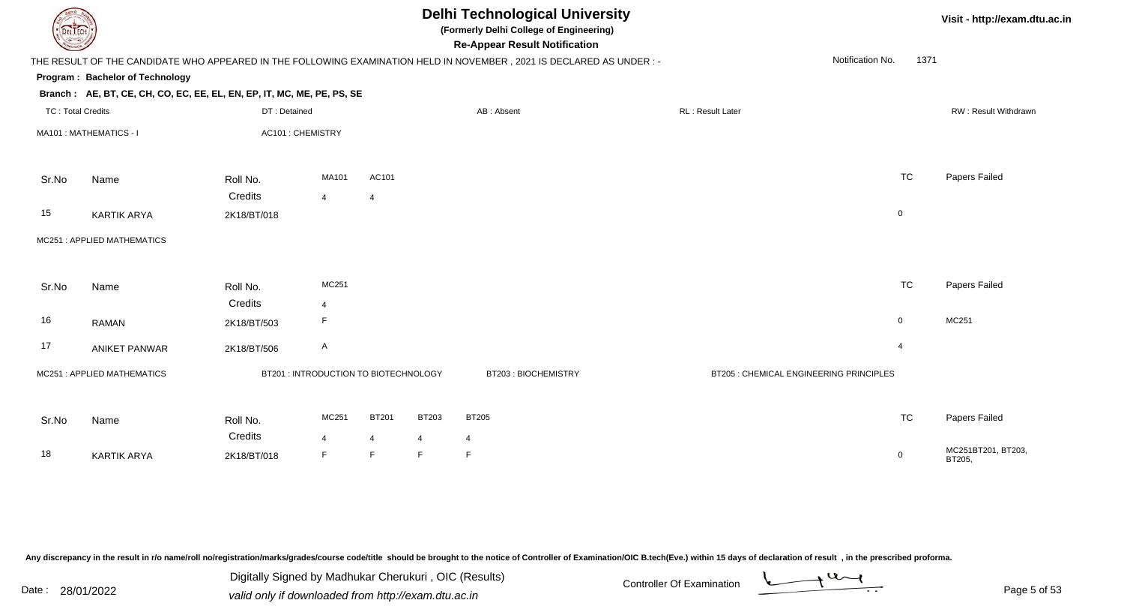| DEL I ECH                |                                                                        |                   |                                       |                |                | <b>Delhi Technological University</b><br>(Formerly Delhi College of Engineering)<br><b>Re-Appear Result Notification</b> |                                         |                          | Visit - http://exam.dtu.ac.in |
|--------------------------|------------------------------------------------------------------------|-------------------|---------------------------------------|----------------|----------------|--------------------------------------------------------------------------------------------------------------------------|-----------------------------------------|--------------------------|-------------------------------|
|                          |                                                                        |                   |                                       |                |                | THE RESULT OF THE CANDIDATE WHO APPEARED IN THE FOLLOWING EXAMINATION HELD IN NOVEMBER, 2021 IS DECLARED AS UNDER :-     |                                         | Notification No.<br>1371 |                               |
|                          | Program: Bachelor of Technology                                        |                   |                                       |                |                |                                                                                                                          |                                         |                          |                               |
|                          | Branch: AE, BT, CE, CH, CO, EC, EE, EL, EN, EP, IT, MC, ME, PE, PS, SE |                   |                                       |                |                |                                                                                                                          |                                         |                          |                               |
| <b>TC: Total Credits</b> |                                                                        | DT: Detained      |                                       |                |                | AB: Absent                                                                                                               | RL: Result Later                        |                          | RW: Result Withdrawn          |
|                          | MA101 : MATHEMATICS - I                                                | AC101 : CHEMISTRY |                                       |                |                |                                                                                                                          |                                         |                          |                               |
| Sr.No                    | Name                                                                   | Roll No.          | MA101                                 | AC101          |                |                                                                                                                          |                                         | <b>TC</b>                | Papers Failed                 |
|                          |                                                                        | Credits           | $\overline{4}$                        | $\overline{4}$ |                |                                                                                                                          |                                         |                          |                               |
| 15                       | <b>KARTIK ARYA</b>                                                     | 2K18/BT/018       |                                       |                |                |                                                                                                                          |                                         | $\mathsf 0$              |                               |
|                          | MC251: APPLIED MATHEMATICS                                             |                   |                                       |                |                |                                                                                                                          |                                         |                          |                               |
| Sr.No                    | Name                                                                   | Roll No.          | MC251                                 |                |                |                                                                                                                          |                                         | <b>TC</b>                | Papers Failed                 |
|                          |                                                                        | Credits           | $\overline{4}$                        |                |                |                                                                                                                          |                                         |                          |                               |
| 16                       | <b>RAMAN</b>                                                           | 2K18/BT/503       | F                                     |                |                |                                                                                                                          |                                         | $\mathbf 0$              | MC251                         |
| 17                       | <b>ANIKET PANWAR</b>                                                   | 2K18/BT/506       | $\mathsf{A}$                          |                |                |                                                                                                                          |                                         | $\overline{4}$           |                               |
|                          | MC251: APPLIED MATHEMATICS                                             |                   | BT201 : INTRODUCTION TO BIOTECHNOLOGY |                |                | BT203: BIOCHEMISTRY                                                                                                      | BT205 : CHEMICAL ENGINEERING PRINCIPLES |                          |                               |
| Sr.No                    | Name                                                                   | Roll No.          | MC251                                 | <b>BT201</b>   | <b>BT203</b>   | <b>BT205</b>                                                                                                             |                                         | <b>TC</b>                | Papers Failed                 |
|                          |                                                                        | Credits           | $\overline{4}$                        | $\overline{4}$ | $\overline{4}$ | $\overline{4}$                                                                                                           |                                         |                          |                               |
| 18                       | <b>KARTIK ARYA</b>                                                     | 2K18/BT/018       | F                                     | $\mathsf F$    | F              | $\mathsf F$                                                                                                              |                                         | $\overline{0}$           | MC251BT201, BT203,<br>BT205,  |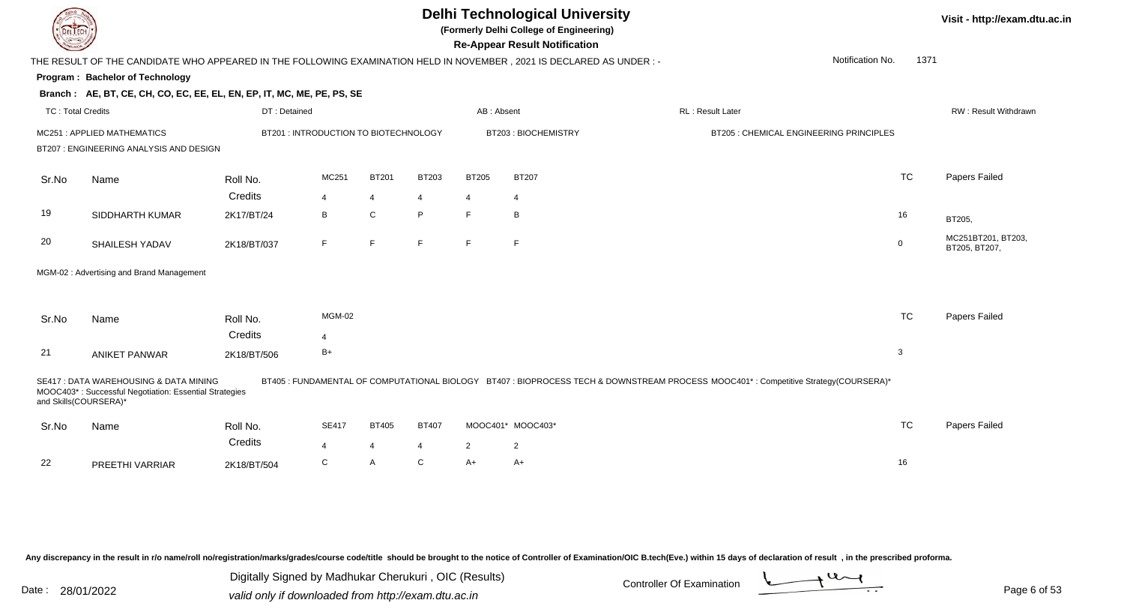**(Formerly Delhi College of Engineering)**

**Re-Appear Result Notification**

**Visit - http://exam.dtu.ac.in**

| <b>Courses A</b>         |                                                                                                                        |              |                                       |                |              |                | <b>Re-Appear Result Notification</b> |                                                                                                                                      |                                         |             |                                     |
|--------------------------|------------------------------------------------------------------------------------------------------------------------|--------------|---------------------------------------|----------------|--------------|----------------|--------------------------------------|--------------------------------------------------------------------------------------------------------------------------------------|-----------------------------------------|-------------|-------------------------------------|
|                          | THE RESULT OF THE CANDIDATE WHO APPEARED IN THE FOLLOWING EXAMINATION HELD IN NOVEMBER , 2021 IS DECLARED AS UNDER : - |              |                                       |                |              |                |                                      |                                                                                                                                      | Notification No.                        | 1371        |                                     |
|                          | Program: Bachelor of Technology                                                                                        |              |                                       |                |              |                |                                      |                                                                                                                                      |                                         |             |                                     |
|                          | Branch: AE, BT, CE, CH, CO, EC, EE, EL, EN, EP, IT, MC, ME, PE, PS, SE                                                 |              |                                       |                |              |                |                                      |                                                                                                                                      |                                         |             |                                     |
| <b>TC: Total Credits</b> |                                                                                                                        | DT: Detained |                                       |                |              | AB: Absent     |                                      | <b>RL: Result Later</b>                                                                                                              |                                         |             | RW: Result Withdrawn                |
|                          | MC251: APPLIED MATHEMATICS                                                                                             |              | BT201 : INTRODUCTION TO BIOTECHNOLOGY |                |              |                | BT203: BIOCHEMISTRY                  |                                                                                                                                      | BT205 : CHEMICAL ENGINEERING PRINCIPLES |             |                                     |
|                          | BT207 : ENGINEERING ANALYSIS AND DESIGN                                                                                |              |                                       |                |              |                |                                      |                                                                                                                                      |                                         |             |                                     |
| Sr.No                    | Name                                                                                                                   | Roll No.     | MC251                                 | <b>BT201</b>   | <b>BT203</b> | <b>BT205</b>   | <b>BT207</b>                         |                                                                                                                                      |                                         | <b>TC</b>   | Papers Failed                       |
|                          |                                                                                                                        | Credits      | $\overline{4}$                        | 4              | 4            | 4              | $\overline{4}$                       |                                                                                                                                      |                                         |             |                                     |
| 19                       | SIDDHARTH KUMAR                                                                                                        | 2K17/BT/24   | B                                     | C              | P            | F              | B                                    |                                                                                                                                      |                                         | 16          | BT205,                              |
| 20                       | SHAILESH YADAV                                                                                                         | 2K18/BT/037  | F                                     | F              | F            | F              | F                                    |                                                                                                                                      |                                         | $\mathbf 0$ | MC251BT201, BT203,<br>BT205, BT207, |
|                          | MGM-02: Advertising and Brand Management                                                                               |              |                                       |                |              |                |                                      |                                                                                                                                      |                                         |             |                                     |
|                          |                                                                                                                        |              |                                       |                |              |                |                                      |                                                                                                                                      |                                         |             |                                     |
| Sr.No                    | Name                                                                                                                   | Roll No.     | <b>MGM-02</b>                         |                |              |                |                                      |                                                                                                                                      |                                         | <b>TC</b>   | Papers Failed                       |
|                          |                                                                                                                        | Credits      | $\overline{4}$                        |                |              |                |                                      |                                                                                                                                      |                                         |             |                                     |
| 21                       | <b>ANIKET PANWAR</b>                                                                                                   | 2K18/BT/506  | $B+$                                  |                |              |                |                                      |                                                                                                                                      |                                         | 3           |                                     |
| and Skills(COURSERA)*    | SE417 : DATA WAREHOUSING & DATA MINING<br>MOOC403*: Successful Negotiation: Essential Strategies                       |              |                                       |                |              |                |                                      | BT405 : FUNDAMENTAL OF COMPUTATIONAL BIOLOGY BT407 : BIOPROCESS TECH & DOWNSTREAM PROCESS MOOC401* : Competitive Strategy(COURSERA)* |                                         |             |                                     |
| Sr.No                    | Name                                                                                                                   | Roll No.     | <b>SE417</b>                          | <b>BT405</b>   | <b>BT407</b> |                | MOOC401* MOOC403*                    |                                                                                                                                      |                                         | <b>TC</b>   | Papers Failed                       |
|                          |                                                                                                                        | Credits      | $\overline{4}$                        | $\overline{4}$ | 4            | $\overline{2}$ | $\mathbf{2}$                         |                                                                                                                                      |                                         |             |                                     |
| 22                       | PREETHI VARRIAR                                                                                                        | 2K18/BT/504  | C                                     | A              | C            | $A+$           | A+                                   |                                                                                                                                      |                                         | 16          |                                     |

Any discrepancy in the result in r/o name/roll no/registration/marks/grades/course code/title should be brought to the notice of Controller of Examination/OIC B.tech(Eve.) within 15 days of declaration of result, in the pr

Date : 28/01/2022 Valid only if downloaded from http://exam.dtu.ac.in<br>Valid only if downloaded from http://exam.dtu.ac.in Digitally Signed by Madhukar Cherukuri , OIC (Results)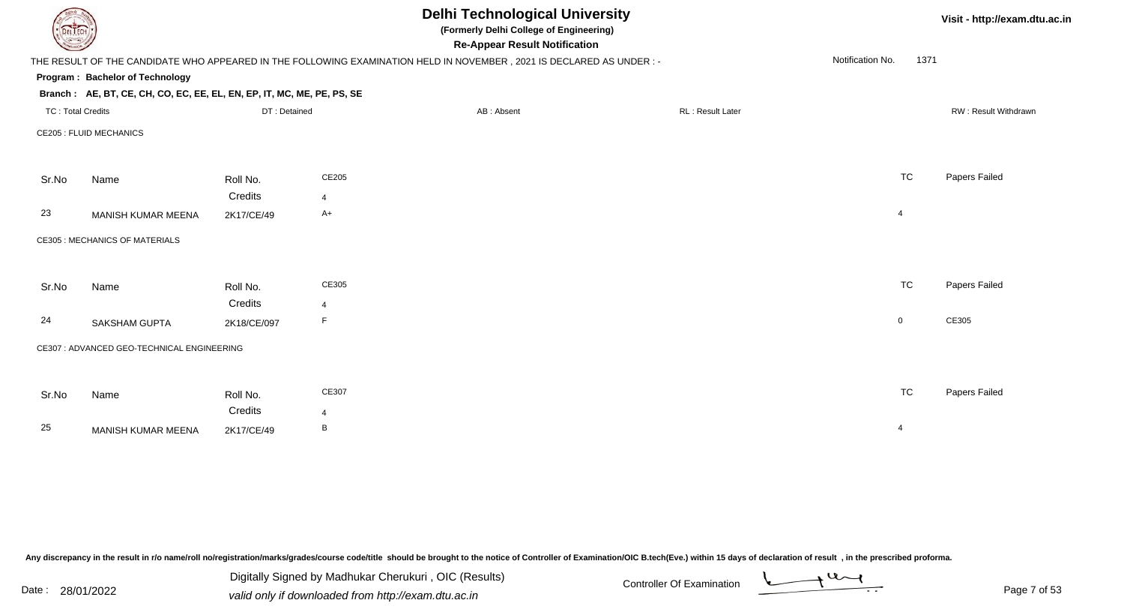|                          |                                                                        |              |                | <b>Delhi Technological University</b><br>(Formerly Delhi College of Engineering)<br><b>Re-Appear Result Notification</b> |                  |                          | Visit - http://exam.dtu.ac.in |
|--------------------------|------------------------------------------------------------------------|--------------|----------------|--------------------------------------------------------------------------------------------------------------------------|------------------|--------------------------|-------------------------------|
|                          |                                                                        |              |                | THE RESULT OF THE CANDIDATE WHO APPEARED IN THE FOLLOWING EXAMINATION HELD IN NOVEMBER, 2021 IS DECLARED AS UNDER :-     |                  | Notification No.<br>1371 |                               |
|                          | Program: Bachelor of Technology                                        |              |                |                                                                                                                          |                  |                          |                               |
|                          | Branch: AE, BT, CE, CH, CO, EC, EE, EL, EN, EP, IT, MC, ME, PE, PS, SE |              |                |                                                                                                                          |                  |                          |                               |
| <b>TC: Total Credits</b> |                                                                        | DT: Detained |                | AB: Absent                                                                                                               | RL: Result Later |                          | RW: Result Withdrawn          |
|                          | <b>CE205 : FLUID MECHANICS</b>                                         |              |                |                                                                                                                          |                  |                          |                               |
| Sr.No                    | Name                                                                   | Roll No.     | CE205          |                                                                                                                          |                  | <b>TC</b>                | Papers Failed                 |
|                          |                                                                        | Credits      | $\overline{4}$ |                                                                                                                          |                  |                          |                               |
| 23                       | MANISH KUMAR MEENA                                                     | 2K17/CE/49   | $A+$           |                                                                                                                          |                  | 4                        |                               |
|                          | <b>CE305: MECHANICS OF MATERIALS</b>                                   |              |                |                                                                                                                          |                  |                          |                               |
| Sr.No                    | Name                                                                   | Roll No.     | CE305          |                                                                                                                          |                  | <b>TC</b>                | Papers Failed                 |
|                          |                                                                        | Credits      | 4              |                                                                                                                          |                  |                          |                               |
| 24                       | <b>SAKSHAM GUPTA</b>                                                   | 2K18/CE/097  | F              |                                                                                                                          |                  | $\overline{0}$           | CE305                         |
|                          | CE307 : ADVANCED GEO-TECHNICAL ENGINEERING                             |              |                |                                                                                                                          |                  |                          |                               |
|                          |                                                                        |              |                |                                                                                                                          |                  |                          |                               |
| Sr.No                    | Name                                                                   | Roll No.     | CE307          |                                                                                                                          |                  | <b>TC</b>                | Papers Failed                 |
|                          |                                                                        | Credits      | $\overline{4}$ |                                                                                                                          |                  |                          |                               |
| 25                       | MANISH KUMAR MEENA                                                     | 2K17/CE/49   | B              |                                                                                                                          |                  | $\overline{4}$           |                               |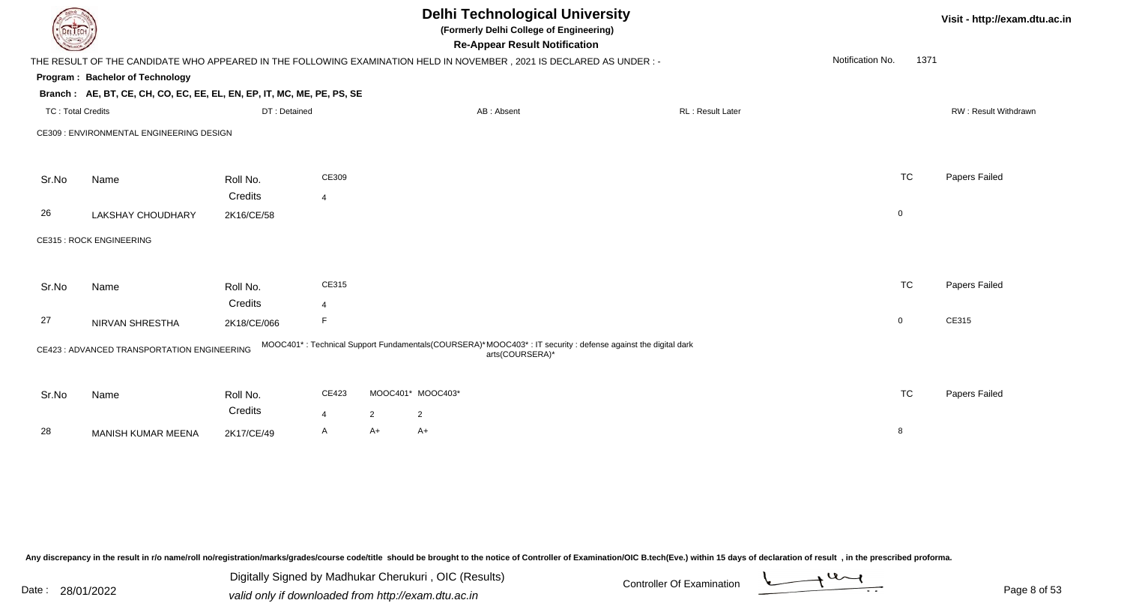| DEL TECH                 |                                                                                                                      |              |                         |                |                   | <b>Delhi Technological University</b><br>(Formerly Delhi College of Engineering)<br><b>Re-Appear Result Notification</b>      |                         |                  |             | Visit - http://exam.dtu.ac.in |
|--------------------------|----------------------------------------------------------------------------------------------------------------------|--------------|-------------------------|----------------|-------------------|-------------------------------------------------------------------------------------------------------------------------------|-------------------------|------------------|-------------|-------------------------------|
|                          | THE RESULT OF THE CANDIDATE WHO APPEARED IN THE FOLLOWING EXAMINATION HELD IN NOVEMBER, 2021 IS DECLARED AS UNDER :- |              |                         |                |                   |                                                                                                                               |                         | Notification No. | 1371        |                               |
|                          | Program: Bachelor of Technology                                                                                      |              |                         |                |                   |                                                                                                                               |                         |                  |             |                               |
|                          | Branch: AE, BT, CE, CH, CO, EC, EE, EL, EN, EP, IT, MC, ME, PE, PS, SE                                               |              |                         |                |                   |                                                                                                                               |                         |                  |             |                               |
| <b>TC: Total Credits</b> |                                                                                                                      | DT: Detained |                         |                |                   | AB: Absent                                                                                                                    | <b>RL: Result Later</b> |                  |             | RW: Result Withdrawn          |
|                          | CE309 : ENVIRONMENTAL ENGINEERING DESIGN                                                                             |              |                         |                |                   |                                                                                                                               |                         |                  |             |                               |
|                          |                                                                                                                      |              |                         |                |                   |                                                                                                                               |                         |                  |             |                               |
| Sr.No                    | Name                                                                                                                 | Roll No.     | CE309                   |                |                   |                                                                                                                               |                         |                  | <b>TC</b>   | Papers Failed                 |
|                          |                                                                                                                      | Credits      | $\overline{4}$          |                |                   |                                                                                                                               |                         |                  |             |                               |
| 26                       | <b>LAKSHAY CHOUDHARY</b>                                                                                             | 2K16/CE/58   |                         |                |                   |                                                                                                                               |                         |                  | $\mathbf 0$ |                               |
|                          | <b>CE315: ROCK ENGINEERING</b>                                                                                       |              |                         |                |                   |                                                                                                                               |                         |                  |             |                               |
|                          |                                                                                                                      |              |                         |                |                   |                                                                                                                               |                         |                  |             |                               |
| Sr.No                    | Name                                                                                                                 | Roll No.     | CE315                   |                |                   |                                                                                                                               |                         |                  | <b>TC</b>   | Papers Failed                 |
|                          |                                                                                                                      | Credits      | $\overline{\mathbf{A}}$ |                |                   |                                                                                                                               |                         |                  |             |                               |
| 27                       | NIRVAN SHRESTHA                                                                                                      | 2K18/CE/066  | F                       |                |                   |                                                                                                                               |                         |                  | 0           | CE315                         |
|                          | CE423 : ADVANCED TRANSPORTATION ENGINEERING                                                                          |              |                         |                |                   | MOOC401*: Technical Support Fundamentals(COURSERA)*MOOC403*: IT security: defense against the digital dark<br>arts(COURSERA)* |                         |                  |             |                               |
|                          |                                                                                                                      |              |                         |                |                   |                                                                                                                               |                         |                  |             |                               |
| Sr.No                    | Name                                                                                                                 | Roll No.     | CE423                   |                | MOOC401* MOOC403* |                                                                                                                               |                         |                  | <b>TC</b>   | Papers Failed                 |
|                          |                                                                                                                      | Credits      | $\overline{4}$          | $\overline{2}$ | $\overline{2}$    |                                                                                                                               |                         |                  |             |                               |
| 28                       | MANISH KUMAR MEENA                                                                                                   | 2K17/CE/49   | Α                       | A+             | $A+$              |                                                                                                                               |                         |                  | 8           |                               |
|                          |                                                                                                                      |              |                         |                |                   |                                                                                                                               |                         |                  |             |                               |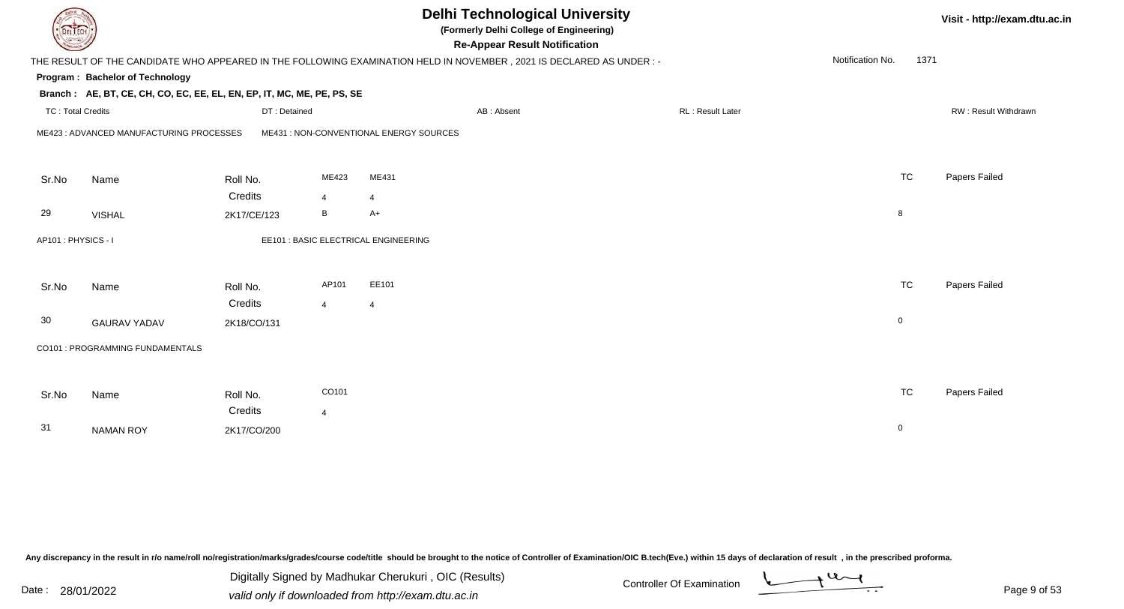| <b>DELTECH</b>           |                                                                        |                        |                | <b>Delhi Technological University</b><br>(Formerly Delhi College of Engineering)<br><b>Re-Appear Result Notification</b> |                  |                  |      | Visit - http://exam.dtu.ac.in |
|--------------------------|------------------------------------------------------------------------|------------------------|----------------|--------------------------------------------------------------------------------------------------------------------------|------------------|------------------|------|-------------------------------|
|                          |                                                                        |                        |                | THE RESULT OF THE CANDIDATE WHO APPEARED IN THE FOLLOWING EXAMINATION HELD IN NOVEMBER, 2021 IS DECLARED AS UNDER :-     |                  | Notification No. | 1371 |                               |
|                          | Program: Bachelor of Technology                                        |                        |                |                                                                                                                          |                  |                  |      |                               |
|                          | Branch: AE, BT, CE, CH, CO, EC, EE, EL, EN, EP, IT, MC, ME, PE, PS, SE |                        |                |                                                                                                                          |                  |                  |      |                               |
| <b>TC: Total Credits</b> |                                                                        | DT: Detained           |                | AB: Absent                                                                                                               | RL: Result Later |                  |      | RW: Result Withdrawn          |
|                          | ME423 : ADVANCED MANUFACTURING PROCESSES                               |                        |                | ME431 : NON-CONVENTIONAL ENERGY SOURCES                                                                                  |                  |                  |      |                               |
| Sr.No                    | Name                                                                   | Roll No.               | ME423          | ME431                                                                                                                    |                  | <b>TC</b>        |      | Papers Failed                 |
|                          |                                                                        | Credits                | $\overline{4}$ | $\overline{4}$                                                                                                           |                  |                  |      |                               |
| 29                       | <b>VISHAL</b>                                                          | 2K17/CE/123            | B              | $A+$                                                                                                                     |                  | 8                |      |                               |
| AP101: PHYSICS - I       |                                                                        |                        |                | EE101 : BASIC ELECTRICAL ENGINEERING                                                                                     |                  |                  |      |                               |
| Sr.No                    | Name                                                                   | Roll No.               | AP101          | EE101                                                                                                                    |                  | <b>TC</b>        |      | Papers Failed                 |
| 30                       | <b>GAURAV YADAV</b>                                                    | Credits<br>2K18/CO/131 | $\overline{4}$ | $\overline{4}$                                                                                                           |                  | $\mathbf 0$      |      |                               |
|                          | CO101 : PROGRAMMING FUNDAMENTALS                                       |                        |                |                                                                                                                          |                  |                  |      |                               |
| Sr.No                    | Name                                                                   | Roll No.               | CO101          |                                                                                                                          |                  | <b>TC</b>        |      | Papers Failed                 |
| 31                       | <b>NAMAN ROY</b>                                                       | Credits<br>2K17/CO/200 | $\overline{4}$ |                                                                                                                          |                  | $\mathbf 0$      |      |                               |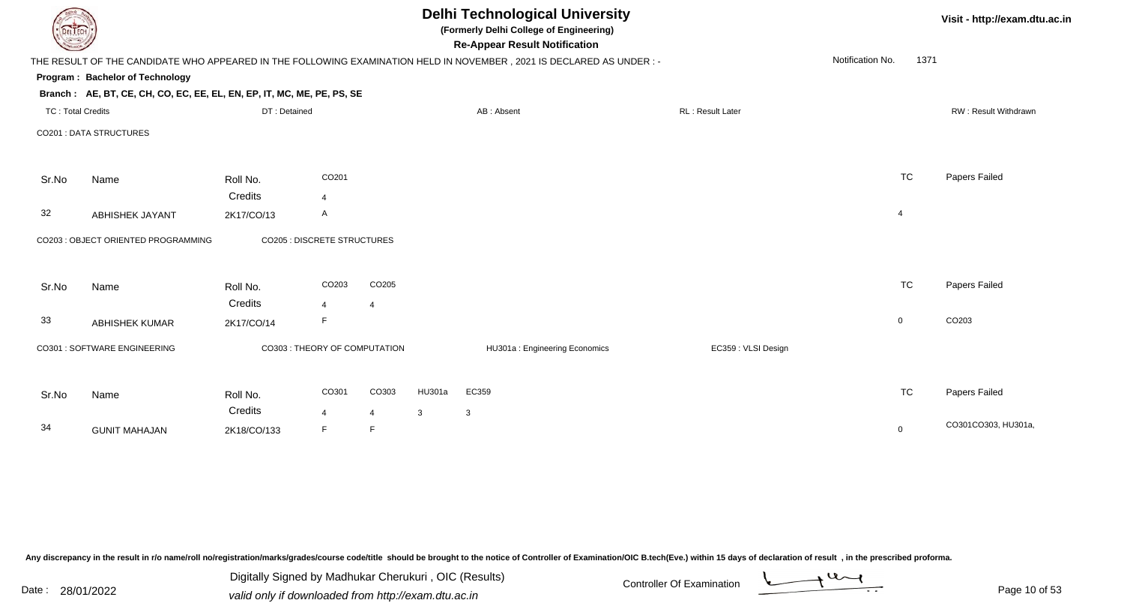| EL I ECH                 |                                                                        |                               |       |                |        | <b>Delhi Technological University</b><br>(Formerly Delhi College of Engineering)<br><b>Re-Appear Result Notification</b> |                         |                  | Visit - http://exam.dtu.ac.in |                      |
|--------------------------|------------------------------------------------------------------------|-------------------------------|-------|----------------|--------|--------------------------------------------------------------------------------------------------------------------------|-------------------------|------------------|-------------------------------|----------------------|
|                          |                                                                        |                               |       |                |        | THE RESULT OF THE CANDIDATE WHO APPEARED IN THE FOLLOWING EXAMINATION HELD IN NOVEMBER, 2021 IS DECLARED AS UNDER :-     |                         | Notification No. | 1371                          |                      |
|                          | Program: Bachelor of Technology                                        |                               |       |                |        |                                                                                                                          |                         |                  |                               |                      |
|                          | Branch: AE, BT, CE, CH, CO, EC, EE, EL, EN, EP, IT, MC, ME, PE, PS, SE |                               |       |                |        |                                                                                                                          |                         |                  |                               |                      |
| <b>TC: Total Credits</b> |                                                                        | DT: Detained                  |       |                |        | AB: Absent                                                                                                               | <b>RL: Result Later</b> |                  |                               | RW: Result Withdrawn |
|                          | <b>CO201 : DATA STRUCTURES</b>                                         |                               |       |                |        |                                                                                                                          |                         |                  |                               |                      |
| Sr.No                    | Name                                                                   | Roll No.                      | CO201 |                |        |                                                                                                                          |                         | <b>TC</b>        |                               | Papers Failed        |
|                          |                                                                        | Credits                       | 4     |                |        |                                                                                                                          |                         |                  |                               |                      |
| 32                       | <b>ABHISHEK JAYANT</b>                                                 | 2K17/CO/13                    | A     |                |        |                                                                                                                          |                         | $\overline{4}$   |                               |                      |
|                          | CO203 : OBJECT ORIENTED PROGRAMMING                                    | CO205 : DISCRETE STRUCTURES   |       |                |        |                                                                                                                          |                         |                  |                               |                      |
| Sr.No                    | Name                                                                   | Roll No.                      | CO203 | CO205          |        |                                                                                                                          |                         | <b>TC</b>        |                               | Papers Failed        |
|                          |                                                                        | Credits                       | 4     | $\overline{4}$ |        |                                                                                                                          |                         |                  |                               |                      |
| 33                       | <b>ABHISHEK KUMAR</b>                                                  | 2K17/CO/14                    | F     |                |        |                                                                                                                          |                         | $\overline{0}$   |                               | CO203                |
|                          | CO301 : SOFTWARE ENGINEERING                                           | CO303 : THEORY OF COMPUTATION |       |                |        | HU301a: Engineering Economics                                                                                            | EC359 : VLSI Design     |                  |                               |                      |
| Sr.No                    | Name                                                                   | Roll No.                      | CO301 | CO303          | HU301a | EC359                                                                                                                    |                         | <b>TC</b>        |                               | Papers Failed        |
|                          |                                                                        | Credits                       | 4     | $\overline{4}$ | 3      | 3                                                                                                                        |                         |                  |                               |                      |
| 34                       | <b>GUNIT MAHAJAN</b>                                                   | 2K18/CO/133                   | F.    | F              |        |                                                                                                                          |                         | $\mathbf 0$      |                               | CO301CO303, HU301a,  |

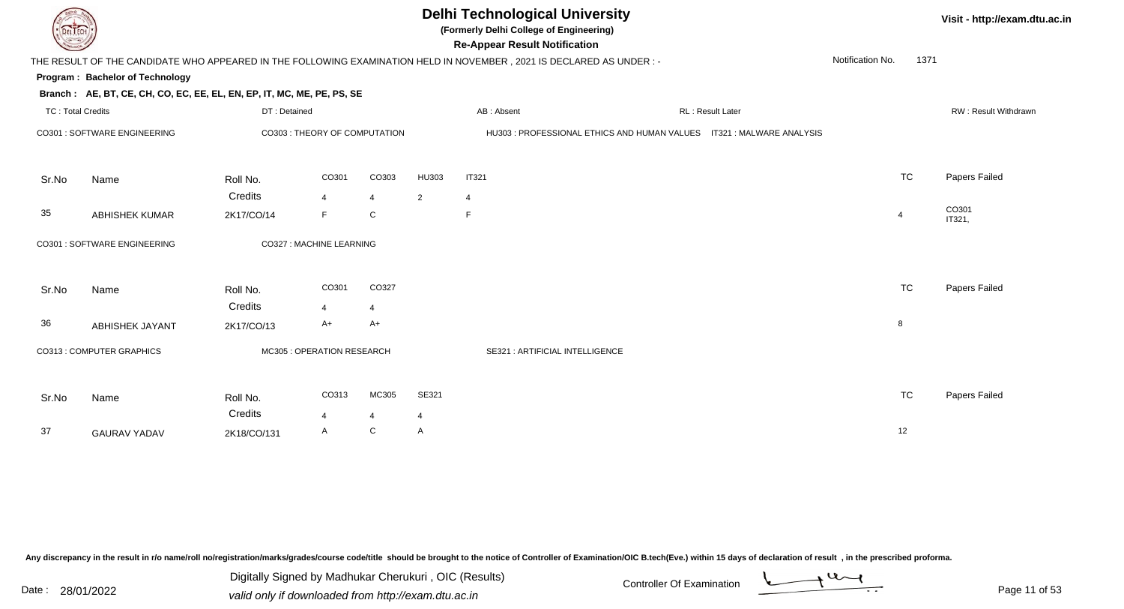

**(Formerly Delhi College of Engineering)**

**Re-Appear Result Notification**

**Visit - http://exam.dtu.ac.in**

| <b>Country of Charles</b> |                                                                        |              |                               |                |                | <b>Re-Appear Result Notification</b>                                                                                |                                                                       |                  |                  |                |                             |
|---------------------------|------------------------------------------------------------------------|--------------|-------------------------------|----------------|----------------|---------------------------------------------------------------------------------------------------------------------|-----------------------------------------------------------------------|------------------|------------------|----------------|-----------------------------|
|                           |                                                                        |              |                               |                |                | THE RESULT OF THE CANDIDATE WHO APPEARED IN THE FOLLOWING EXAMINATION HELD IN NOVEMBER, 2021 IS DECLARED AS UNDER:- |                                                                       |                  | Notification No. | 1371           |                             |
|                           | Program: Bachelor of Technology                                        |              |                               |                |                |                                                                                                                     |                                                                       |                  |                  |                |                             |
|                           | Branch: AE, BT, CE, CH, CO, EC, EE, EL, EN, EP, IT, MC, ME, PE, PS, SE |              |                               |                |                |                                                                                                                     |                                                                       |                  |                  |                |                             |
| <b>TC: Total Credits</b>  |                                                                        | DT: Detained |                               |                |                | AB: Absent                                                                                                          |                                                                       | RL: Result Later |                  |                | <b>RW: Result Withdrawr</b> |
|                           | CO301 : SOFTWARE ENGINEERING                                           |              | CO303 : THEORY OF COMPUTATION |                |                |                                                                                                                     | HU303 : PROFESSIONAL ETHICS AND HUMAN VALUES IT321 : MALWARE ANALYSIS |                  |                  |                |                             |
|                           |                                                                        |              |                               |                |                |                                                                                                                     |                                                                       |                  |                  |                |                             |
| Sr.No                     | Name                                                                   | Roll No.     | CO301                         | CO303          | HU303          | <b>IT321</b>                                                                                                        |                                                                       |                  |                  | <b>TC</b>      | Papers Failed               |
|                           |                                                                        | Credits      | $\overline{4}$                | $\overline{4}$ | $\overline{2}$ | $\overline{4}$                                                                                                      |                                                                       |                  |                  |                |                             |
| 35                        | <b>ABHISHEK KUMAR</b>                                                  | 2K17/CO/14   | F                             | C              |                | F                                                                                                                   |                                                                       |                  |                  | $\overline{4}$ | CO301<br>IT321,             |
|                           | CO301 : SOFTWARE ENGINEERING                                           |              | CO327 : MACHINE LEARNING      |                |                |                                                                                                                     |                                                                       |                  |                  |                |                             |
|                           |                                                                        |              |                               |                |                |                                                                                                                     |                                                                       |                  |                  |                |                             |
| Sr.No                     | Name                                                                   | Roll No.     | CO301                         | CO327          |                |                                                                                                                     |                                                                       |                  |                  | <b>TC</b>      | Papers Failed               |
|                           |                                                                        | Credits      | $\overline{4}$                | $\overline{4}$ |                |                                                                                                                     |                                                                       |                  |                  |                |                             |
| 36                        | ABHISHEK JAYANT                                                        | 2K17/CO/13   | A+                            | $A+$           |                |                                                                                                                     |                                                                       |                  |                  | 8              |                             |
|                           | CO313 : COMPUTER GRAPHICS                                              |              | MC305 : OPERATION RESEARCH    |                |                | SE321 : ARTIFICIAL INTELLIGENCE                                                                                     |                                                                       |                  |                  |                |                             |
|                           |                                                                        |              |                               |                |                |                                                                                                                     |                                                                       |                  |                  |                |                             |
| Sr.No                     | Name                                                                   | Roll No.     | CO313                         | MC305          | SE321          |                                                                                                                     |                                                                       |                  |                  | <b>TC</b>      | Papers Failed               |
|                           |                                                                        | Credits      | $\overline{4}$                | $\overline{4}$ | $\overline{4}$ |                                                                                                                     |                                                                       |                  |                  |                |                             |
| 37                        | <b>GAURAV YADAV</b>                                                    | 2K18/CO/131  | A                             | C              | A              |                                                                                                                     |                                                                       |                  |                  | 12             |                             |
|                           |                                                                        |              |                               |                |                |                                                                                                                     |                                                                       |                  |                  |                |                             |

Any discrepancy in the result in r/o name/roll no/registration/marks/grades/course code/title should be brought to the notice of Controller of Examination/OIC B.tech(Eve.) within 15 days of declaration of result, in the pr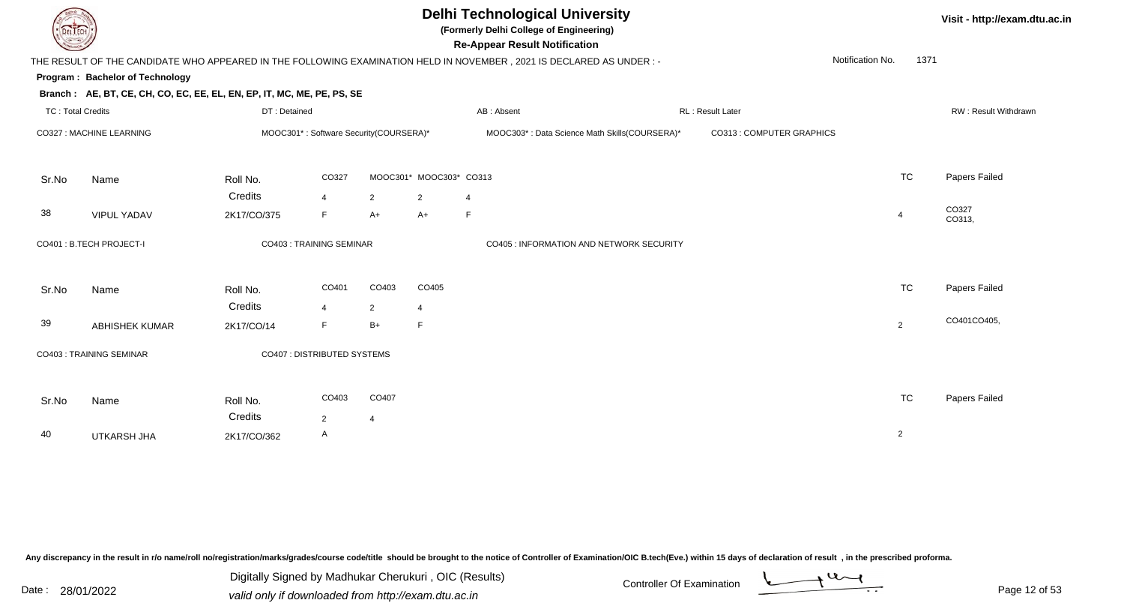

**(Formerly Delhi College of Engineering)**

**Visit - http://exam.dtu.ac.in**

| <b>Courses of The Courses</b> |                                                                        |              |                                |                                        |                         | <b>Re-Appear Result Notification</b>                                                                                 |                           |                  |                |                      |
|-------------------------------|------------------------------------------------------------------------|--------------|--------------------------------|----------------------------------------|-------------------------|----------------------------------------------------------------------------------------------------------------------|---------------------------|------------------|----------------|----------------------|
|                               |                                                                        |              |                                |                                        |                         | THE RESULT OF THE CANDIDATE WHO APPEARED IN THE FOLLOWING EXAMINATION HELD IN NOVEMBER, 2021 IS DECLARED AS UNDER :- |                           | Notification No. | 1371           |                      |
|                               | Program: Bachelor of Technology                                        |              |                                |                                        |                         |                                                                                                                      |                           |                  |                |                      |
|                               | Branch: AE, BT, CE, CH, CO, EC, EE, EL, EN, EP, IT, MC, ME, PE, PS, SE |              |                                |                                        |                         |                                                                                                                      |                           |                  |                |                      |
| <b>TC: Total Credits</b>      |                                                                        | DT: Detained |                                |                                        |                         | AB: Absent                                                                                                           | RL : Result Later         |                  |                | RW: Result Withdrawr |
|                               | CO327 : MACHINE LEARNING                                               |              |                                | MOOC301*: Software Security(COURSERA)* |                         | MOOC303*: Data Science Math Skills(COURSERA)*                                                                        | CO313 : COMPUTER GRAPHICS |                  |                |                      |
| Sr.No                         | Name                                                                   | Roll No.     | CO327                          |                                        | MOOC301* MOOC303* CO313 |                                                                                                                      |                           |                  | <b>TC</b>      | Papers Failed        |
|                               |                                                                        | Credits      | $\overline{4}$                 | $\overline{2}$                         | $\overline{2}$          | $\overline{4}$                                                                                                       |                           |                  |                |                      |
| 38                            | <b>VIPUL YADAV</b>                                                     | 2K17/CO/375  | F                              | $A+$                                   | $A+$                    | F                                                                                                                    |                           |                  | $\overline{4}$ | CO327<br>CO313,      |
|                               | CO401 : B.TECH PROJECT-I                                               |              | <b>CO403: TRAINING SEMINAR</b> |                                        |                         | CO405 : INFORMATION AND NETWORK SECURITY                                                                             |                           |                  |                |                      |
| Sr.No                         | Name                                                                   | Roll No.     | CO401                          | CO403                                  | CO405                   |                                                                                                                      |                           |                  | <b>TC</b>      | Papers Failed        |
|                               |                                                                        | Credits      | $\overline{4}$                 | $\overline{2}$                         | $\overline{4}$          |                                                                                                                      |                           |                  |                |                      |
| 39                            | <b>ABHISHEK KUMAR</b>                                                  | 2K17/CO/14   | F                              | $B+$                                   | F                       |                                                                                                                      |                           |                  | 2              | CO401CO405,          |
|                               | <b>CO403: TRAINING SEMINAR</b>                                         |              | CO407 : DISTRIBUTED SYSTEMS    |                                        |                         |                                                                                                                      |                           |                  |                |                      |
| Sr.No                         | Name                                                                   | Roll No.     | CO403                          | CO407                                  |                         |                                                                                                                      |                           |                  | <b>TC</b>      | Papers Failed        |
|                               |                                                                        | Credits      | $\overline{2}$                 | 4                                      |                         |                                                                                                                      |                           |                  |                |                      |
| 40                            | UTKARSH JHA                                                            | 2K17/CO/362  | A                              |                                        |                         |                                                                                                                      |                           |                  | $\overline{2}$ |                      |

Any discrepancy in the result in r/o name/roll no/registration/marks/grades/course code/title should be brought to the notice of Controller of Examination/OIC B.tech(Eve.) within 15 days of declaration of result, in the pr

Date : 28/01/2022 Valid only if downloaded from http://exam.dtu.ac.in<br>valid only if downloaded from http://exam.dtu.ac.in Digitally Signed by Madhukar Cherukuri , OIC (Results)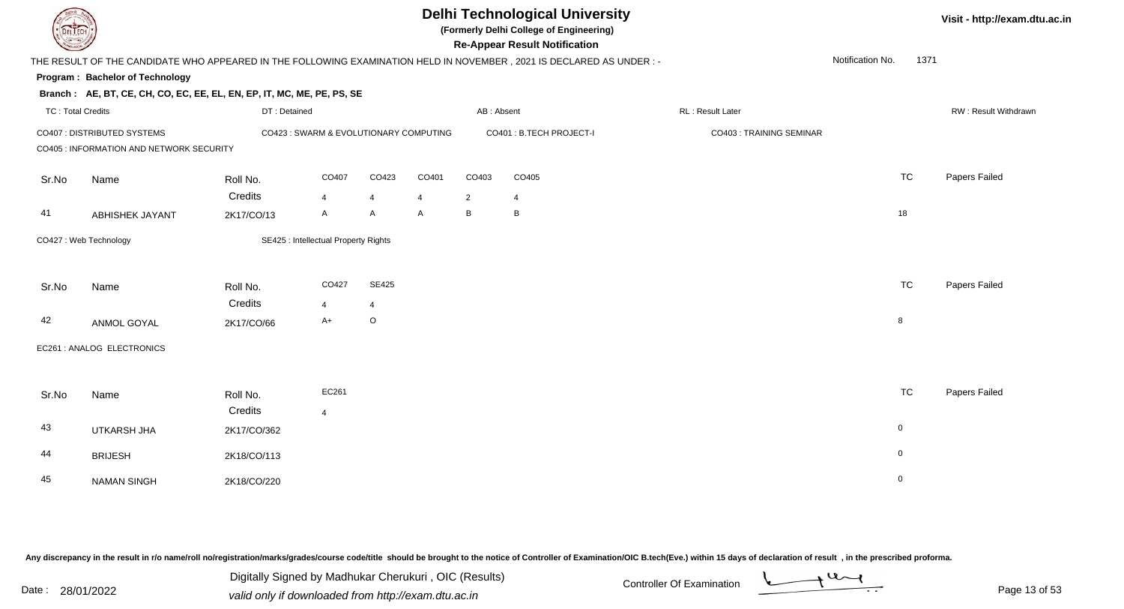**(Formerly Delhi College of Engineering)**

**Re-Appear Result Notification**

**Visit - http://exam.dtu.ac.in**

| <b>Country of Charles</b> |                                                                        |              |                                        |                |       |                | <b>Re-Appear Result Notification</b>                                                                                   |                          |                  |              |                             |
|---------------------------|------------------------------------------------------------------------|--------------|----------------------------------------|----------------|-------|----------------|------------------------------------------------------------------------------------------------------------------------|--------------------------|------------------|--------------|-----------------------------|
|                           |                                                                        |              |                                        |                |       |                | THE RESULT OF THE CANDIDATE WHO APPEARED IN THE FOLLOWING EXAMINATION HELD IN NOVEMBER , 2021 IS DECLARED AS UNDER : - |                          | Notification No. | 1371         |                             |
|                           | Program: Bachelor of Technology                                        |              |                                        |                |       |                |                                                                                                                        |                          |                  |              |                             |
|                           | Branch: AE, BT, CE, CH, CO, EC, EE, EL, EN, EP, IT, MC, ME, PE, PS, SE |              |                                        |                |       |                |                                                                                                                        |                          |                  |              |                             |
| <b>TC: Total Credits</b>  |                                                                        | DT: Detained |                                        |                |       | AB: Absent     |                                                                                                                        | RL: Result Later         |                  |              | <b>RW: Result Withdrawr</b> |
|                           | CO407 : DISTRIBUTED SYSTEMS                                            |              | CO423 : SWARM & EVOLUTIONARY COMPUTING |                |       |                | CO401 : B.TECH PROJECT-I                                                                                               | CO403 : TRAINING SEMINAR |                  |              |                             |
|                           | CO405 : INFORMATION AND NETWORK SECURITY                               |              |                                        |                |       |                |                                                                                                                        |                          |                  |              |                             |
| Sr.No                     | Name                                                                   | Roll No.     | CO407                                  | CO423          | CO401 | CO403          | CO405                                                                                                                  |                          |                  | <b>TC</b>    | Papers Failed               |
|                           |                                                                        | Credits      | $\overline{4}$                         | $\overline{4}$ | 4     | $\overline{2}$ | $\overline{4}$                                                                                                         |                          |                  |              |                             |
| 41                        | <b>ABHISHEK JAYANT</b>                                                 | 2K17/CO/13   | A                                      | Α              | A     | B              | B                                                                                                                      |                          |                  | 18           |                             |
|                           | CO427: Web Technology                                                  |              | SE425 : Intellectual Property Rights   |                |       |                |                                                                                                                        |                          |                  |              |                             |
| Sr.No                     | Name                                                                   | Roll No.     | CO427                                  | <b>SE425</b>   |       |                |                                                                                                                        |                          |                  | <b>TC</b>    | Papers Failed               |
|                           |                                                                        | Credits      | $\overline{4}$                         | 4              |       |                |                                                                                                                        |                          |                  |              |                             |
| 42                        | ANMOL GOYAL                                                            | 2K17/CO/66   | A+                                     | $\circ$        |       |                |                                                                                                                        |                          |                  | 8            |                             |
|                           | EC261 : ANALOG ELECTRONICS                                             |              |                                        |                |       |                |                                                                                                                        |                          |                  |              |                             |
| Sr.No                     | Name                                                                   | Roll No.     | EC261                                  |                |       |                |                                                                                                                        |                          |                  | <b>TC</b>    | Papers Failed               |
|                           |                                                                        | Credits      | $\overline{4}$                         |                |       |                |                                                                                                                        |                          |                  |              |                             |
| 43                        | UTKARSH JHA                                                            | 2K17/CO/362  |                                        |                |       |                |                                                                                                                        |                          |                  | $\mathbf{0}$ |                             |
| 44                        | <b>BRIJESH</b>                                                         | 2K18/CO/113  |                                        |                |       |                |                                                                                                                        |                          |                  | $\mathbf 0$  |                             |
| 45                        | <b>NAMAN SINGH</b>                                                     | 2K18/CO/220  |                                        |                |       |                |                                                                                                                        |                          |                  | $\mathbf 0$  |                             |

Any discrepancy in the result in r/o name/roll no/registration/marks/grades/course code/title should be brought to the notice of Controller of Examination/OIC B.tech(Eve.) within 15 days of declaration of result, in the pr

Digitally Signed by Madhukar Cherukuri , OIC (Results)valid only if downloaded from http://exam.dtu.ac.in

 $\overline{\phantom{a}}$ Controller Of Examination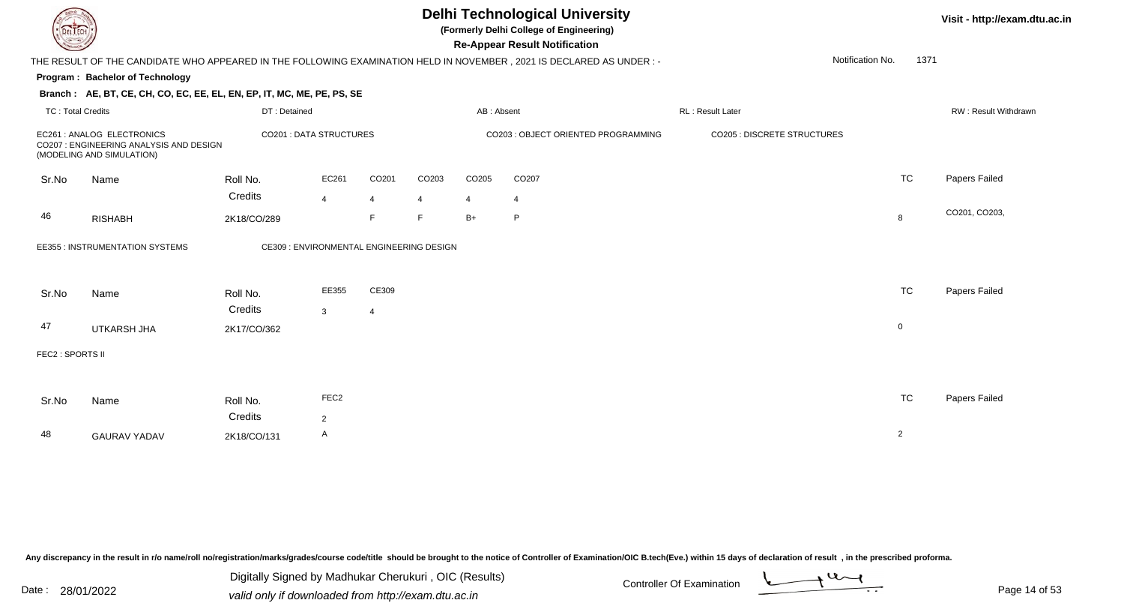

**(Formerly Delhi College of Engineering)**

**Visit - http://exam.dtu.ac.in**

| <b>Courses of</b>        |                                                                                                   |                        |                                          |                |                   |                | <b>Re-Appear Result Notification</b>                                                                                   |                   |                                    |                |                             |
|--------------------------|---------------------------------------------------------------------------------------------------|------------------------|------------------------------------------|----------------|-------------------|----------------|------------------------------------------------------------------------------------------------------------------------|-------------------|------------------------------------|----------------|-----------------------------|
|                          |                                                                                                   |                        |                                          |                |                   |                | THE RESULT OF THE CANDIDATE WHO APPEARED IN THE FOLLOWING EXAMINATION HELD IN NOVEMBER , 2021 IS DECLARED AS UNDER : - |                   | Notification No.                   | 1371           |                             |
|                          | <b>Program: Bachelor of Technology</b>                                                            |                        |                                          |                |                   |                |                                                                                                                        |                   |                                    |                |                             |
|                          | Branch: AE, BT, CE, CH, CO, EC, EE, EL, EN, EP, IT, MC, ME, PE, PS, SE                            |                        |                                          |                |                   |                |                                                                                                                        |                   |                                    |                |                             |
| <b>TC: Total Credits</b> |                                                                                                   | DT: Detained           |                                          |                |                   | AB: Absent     |                                                                                                                        | RL : Result Later |                                    |                | <b>RW: Result Withdrawr</b> |
|                          | EC261: ANALOG ELECTRONICS<br>CO207 : ENGINEERING ANALYSIS AND DESIGN<br>(MODELING AND SIMULATION) |                        | <b>CO201 : DATA STRUCTURES</b>           |                |                   |                | CO203 : OBJECT ORIENTED PROGRAMMING                                                                                    |                   | <b>CO205 : DISCRETE STRUCTURES</b> |                |                             |
| Sr.No                    | Name                                                                                              | Roll No.               | EC261                                    | CO201          | CO <sub>203</sub> | CO205          | CO207                                                                                                                  |                   |                                    | <b>TC</b>      | Papers Failed               |
|                          |                                                                                                   | Credits                | $\overline{4}$                           | $\overline{4}$ | $\overline{4}$    | $\overline{4}$ | 4                                                                                                                      |                   |                                    |                |                             |
| 46                       | <b>RISHABH</b>                                                                                    | 2K18/CO/289            |                                          | F              | E                 | $B+$           | P                                                                                                                      |                   |                                    | 8              | CO201, CO203,               |
|                          | EE355 : INSTRUMENTATION SYSTEMS                                                                   |                        | CE309 : ENVIRONMENTAL ENGINEERING DESIGN |                |                   |                |                                                                                                                        |                   |                                    |                |                             |
| Sr.No                    | Name                                                                                              | Roll No.               | EE355                                    | CE309          |                   |                |                                                                                                                        |                   |                                    | <b>TC</b>      | Papers Failed               |
| 47                       | UTKARSH JHA                                                                                       | Credits<br>2K17/CO/362 | 3                                        | 4              |                   |                |                                                                                                                        |                   |                                    | $\mathbf 0$    |                             |
|                          |                                                                                                   |                        |                                          |                |                   |                |                                                                                                                        |                   |                                    |                |                             |
| FEC2 : SPORTS II         |                                                                                                   |                        |                                          |                |                   |                |                                                                                                                        |                   |                                    |                |                             |
|                          |                                                                                                   |                        |                                          |                |                   |                |                                                                                                                        |                   |                                    |                |                             |
| Sr.No                    | Name                                                                                              | Roll No.               | FEC <sub>2</sub>                         |                |                   |                |                                                                                                                        |                   |                                    | <b>TC</b>      | Papers Failed               |
|                          |                                                                                                   | Credits                | $\overline{2}$                           |                |                   |                |                                                                                                                        |                   |                                    |                |                             |
| 48                       | <b>GAURAV YADAV</b>                                                                               | 2K18/CO/131            | A                                        |                |                   |                |                                                                                                                        |                   |                                    | $\overline{2}$ |                             |
|                          |                                                                                                   |                        |                                          |                |                   |                |                                                                                                                        |                   |                                    |                |                             |

Any discrepancy in the result in r/o name/roll no/registration/marks/grades/course code/title should be brought to the notice of Controller of Examination/OIC B.tech(Eve.) within 15 days of declaration of result, in the pr

Date : 28/01/2022 Valid only if downloaded from http://exam.dtu.ac.in<br>valid only if downloaded from http://exam.dtu.ac.in Digitally Signed by Madhukar Cherukuri , OIC (Results)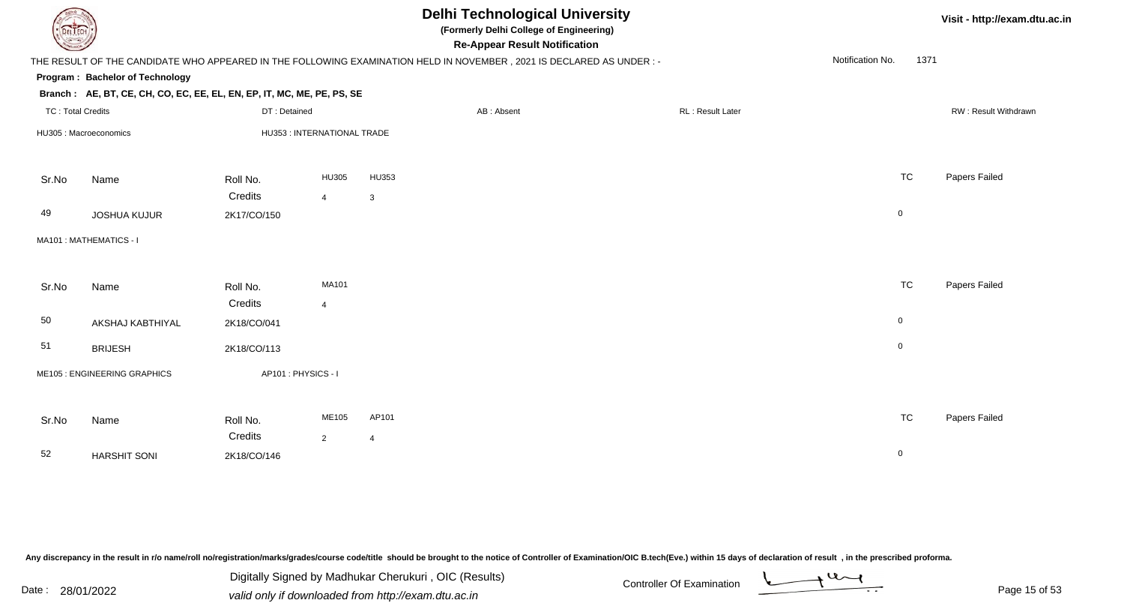| <b>DELTECH</b>           |                                                                        |                    |                             |                | <b>Delhi Technological University</b><br>(Formerly Delhi College of Engineering)<br><b>Re-Appear Result Notification</b> |                  |                  | Visit - http://exam.dtu.ac.in |
|--------------------------|------------------------------------------------------------------------|--------------------|-----------------------------|----------------|--------------------------------------------------------------------------------------------------------------------------|------------------|------------------|-------------------------------|
|                          |                                                                        |                    |                             |                | THE RESULT OF THE CANDIDATE WHO APPEARED IN THE FOLLOWING EXAMINATION HELD IN NOVEMBER, 2021 IS DECLARED AS UNDER :-     |                  | Notification No. | 1371                          |
|                          | Program: Bachelor of Technology                                        |                    |                             |                |                                                                                                                          |                  |                  |                               |
|                          | Branch: AE, BT, CE, CH, CO, EC, EE, EL, EN, EP, IT, MC, ME, PE, PS, SE |                    |                             |                |                                                                                                                          |                  |                  |                               |
| <b>TC: Total Credits</b> |                                                                        | DT: Detained       |                             |                | AB: Absent                                                                                                               | RL: Result Later |                  | RW: Result Withdrawn          |
|                          | HU305 : Macroeconomics                                                 |                    | HU353 : INTERNATIONAL TRADE |                |                                                                                                                          |                  |                  |                               |
| Sr.No                    | Name                                                                   | Roll No.           | HU305                       | HU353          |                                                                                                                          |                  | <b>TC</b>        | Papers Failed                 |
|                          |                                                                        | Credits            | $\overline{4}$              | 3              |                                                                                                                          |                  |                  |                               |
| 49                       | <b>JOSHUA KUJUR</b>                                                    | 2K17/CO/150        |                             |                |                                                                                                                          |                  | $\overline{0}$   |                               |
|                          | MA101 : MATHEMATICS - I                                                |                    |                             |                |                                                                                                                          |                  |                  |                               |
| Sr.No                    | Name                                                                   | Roll No.           | MA101                       |                |                                                                                                                          |                  | <b>TC</b>        | Papers Failed                 |
|                          |                                                                        | Credits            | $\overline{4}$              |                |                                                                                                                          |                  |                  |                               |
| 50                       | AKSHAJ KABTHIYAL                                                       | 2K18/CO/041        |                             |                |                                                                                                                          |                  | $\overline{0}$   |                               |
| 51                       | <b>BRIJESH</b>                                                         | 2K18/CO/113        |                             |                |                                                                                                                          |                  | $\overline{0}$   |                               |
|                          | ME105 : ENGINEERING GRAPHICS                                           | AP101: PHYSICS - I |                             |                |                                                                                                                          |                  |                  |                               |
| Sr.No                    | Name                                                                   | Roll No.           | ME105                       | AP101          |                                                                                                                          |                  | <b>TC</b>        | Papers Failed                 |
|                          |                                                                        | Credits            | $\overline{2}$              | $\overline{4}$ |                                                                                                                          |                  |                  |                               |
| 52                       | <b>HARSHIT SONI</b>                                                    | 2K18/CO/146        |                             |                |                                                                                                                          |                  | $\mathbf 0$      |                               |
|                          |                                                                        |                    |                             |                |                                                                                                                          |                  |                  |                               |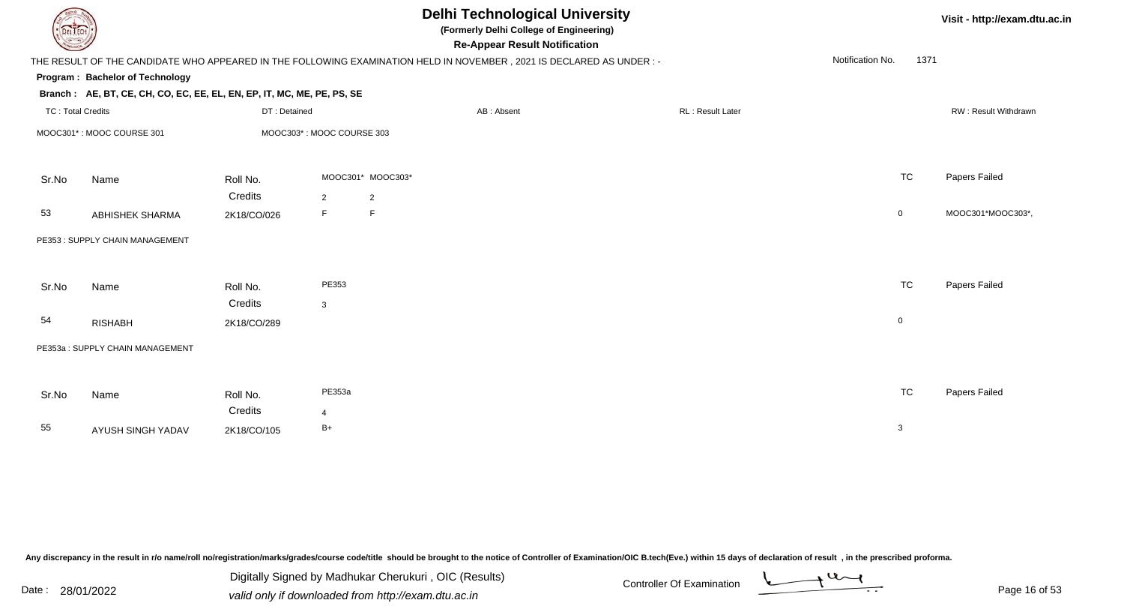| DEL TECH                 |                                                                        |              |                           |                   | <b>Delhi Technological University</b><br>(Formerly Delhi College of Engineering)<br><b>Re-Appear Result Notification</b> |                  |                  | Visit - http://exam.dtu.ac.in |                      |
|--------------------------|------------------------------------------------------------------------|--------------|---------------------------|-------------------|--------------------------------------------------------------------------------------------------------------------------|------------------|------------------|-------------------------------|----------------------|
|                          |                                                                        |              |                           |                   | THE RESULT OF THE CANDIDATE WHO APPEARED IN THE FOLLOWING EXAMINATION HELD IN NOVEMBER, 2021 IS DECLARED AS UNDER :-     |                  | Notification No. | 1371                          |                      |
|                          | Program: Bachelor of Technology                                        |              |                           |                   |                                                                                                                          |                  |                  |                               |                      |
|                          | Branch: AE, BT, CE, CH, CO, EC, EE, EL, EN, EP, IT, MC, ME, PE, PS, SE |              |                           |                   |                                                                                                                          |                  |                  |                               |                      |
| <b>TC: Total Credits</b> |                                                                        | DT: Detained |                           |                   | AB: Absent                                                                                                               | RL: Result Later |                  |                               | RW: Result Withdrawn |
|                          | MOOC301*: MOOC COURSE 301                                              |              | MOOC303*: MOOC COURSE 303 |                   |                                                                                                                          |                  |                  |                               |                      |
| Sr.No                    | Name                                                                   | Roll No.     |                           | MOOC301* MOOC303* |                                                                                                                          |                  | <b>TC</b>        |                               | Papers Failed        |
|                          |                                                                        | Credits      | $\overline{2}$            | $\overline{2}$    |                                                                                                                          |                  |                  |                               |                      |
| 53                       | ABHISHEK SHARMA                                                        | 2K18/CO/026  | F                         | $\mathsf F$       |                                                                                                                          |                  | $\mathbf 0$      |                               | MOOC301*MOOC303*,    |
|                          | PE353: SUPPLY CHAIN MANAGEMENT                                         |              |                           |                   |                                                                                                                          |                  |                  |                               |                      |
| Sr.No                    | Name                                                                   | Roll No.     | PE353                     |                   |                                                                                                                          |                  | <b>TC</b>        |                               | Papers Failed        |
|                          |                                                                        | Credits      | $\mathbf{3}$              |                   |                                                                                                                          |                  |                  |                               |                      |
| 54                       | <b>RISHABH</b>                                                         | 2K18/CO/289  |                           |                   |                                                                                                                          |                  | $\mathbf 0$      |                               |                      |
|                          | PE353a: SUPPLY CHAIN MANAGEMENT                                        |              |                           |                   |                                                                                                                          |                  |                  |                               |                      |
|                          |                                                                        |              |                           |                   |                                                                                                                          |                  |                  |                               |                      |
| Sr.No                    | Name                                                                   | Roll No.     | PE353a                    |                   |                                                                                                                          |                  | <b>TC</b>        |                               | Papers Failed        |
|                          |                                                                        | Credits      | 4                         |                   |                                                                                                                          |                  |                  |                               |                      |
| 55                       | AYUSH SINGH YADAV                                                      | 2K18/CO/105  | $B+$                      |                   |                                                                                                                          |                  | 3                |                               |                      |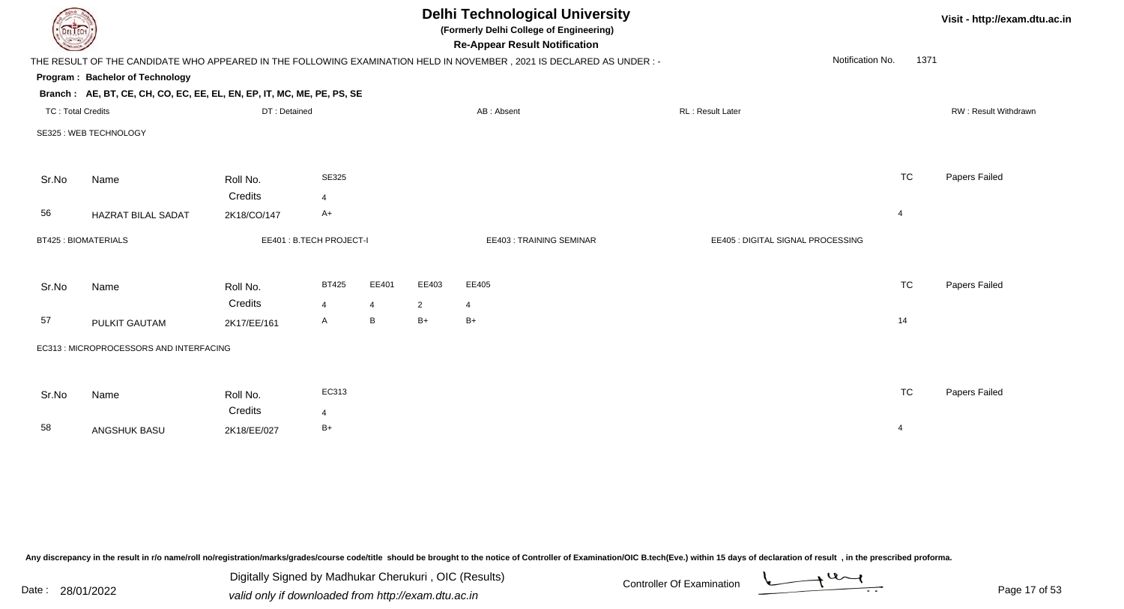| DEL ECH                    |                                                                        |              |                         |                |                | <b>Delhi Technological University</b><br>(Formerly Delhi College of Engineering)<br><b>Re-Appear Result Notification</b> |                                   |                          | Visit - http://exam.dtu.ac.in |
|----------------------------|------------------------------------------------------------------------|--------------|-------------------------|----------------|----------------|--------------------------------------------------------------------------------------------------------------------------|-----------------------------------|--------------------------|-------------------------------|
|                            |                                                                        |              |                         |                |                | THE RESULT OF THE CANDIDATE WHO APPEARED IN THE FOLLOWING EXAMINATION HELD IN NOVEMBER, 2021 IS DECLARED AS UNDER :-     |                                   | Notification No.<br>1371 |                               |
|                            | Program: Bachelor of Technology                                        |              |                         |                |                |                                                                                                                          |                                   |                          |                               |
|                            | Branch: AE, BT, CE, CH, CO, EC, EE, EL, EN, EP, IT, MC, ME, PE, PS, SE |              |                         |                |                |                                                                                                                          |                                   |                          |                               |
| <b>TC: Total Credits</b>   |                                                                        | DT: Detained |                         |                |                | AB: Absent                                                                                                               | RL: Result Later                  |                          | RW: Result Withdrawn          |
|                            | SE325 : WEB TECHNOLOGY                                                 |              |                         |                |                |                                                                                                                          |                                   |                          |                               |
| Sr.No                      | Name                                                                   | Roll No.     | <b>SE325</b>            |                |                |                                                                                                                          |                                   | <b>TC</b>                | Papers Failed                 |
|                            |                                                                        | Credits      | $\overline{4}$          |                |                |                                                                                                                          |                                   |                          |                               |
| 56                         | <b>HAZRAT BILAL SADAT</b>                                              | 2K18/CO/147  | $A+$                    |                |                |                                                                                                                          |                                   | $\overline{4}$           |                               |
| <b>BT425: BIOMATERIALS</b> |                                                                        |              | EE401: B.TECH PROJECT-I |                |                | EE403: TRAINING SEMINAR                                                                                                  | EE405 : DIGITAL SIGNAL PROCESSING |                          |                               |
| Sr.No                      | Name                                                                   | Roll No.     | <b>BT425</b>            | EE401          | EE403          | EE405                                                                                                                    |                                   | <b>TC</b>                | Papers Failed                 |
|                            |                                                                        | Credits      | $\overline{4}$          | $\overline{4}$ | $\overline{2}$ | $\overline{4}$                                                                                                           |                                   |                          |                               |
| 57                         | <b>PULKIT GAUTAM</b>                                                   | 2K17/EE/161  | A                       | B              | $B+$           | $B+$                                                                                                                     |                                   | 14                       |                               |
|                            | EC313 : MICROPROCESSORS AND INTERFACING                                |              |                         |                |                |                                                                                                                          |                                   |                          |                               |
| Sr.No                      | Name                                                                   | Roll No.     | EC313                   |                |                |                                                                                                                          |                                   | TC                       | Papers Failed                 |
|                            |                                                                        | Credits      | $\overline{4}$          |                |                |                                                                                                                          |                                   |                          |                               |
| 58                         | ANGSHUK BASU                                                           | 2K18/EE/027  | $B+$                    |                |                |                                                                                                                          |                                   | $\overline{4}$           |                               |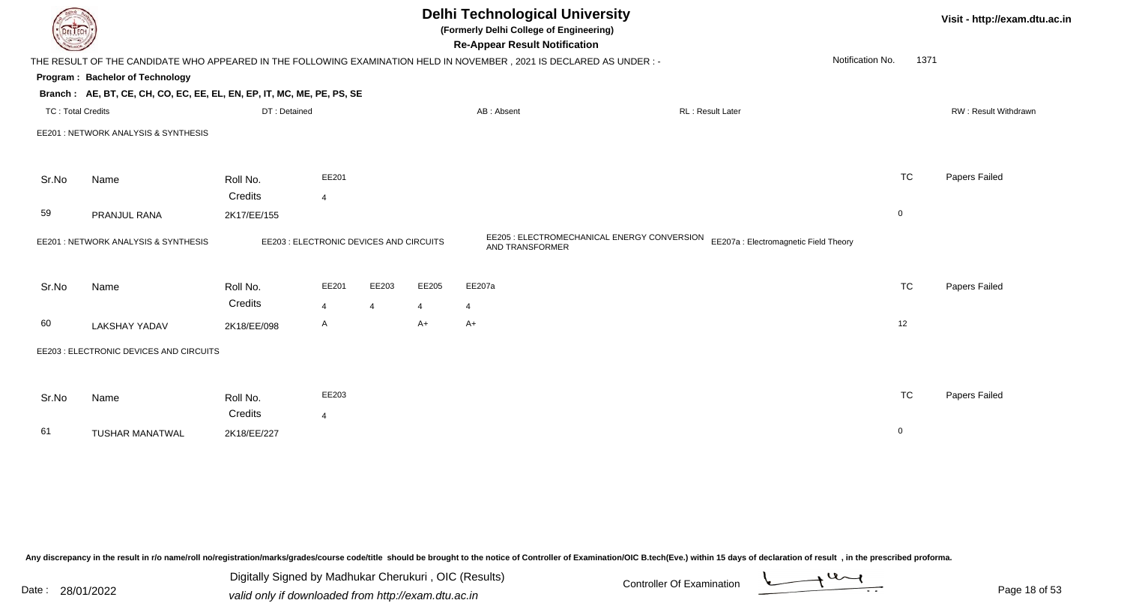|                          | <b>Delhi Technological University</b><br>Visit - http://exam.dtu.ac.in<br>(Formerly Delhi College of Engineering)<br>DEL ECH<br><b>Re-Appear Result Notification</b> |                        |                                         |                |       |                 |                                             |                  |                                       |                |                      |  |
|--------------------------|----------------------------------------------------------------------------------------------------------------------------------------------------------------------|------------------------|-----------------------------------------|----------------|-------|-----------------|---------------------------------------------|------------------|---------------------------------------|----------------|----------------------|--|
|                          | THE RESULT OF THE CANDIDATE WHO APPEARED IN THE FOLLOWING EXAMINATION HELD IN NOVEMBER, 2021 IS DECLARED AS UNDER :-                                                 |                        |                                         |                |       |                 |                                             |                  | Notification No.                      | 1371           |                      |  |
|                          | Program: Bachelor of Technology                                                                                                                                      |                        |                                         |                |       |                 |                                             |                  |                                       |                |                      |  |
|                          | Branch: AE, BT, CE, CH, CO, EC, EE, EL, EN, EP, IT, MC, ME, PE, PS, SE                                                                                               |                        |                                         |                |       |                 |                                             |                  |                                       |                |                      |  |
| <b>TC: Total Credits</b> |                                                                                                                                                                      | DT: Detained           |                                         |                |       | AB: Absent      |                                             | RL: Result Later |                                       |                | RW: Result Withdrawn |  |
|                          | EE201 : NETWORK ANALYSIS & SYNTHESIS                                                                                                                                 |                        |                                         |                |       |                 |                                             |                  |                                       |                |                      |  |
| Sr.No                    | Name                                                                                                                                                                 | Roll No.               | EE201                                   |                |       |                 |                                             |                  |                                       | <b>TC</b>      | Papers Failed        |  |
|                          |                                                                                                                                                                      | Credits                | $\overline{4}$                          |                |       |                 |                                             |                  |                                       |                |                      |  |
| 59                       | PRANJUL RANA                                                                                                                                                         | 2K17/EE/155            |                                         |                |       |                 |                                             |                  |                                       | $\overline{0}$ |                      |  |
|                          | EE201 : NETWORK ANALYSIS & SYNTHESIS                                                                                                                                 |                        | EE203 : ELECTRONIC DEVICES AND CIRCUITS |                |       | AND TRANSFORMER | EE205 : ELECTROMECHANICAL ENERGY CONVERSION |                  | EE207a : Electromagnetic Field Theory |                |                      |  |
| Sr.No                    | Name                                                                                                                                                                 | Roll No.               | EE201                                   | EE203          | EE205 | EE207a          |                                             |                  |                                       | <b>TC</b>      | Papers Failed        |  |
|                          |                                                                                                                                                                      | Credits                | $\overline{4}$                          | $\overline{4}$ | 4     | $\overline{4}$  |                                             |                  |                                       |                |                      |  |
| 60                       | <b>LAKSHAY YADAV</b>                                                                                                                                                 | 2K18/EE/098            | A                                       |                | A+    | $A+$            |                                             |                  |                                       | 12             |                      |  |
|                          | EE203 : ELECTRONIC DEVICES AND CIRCUITS                                                                                                                              |                        |                                         |                |       |                 |                                             |                  |                                       |                |                      |  |
| Sr.No                    | Name                                                                                                                                                                 | Roll No.               | EE203                                   |                |       |                 |                                             |                  |                                       | <b>TC</b>      | Papers Failed        |  |
| 61                       | <b>TUSHAR MANATWAL</b>                                                                                                                                               | Credits<br>2K18/EE/227 | $\overline{4}$                          |                |       |                 |                                             |                  |                                       | $\overline{0}$ |                      |  |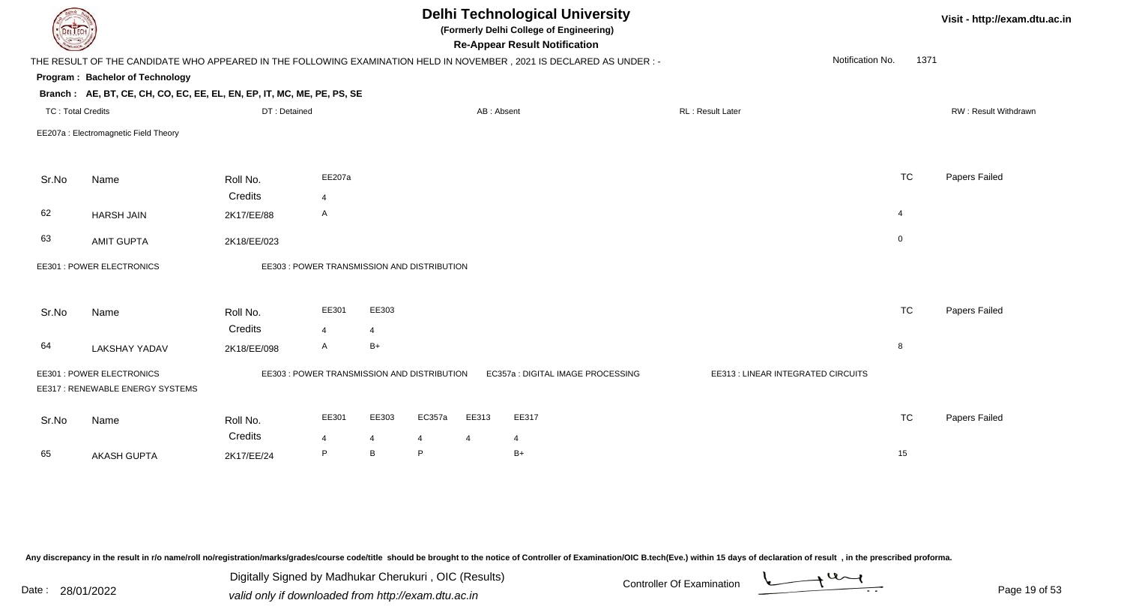| <b>Delhi Technological University</b><br>(Formerly Delhi College of Engineering)<br>DEL ECH<br><b>Re-Appear Result Notification</b> |                                                                        |                                             |                |                |             |                         |                                                                                                                      |                                    |                  | Visit - http://exam.dtu.ac.in |                      |
|-------------------------------------------------------------------------------------------------------------------------------------|------------------------------------------------------------------------|---------------------------------------------|----------------|----------------|-------------|-------------------------|----------------------------------------------------------------------------------------------------------------------|------------------------------------|------------------|-------------------------------|----------------------|
|                                                                                                                                     |                                                                        |                                             |                |                |             |                         | THE RESULT OF THE CANDIDATE WHO APPEARED IN THE FOLLOWING EXAMINATION HELD IN NOVEMBER, 2021 IS DECLARED AS UNDER :- |                                    | Notification No. | 1371                          |                      |
|                                                                                                                                     | Program: Bachelor of Technology                                        |                                             |                |                |             |                         |                                                                                                                      |                                    |                  |                               |                      |
|                                                                                                                                     | Branch: AE, BT, CE, CH, CO, EC, EE, EL, EN, EP, IT, MC, ME, PE, PS, SE |                                             |                |                |             |                         |                                                                                                                      |                                    |                  |                               |                      |
| <b>TC: Total Credits</b>                                                                                                            |                                                                        | DT: Detained                                |                |                |             | AB: Absent              |                                                                                                                      | RL: Result Later                   |                  |                               | RW: Result Withdrawn |
|                                                                                                                                     | EE207a : Electromagnetic Field Theory                                  |                                             |                |                |             |                         |                                                                                                                      |                                    |                  |                               |                      |
| Sr.No                                                                                                                               | Name                                                                   | Roll No.                                    | EE207a         |                |             |                         |                                                                                                                      |                                    |                  | <b>TC</b>                     | Papers Failed        |
|                                                                                                                                     |                                                                        | Credits                                     | $\overline{4}$ |                |             |                         |                                                                                                                      |                                    |                  |                               |                      |
| 62                                                                                                                                  | <b>HARSH JAIN</b>                                                      | 2K17/EE/88                                  | A              |                |             |                         |                                                                                                                      |                                    | 4                |                               |                      |
| 63                                                                                                                                  | <b>AMIT GUPTA</b>                                                      | 2K18/EE/023                                 |                |                |             |                         |                                                                                                                      |                                    | $\mathbf 0$      |                               |                      |
|                                                                                                                                     | EE301 : POWER ELECTRONICS                                              | EE303 : POWER TRANSMISSION AND DISTRIBUTION |                |                |             |                         |                                                                                                                      |                                    |                  |                               |                      |
| Sr.No                                                                                                                               | Name                                                                   | Roll No.                                    | EE301          | EE303          |             |                         |                                                                                                                      |                                    |                  | <b>TC</b>                     | Papers Failed        |
|                                                                                                                                     |                                                                        | Credits                                     | $\overline{4}$ | $\overline{4}$ |             |                         |                                                                                                                      |                                    |                  |                               |                      |
| 64                                                                                                                                  | <b>LAKSHAY YADAV</b>                                                   | 2K18/EE/098                                 | $\mathsf{A}$   | $B+$           |             |                         |                                                                                                                      |                                    | 8                |                               |                      |
|                                                                                                                                     | EE301 : POWER ELECTRONICS<br>EE317: RENEWABLE ENERGY SYSTEMS           | EE303 : POWER TRANSMISSION AND DISTRIBUTION |                |                |             |                         | EC357a : DIGITAL IMAGE PROCESSING                                                                                    | EE313 : LINEAR INTEGRATED CIRCUITS |                  |                               |                      |
| Sr.No                                                                                                                               | Name                                                                   | Roll No.<br>Credits                         | EE301<br>4     | EE303<br>4     | EC357a<br>4 | EE313<br>$\overline{4}$ | EE317<br>4                                                                                                           |                                    |                  | <b>TC</b>                     | Papers Failed        |
| 65                                                                                                                                  | <b>AKASH GUPTA</b>                                                     | 2K17/EE/24                                  | P              | B              | P           |                         | $B+$                                                                                                                 |                                    | 15               |                               |                      |
|                                                                                                                                     |                                                                        |                                             |                |                |             |                         |                                                                                                                      |                                    |                  |                               |                      |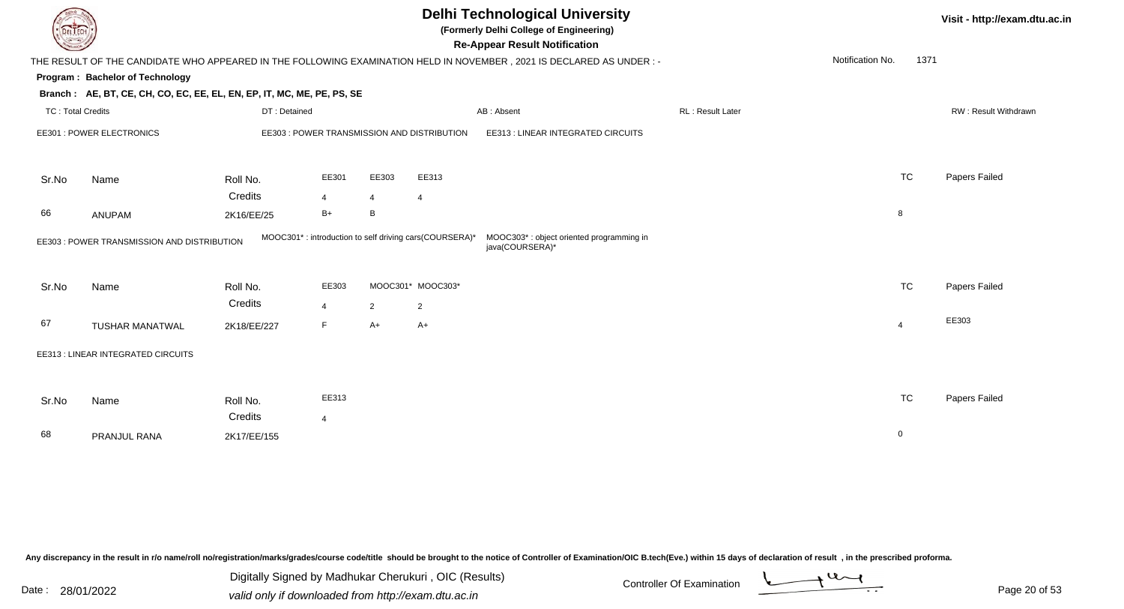| DEL ECI                  |                                                                          |              |                |                |                                                        | <b>Delhi Technological University</b><br>(Formerly Delhi College of Engineering)<br><b>Re-Appear Result Notification</b> |                  |                  |                | Visit - http://exam.dtu.ac.in |
|--------------------------|--------------------------------------------------------------------------|--------------|----------------|----------------|--------------------------------------------------------|--------------------------------------------------------------------------------------------------------------------------|------------------|------------------|----------------|-------------------------------|
|                          |                                                                          |              |                |                |                                                        | THE RESULT OF THE CANDIDATE WHO APPEARED IN THE FOLLOWING EXAMINATION HELD IN NOVEMBER, 2021 IS DECLARED AS UNDER :-     |                  | Notification No. | 1371           |                               |
|                          | Program: Bachelor of Technology                                          |              |                |                |                                                        |                                                                                                                          |                  |                  |                |                               |
|                          | Branch: AE, BT, CE, CH, CO, EC, EE, EL, EN, EP, IT, MC, ME, PE, PS, SE   |              |                |                |                                                        |                                                                                                                          |                  |                  |                |                               |
| <b>TC: Total Credits</b> |                                                                          | DT: Detained |                |                |                                                        | AB: Absent                                                                                                               | RL: Result Later |                  |                | RW: Result Withdrawn          |
|                          | EE301 : POWER ELECTRONICS<br>EE303 : POWER TRANSMISSION AND DISTRIBUTION |              |                |                |                                                        | EE313 : LINEAR INTEGRATED CIRCUITS                                                                                       |                  |                  |                |                               |
|                          |                                                                          |              |                |                |                                                        |                                                                                                                          |                  |                  |                |                               |
| Sr.No                    | Name                                                                     | Roll No.     | EE301          | EE303          | EE313                                                  |                                                                                                                          |                  |                  | <b>TC</b>      | Papers Failed                 |
|                          |                                                                          | Credits      | $\overline{4}$ | 4              | $\overline{4}$                                         |                                                                                                                          |                  |                  |                |                               |
| 66                       | ANUPAM                                                                   | 2K16/EE/25   | $B+$           | B              |                                                        |                                                                                                                          |                  |                  | 8              |                               |
|                          | EE303 : POWER TRANSMISSION AND DISTRIBUTION                              |              |                |                | MOOC301*: introduction to self driving cars(COURSERA)* | MOOC303*: object oriented programming in<br>java(COURSERA)*                                                              |                  |                  |                |                               |
|                          |                                                                          |              |                |                |                                                        |                                                                                                                          |                  |                  |                |                               |
| Sr.No                    | Name                                                                     | Roll No.     | EE303          |                | MOOC301* MOOC303*                                      |                                                                                                                          |                  |                  | <b>TC</b>      | Papers Failed                 |
|                          |                                                                          | Credits      | $\overline{4}$ | $\overline{2}$ | $\overline{2}$                                         |                                                                                                                          |                  |                  |                |                               |
| 67                       | <b>TUSHAR MANATWAL</b>                                                   | 2K18/EE/227  | F.             | $A+$           | A+                                                     |                                                                                                                          |                  |                  | $\overline{4}$ | EE303                         |
|                          | EE313 : LINEAR INTEGRATED CIRCUITS                                       |              |                |                |                                                        |                                                                                                                          |                  |                  |                |                               |
|                          |                                                                          |              |                |                |                                                        |                                                                                                                          |                  |                  |                |                               |
| Sr.No                    | Name                                                                     | Roll No.     | EE313          |                |                                                        |                                                                                                                          |                  |                  | <b>TC</b>      | Papers Failed                 |
|                          |                                                                          | Credits      | $\overline{4}$ |                |                                                        |                                                                                                                          |                  |                  |                |                               |
| 68                       | PRANJUL RANA                                                             | 2K17/EE/155  |                |                |                                                        |                                                                                                                          |                  |                  | $\mathbf 0$    |                               |
|                          |                                                                          |              |                |                |                                                        |                                                                                                                          |                  |                  |                |                               |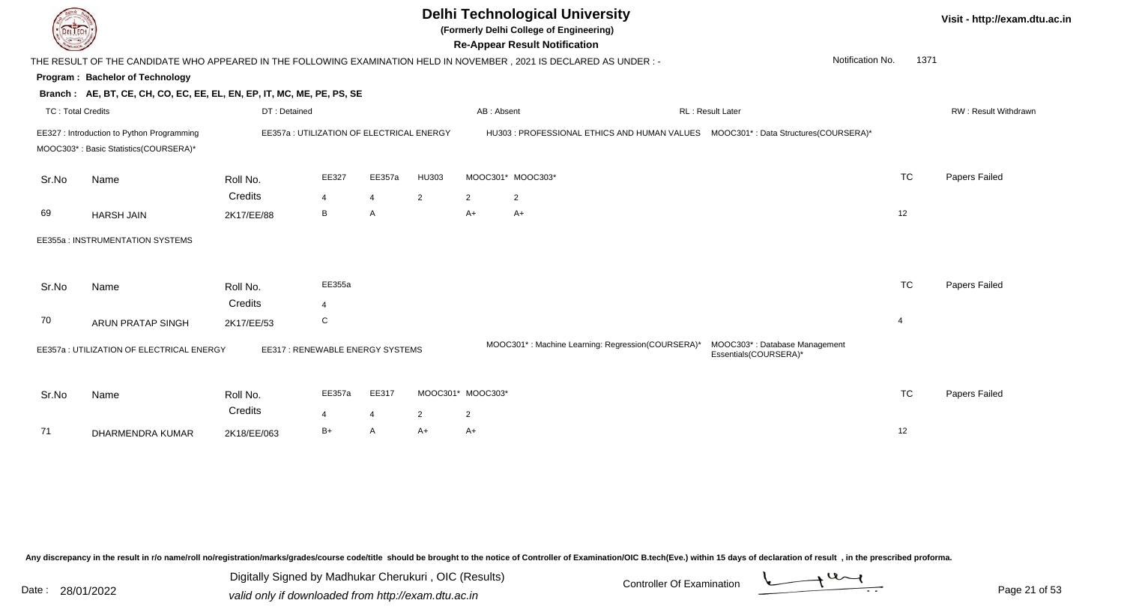

**(Formerly Delhi College of Engineering)**

**Re-Appear Result Notification**

**Visit - http://exam.dtu.ac.in**

| <b>Consultor of Designation of the Consultant</b> |                                                                                     |                                           |                |                |                |                   | <b>Re-Appear Result Notification</b>                                                                                 |                                                        |                |      |                             |
|---------------------------------------------------|-------------------------------------------------------------------------------------|-------------------------------------------|----------------|----------------|----------------|-------------------|----------------------------------------------------------------------------------------------------------------------|--------------------------------------------------------|----------------|------|-----------------------------|
|                                                   |                                                                                     |                                           |                |                |                |                   | THE RESULT OF THE CANDIDATE WHO APPEARED IN THE FOLLOWING EXAMINATION HELD IN NOVEMBER, 2021 IS DECLARED AS UNDER :- | Notification No.                                       |                | 1371 |                             |
|                                                   | <b>Program: Bachelor of Technology</b>                                              |                                           |                |                |                |                   |                                                                                                                      |                                                        |                |      |                             |
|                                                   | Branch: AE, BT, CE, CH, CO, EC, EE, EL, EN, EP, IT, MC, ME, PE, PS, SE              |                                           |                |                |                |                   |                                                                                                                      |                                                        |                |      |                             |
| <b>TC: Total Credits</b>                          |                                                                                     | DT: Detained                              |                |                |                | AB: Absent        |                                                                                                                      | RL : Result Later                                      |                |      | <b>RW: Result Withdrawr</b> |
|                                                   | EE327 : Introduction to Python Programming<br>MOOC303*: Basic Statistics(COURSERA)* | EE357a : UTILIZATION OF ELECTRICAL ENERGY |                |                |                |                   | HU303 : PROFESSIONAL ETHICS AND HUMAN VALUES  MOOC301* : Data Structures(COURSERA)*                                  |                                                        |                |      |                             |
|                                                   |                                                                                     |                                           |                |                |                |                   |                                                                                                                      |                                                        |                |      |                             |
| Sr.No                                             | Name                                                                                | Roll No.                                  | EE327          | EE357a         | HU303          |                   | MOOC301* MOOC303*                                                                                                    |                                                        | <b>TC</b>      |      | Papers Failed               |
|                                                   |                                                                                     | Credits                                   | 4              | $\overline{4}$ | $\overline{2}$ | 2                 | $\overline{2}$                                                                                                       |                                                        |                |      |                             |
| 69                                                | <b>HARSH JAIN</b>                                                                   | 2K17/EE/88                                | В              | A              |                | A+                | $A+$                                                                                                                 |                                                        | 12             |      |                             |
|                                                   | EE355a : INSTRUMENTATION SYSTEMS                                                    |                                           |                |                |                |                   |                                                                                                                      |                                                        |                |      |                             |
|                                                   |                                                                                     |                                           |                |                |                |                   |                                                                                                                      |                                                        |                |      |                             |
| Sr.No                                             | Name                                                                                | Roll No.                                  | EE355a         |                |                |                   |                                                                                                                      |                                                        | <b>TC</b>      |      | Papers Failed               |
|                                                   |                                                                                     | Credits                                   | $\overline{4}$ |                |                |                   |                                                                                                                      |                                                        |                |      |                             |
| 70                                                | <b>ARUN PRATAP SINGH</b>                                                            | 2K17/EE/53                                | C              |                |                |                   |                                                                                                                      |                                                        | $\overline{4}$ |      |                             |
|                                                   | EE357a : UTILIZATION OF ELECTRICAL ENERGY                                           | EE317: RENEWABLE ENERGY SYSTEMS           |                |                |                |                   | MOOC301*: Machine Learning: Regression(COURSERA)*                                                                    | MOOC303*: Database Management<br>Essentials(COURSERA)* |                |      |                             |
|                                                   |                                                                                     |                                           |                |                |                |                   |                                                                                                                      |                                                        |                |      |                             |
| Sr.No                                             | Name                                                                                | Roll No.                                  | EE357a         | EE317          |                | MOOC301* MOOC303* |                                                                                                                      |                                                        | <b>TC</b>      |      | Papers Failed               |
|                                                   |                                                                                     | Credits                                   | 4              | 4              | $\overline{2}$ | $\overline{2}$    |                                                                                                                      |                                                        |                |      |                             |
| 71                                                | DHARMENDRA KUMAR                                                                    | 2K18/EE/063                               | $B+$           | A              | $A+$           | $A+$              |                                                                                                                      |                                                        | 12             |      |                             |
|                                                   |                                                                                     |                                           |                |                |                |                   |                                                                                                                      |                                                        |                |      |                             |

Any discrepancy in the result in r/o name/roll no/registration/marks/grades/course code/title should be brought to the notice of Controller of Examination/OIC B.tech(Eve.) within 15 days of declaration of result, in the pr

Date : 28/01/2022 Valid only if downloaded from http://exam.dtu.ac.in<br>valid only if downloaded from http://exam.dtu.ac.in Digitally Signed by Madhukar Cherukuri , OIC (Results)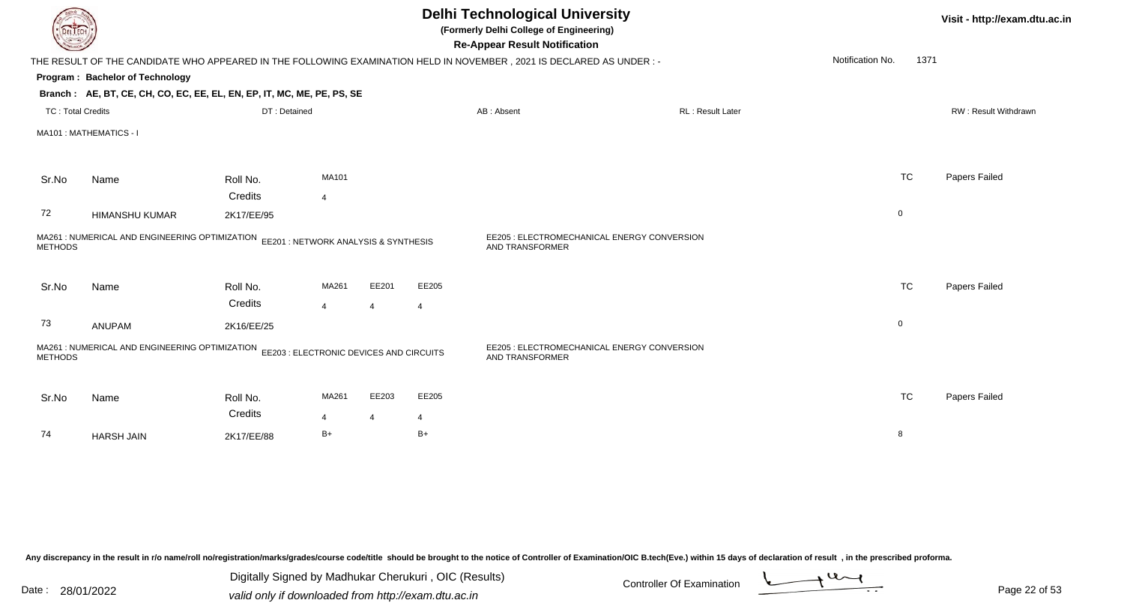|                          |                                                                                                                      |                     |                         |                         |                         | <b>Delhi Technological University</b><br>(Formerly Delhi College of Engineering)<br><b>Re-Appear Result Notification</b> |                  |                  |      | Visit - http://exam.dtu.ac.in |  |
|--------------------------|----------------------------------------------------------------------------------------------------------------------|---------------------|-------------------------|-------------------------|-------------------------|--------------------------------------------------------------------------------------------------------------------------|------------------|------------------|------|-------------------------------|--|
|                          | THE RESULT OF THE CANDIDATE WHO APPEARED IN THE FOLLOWING EXAMINATION HELD IN NOVEMBER, 2021 IS DECLARED AS UNDER :- |                     |                         |                         |                         |                                                                                                                          |                  | Notification No. | 1371 |                               |  |
|                          | Program: Bachelor of Technology                                                                                      |                     |                         |                         |                         |                                                                                                                          |                  |                  |      |                               |  |
|                          | Branch: AE, BT, CE, CH, CO, EC, EE, EL, EN, EP, IT, MC, ME, PE, PS, SE                                               |                     |                         |                         |                         |                                                                                                                          |                  |                  |      |                               |  |
| <b>TC: Total Credits</b> |                                                                                                                      | DT: Detained        |                         |                         |                         | AB: Absent                                                                                                               | RL: Result Later |                  |      | RW: Result Withdrawn          |  |
|                          | MA101 : MATHEMATICS - I                                                                                              |                     |                         |                         |                         |                                                                                                                          |                  |                  |      |                               |  |
| Sr.No                    | Name                                                                                                                 | Roll No.            | MA101                   |                         |                         |                                                                                                                          |                  | <b>TC</b>        |      | Papers Failed                 |  |
|                          |                                                                                                                      | Credits             | $\overline{4}$          |                         |                         |                                                                                                                          |                  |                  |      |                               |  |
| 72                       | <b>HIMANSHU KUMAR</b>                                                                                                | 2K17/EE/95          |                         |                         |                         |                                                                                                                          |                  | $\mathbf 0$      |      |                               |  |
| <b>METHODS</b>           | MA261 : NUMERICAL AND ENGINEERING OPTIMIZATION EE201 : NETWORK ANALYSIS & SYNTHESIS                                  |                     |                         |                         |                         | EE205 : ELECTROMECHANICAL ENERGY CONVERSION<br>AND TRANSFORMER                                                           |                  |                  |      |                               |  |
| Sr.No                    | Name                                                                                                                 | Roll No.<br>Credits | MA261<br>$\overline{4}$ | EE201<br>$\overline{4}$ | EE205<br>$\overline{4}$ |                                                                                                                          |                  | <b>TC</b>        |      | Papers Failed                 |  |
| 73                       | ANUPAM                                                                                                               | 2K16/EE/25          |                         |                         |                         |                                                                                                                          |                  | $\mathbf 0$      |      |                               |  |
| <b>METHODS</b>           | MA261 : NUMERICAL AND ENGINEERING OPTIMIZATION EE203 : ELECTRONIC DEVICES AND CIRCUITS                               |                     |                         |                         |                         | EE205 : ELECTROMECHANICAL ENERGY CONVERSION<br>AND TRANSFORMER                                                           |                  |                  |      |                               |  |
| Sr.No                    | Name                                                                                                                 | Roll No.<br>Credits | MA261                   | EE203                   | EE205                   |                                                                                                                          |                  | <b>TC</b>        |      | Papers Failed                 |  |
| 74                       | <b>HARSH JAIN</b>                                                                                                    | 2K17/EE/88          | $\overline{4}$<br>$B+$  | $\overline{4}$          | 4<br>$B+$               |                                                                                                                          |                  | 8                |      |                               |  |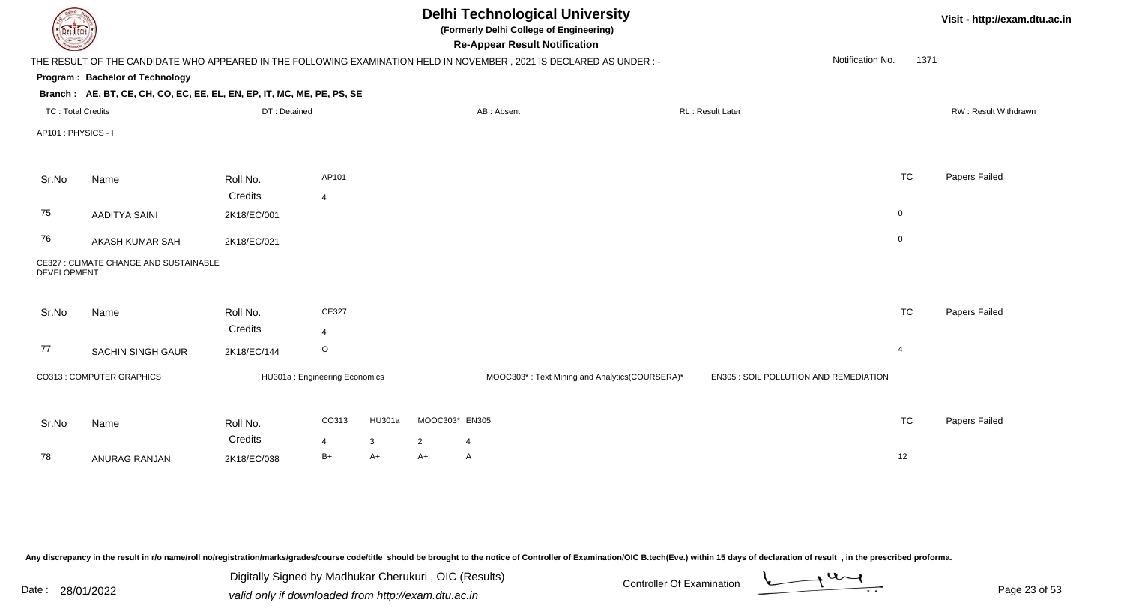|                          |                                                                        |                               |                |        |                | <b>Delhi Technological University</b><br>(Formerly Delhi College of Engineering)<br><b>Re-Appear Result Notification</b> |                                        |                  |      | Visit - http://exam.dtu.ac.in |
|--------------------------|------------------------------------------------------------------------|-------------------------------|----------------|--------|----------------|--------------------------------------------------------------------------------------------------------------------------|----------------------------------------|------------------|------|-------------------------------|
|                          |                                                                        |                               |                |        |                | THE RESULT OF THE CANDIDATE WHO APPEARED IN THE FOLLOWING EXAMINATION HELD IN NOVEMBER, 2021 IS DECLARED AS UNDER:-      |                                        | Notification No. | 1371 |                               |
|                          | Program: Bachelor of Technology                                        |                               |                |        |                |                                                                                                                          |                                        |                  |      |                               |
|                          | Branch: AE, BT, CE, CH, CO, EC, EE, EL, EN, EP, IT, MC, ME, PE, PS, SE |                               |                |        |                |                                                                                                                          |                                        |                  |      |                               |
| <b>TC: Total Credits</b> |                                                                        | DT: Detained                  |                |        |                | AB: Absent                                                                                                               | RL: Result Later                       |                  |      | RW: Result Withdrawn          |
| AP101: PHYSICS - I       |                                                                        |                               |                |        |                |                                                                                                                          |                                        |                  |      |                               |
| Sr.No                    | Name                                                                   | Roll No.                      | AP101          |        |                |                                                                                                                          |                                        | <b>TC</b>        |      | Papers Failed                 |
|                          |                                                                        | Credits                       | $\overline{4}$ |        |                |                                                                                                                          |                                        |                  |      |                               |
| 75                       | <b>AADITYA SAINI</b>                                                   | 2K18/EC/001                   |                |        |                |                                                                                                                          |                                        | $\mathbf 0$      |      |                               |
| 76                       | AKASH KUMAR SAH                                                        | 2K18/EC/021                   |                |        |                |                                                                                                                          |                                        | $\mathsf 0$      |      |                               |
| DEVELOPMENT              | CE327 : CLIMATE CHANGE AND SUSTAINABLE                                 |                               |                |        |                |                                                                                                                          |                                        |                  |      |                               |
| Sr.No                    | Name                                                                   | Roll No.                      | CE327          |        |                |                                                                                                                          |                                        | TC               |      | Papers Failed                 |
|                          |                                                                        | Credits                       | $\overline{4}$ |        |                |                                                                                                                          |                                        |                  |      |                               |
| 77                       | <b>SACHIN SINGH GAUR</b>                                               | 2K18/EC/144                   | $\circ$        |        |                |                                                                                                                          |                                        | $\overline{4}$   |      |                               |
|                          | CO313 : COMPUTER GRAPHICS                                              | HU301a: Engineering Economics |                |        |                | MOOC303*: Text Mining and Analytics(COURSERA)*                                                                           | EN305 : SOIL POLLUTION AND REMEDIATION |                  |      |                               |
| Sr.No                    | Name                                                                   | Roll No.                      | CO313          | HU301a | MOOC303* EN305 |                                                                                                                          |                                        | <b>TC</b>        |      | Papers Failed                 |
|                          |                                                                        | Credits                       | $\overline{4}$ | 3      | $\overline{2}$ | 4                                                                                                                        |                                        |                  |      |                               |
| 78                       | ANURAG RANJAN                                                          | 2K18/EC/038                   | $B+$           | A+     | A+             | A                                                                                                                        |                                        | 12               |      |                               |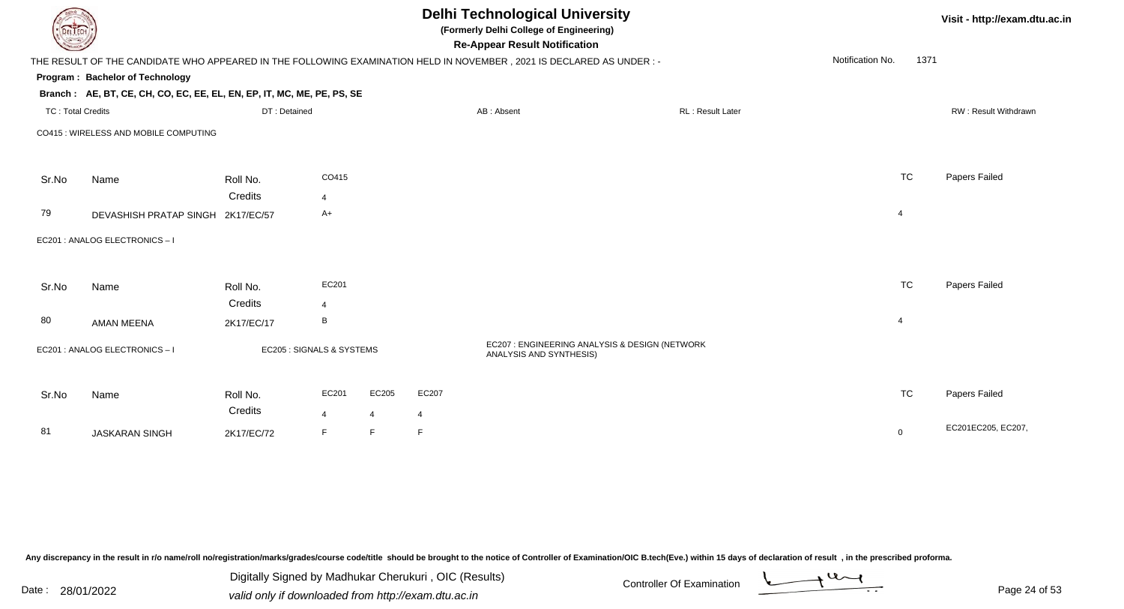|                       |                                                                                                                                                                                            |                                              |                |                                                                                                     |                         |                                                                                                                                        |                                                                                                                                                                        | Visit - http://exam.dtu.ac.in |
|-----------------------|--------------------------------------------------------------------------------------------------------------------------------------------------------------------------------------------|----------------------------------------------|----------------|-----------------------------------------------------------------------------------------------------|-------------------------|----------------------------------------------------------------------------------------------------------------------------------------|------------------------------------------------------------------------------------------------------------------------------------------------------------------------|-------------------------------|
|                       |                                                                                                                                                                                            |                                              |                |                                                                                                     |                         |                                                                                                                                        | Notification No.                                                                                                                                                       |                               |
|                       |                                                                                                                                                                                            |                                              |                |                                                                                                     |                         |                                                                                                                                        |                                                                                                                                                                        |                               |
|                       |                                                                                                                                                                                            |                                              |                |                                                                                                     |                         |                                                                                                                                        |                                                                                                                                                                        |                               |
|                       |                                                                                                                                                                                            |                                              |                |                                                                                                     |                         | RL: Result Later                                                                                                                       |                                                                                                                                                                        | RW: Result Withdrawn          |
|                       |                                                                                                                                                                                            |                                              |                |                                                                                                     |                         |                                                                                                                                        |                                                                                                                                                                        |                               |
| Name                  | Roll No.                                                                                                                                                                                   | CO415                                        |                |                                                                                                     |                         |                                                                                                                                        | <b>TC</b>                                                                                                                                                              | Papers Failed                 |
|                       | Credits                                                                                                                                                                                    | $\overline{4}$                               |                |                                                                                                     |                         |                                                                                                                                        |                                                                                                                                                                        |                               |
|                       |                                                                                                                                                                                            | $A+$                                         |                |                                                                                                     |                         |                                                                                                                                        | $\overline{4}$                                                                                                                                                         |                               |
|                       |                                                                                                                                                                                            |                                              |                |                                                                                                     |                         |                                                                                                                                        |                                                                                                                                                                        |                               |
| Name                  | Roll No.                                                                                                                                                                                   | EC201                                        |                |                                                                                                     |                         |                                                                                                                                        | <b>TC</b>                                                                                                                                                              | Papers Failed                 |
|                       | Credits                                                                                                                                                                                    | $\overline{4}$                               |                |                                                                                                     |                         |                                                                                                                                        |                                                                                                                                                                        |                               |
| <b>AMAN MEENA</b>     | 2K17/EC/17                                                                                                                                                                                 | B                                            |                |                                                                                                     |                         |                                                                                                                                        | $\overline{4}$                                                                                                                                                         |                               |
|                       |                                                                                                                                                                                            |                                              |                |                                                                                                     | ANALYSIS AND SYNTHESIS) |                                                                                                                                        |                                                                                                                                                                        |                               |
| Name                  | Roll No.                                                                                                                                                                                   | EC201                                        | EC205          | EC207                                                                                               |                         |                                                                                                                                        | <b>TC</b>                                                                                                                                                              | Papers Failed                 |
|                       |                                                                                                                                                                                            | $\overline{4}$                               | $\overline{4}$ | 4                                                                                                   |                         |                                                                                                                                        |                                                                                                                                                                        |                               |
| <b>JASKARAN SINGH</b> | 2K17/EC/72                                                                                                                                                                                 | F                                            | F              | E                                                                                                   |                         |                                                                                                                                        | $\mathbf 0$                                                                                                                                                            | EC201EC205, EC207,            |
|                       | <b>DELTECH</b><br>Program: Bachelor of Technology<br><b>TC: Total Credits</b><br>CO415 : WIRELESS AND MOBILE COMPUTING<br>EC201 : ANALOG ELECTRONICS - I<br>EC201 : ANALOG ELECTRONICS - I | DEVASHISH PRATAP SINGH 2K17/EC/57<br>Credits | DT: Detained   | Branch: AE, BT, CE, CH, CO, EC, EE, EL, EN, EP, IT, MC, ME, PE, PS, SE<br>EC205 : SIGNALS & SYSTEMS |                         | <b>Delhi Technological University</b><br>(Formerly Delhi College of Engineering)<br><b>Re-Appear Result Notification</b><br>AB: Absent | THE RESULT OF THE CANDIDATE WHO APPEARED IN THE FOLLOWING EXAMINATION HELD IN NOVEMBER, 2021 IS DECLARED AS UNDER :-<br>EC207 : ENGINEERING ANALYSIS & DESIGN (NETWORK | 1371                          |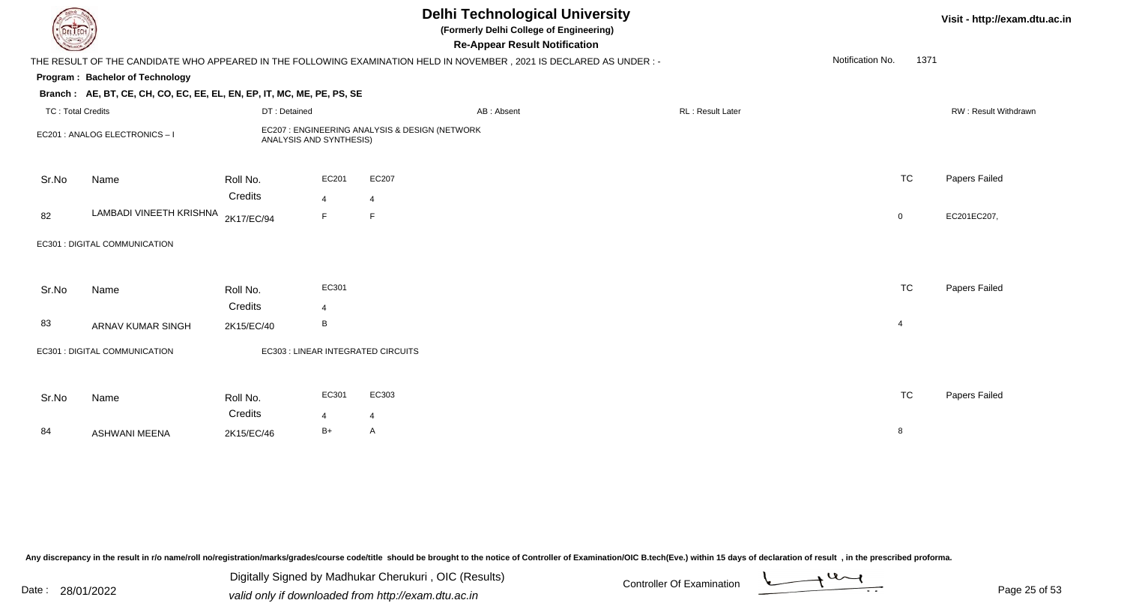| DEL TECH                 |                                                                        |                         |                | <b>Delhi Technological University</b><br>(Formerly Delhi College of Engineering)<br><b>Re-Appear Result Notification</b> |                         |                  |           | Visit - http://exam.dtu.ac.in |
|--------------------------|------------------------------------------------------------------------|-------------------------|----------------|--------------------------------------------------------------------------------------------------------------------------|-------------------------|------------------|-----------|-------------------------------|
|                          |                                                                        |                         |                | THE RESULT OF THE CANDIDATE WHO APPEARED IN THE FOLLOWING EXAMINATION HELD IN NOVEMBER, 2021 IS DECLARED AS UNDER :-     |                         | Notification No. | 1371      |                               |
|                          | Program: Bachelor of Technology                                        |                         |                |                                                                                                                          |                         |                  |           |                               |
|                          | Branch: AE, BT, CE, CH, CO, EC, EE, EL, EN, EP, IT, MC, ME, PE, PS, SE |                         |                |                                                                                                                          |                         |                  |           |                               |
| <b>TC: Total Credits</b> |                                                                        | DT: Detained            |                | AB: Absent                                                                                                               | <b>RL: Result Later</b> |                  |           | RW: Result Withdrawn          |
|                          | EC201 : ANALOG ELECTRONICS - I                                         | ANALYSIS AND SYNTHESIS) |                | EC207 : ENGINEERING ANALYSIS & DESIGN (NETWORK                                                                           |                         |                  |           |                               |
| Sr.No                    | Name                                                                   | Roll No.                | EC201          | EC207                                                                                                                    |                         |                  | <b>TC</b> | Papers Failed                 |
|                          |                                                                        | Credits                 | $\overline{4}$ | $\overline{4}$                                                                                                           |                         |                  |           |                               |
| 82                       | LAMBADI VINEETH KRISHNA                                                | 2K17/EC/94              | F.             | F                                                                                                                        |                         | 0                |           | EC201EC207,                   |
|                          | EC301 : DIGITAL COMMUNICATION                                          |                         |                |                                                                                                                          |                         |                  |           |                               |
| Sr.No                    | Name                                                                   | Roll No.                | EC301          |                                                                                                                          |                         |                  | <b>TC</b> | Papers Failed                 |
|                          |                                                                        | Credits                 | $\overline{4}$ |                                                                                                                          |                         |                  |           |                               |
| 83                       | ARNAV KUMAR SINGH                                                      | 2K15/EC/40              | B              |                                                                                                                          |                         | $\overline{4}$   |           |                               |
|                          | EC301 : DIGITAL COMMUNICATION                                          |                         |                | EC303 : LINEAR INTEGRATED CIRCUITS                                                                                       |                         |                  |           |                               |
| Sr.No                    | Name                                                                   | Roll No.                | EC301          | EC303                                                                                                                    |                         |                  | <b>TC</b> | Papers Failed                 |
|                          |                                                                        | Credits                 | $\overline{4}$ | 4                                                                                                                        |                         |                  |           |                               |
| 84                       | <b>ASHWANI MEENA</b>                                                   | 2K15/EC/46              | $B+$           | A                                                                                                                        |                         | 8                |           |                               |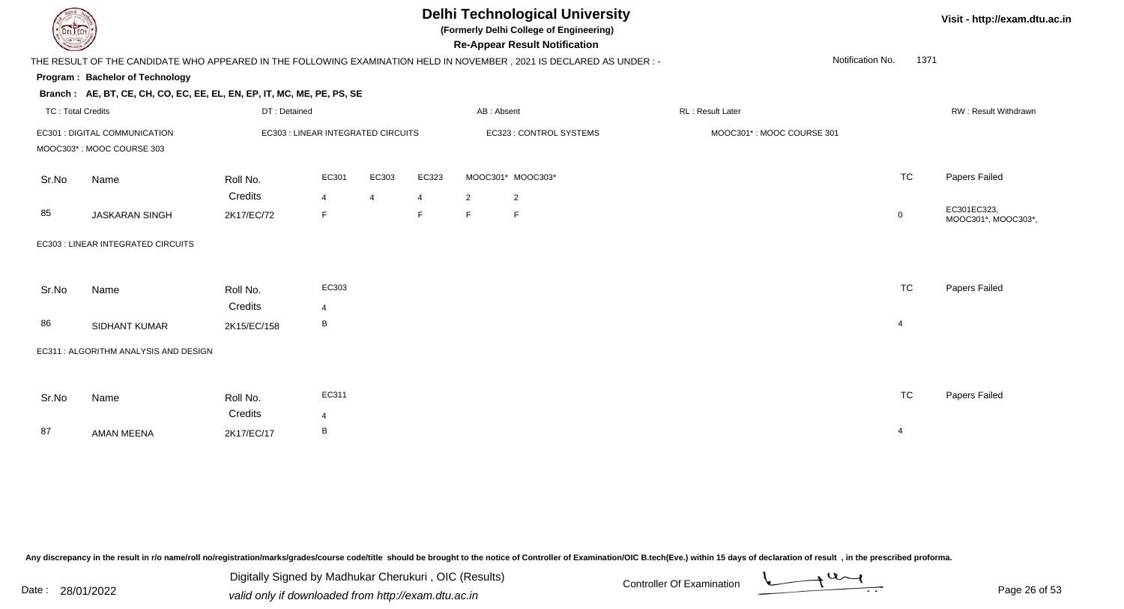

**(Formerly Delhi College of Engineering)**

**Re-Appear Result Notification**

**Visit - http://exam.dtu.ac.in**

| <b>Consumer of</b>       |                                                                        |                                    |                |       |                |                | <b>Re-Appear Result Notification</b>                                                                                   |                           |                  |             |                                    |
|--------------------------|------------------------------------------------------------------------|------------------------------------|----------------|-------|----------------|----------------|------------------------------------------------------------------------------------------------------------------------|---------------------------|------------------|-------------|------------------------------------|
|                          |                                                                        |                                    |                |       |                |                | THE RESULT OF THE CANDIDATE WHO APPEARED IN THE FOLLOWING EXAMINATION HELD IN NOVEMBER , 2021 IS DECLARED AS UNDER : - |                           | Notification No. | 1371        |                                    |
|                          | <b>Program: Bachelor of Technology</b>                                 |                                    |                |       |                |                |                                                                                                                        |                           |                  |             |                                    |
|                          | Branch: AE, BT, CE, CH, CO, EC, EE, EL, EN, EP, IT, MC, ME, PE, PS, SE |                                    |                |       |                |                |                                                                                                                        |                           |                  |             |                                    |
| <b>TC: Total Credits</b> |                                                                        | DT: Detained                       |                |       |                | AB: Absent     |                                                                                                                        | RL: Result Later          |                  |             | RW: Result Withdrawn               |
|                          | EC301 : DIGITAL COMMUNICATION                                          | EC303 : LINEAR INTEGRATED CIRCUITS |                |       |                |                | EC323 : CONTROL SYSTEMS                                                                                                | MOOC301*: MOOC COURSE 301 |                  |             |                                    |
|                          | MOOC303*: MOOC COURSE 303                                              |                                    |                |       |                |                |                                                                                                                        |                           |                  |             |                                    |
| Sr.No                    | Name                                                                   | Roll No.                           | EC301          | EC303 | EC323          |                | MOOC301* MOOC303*                                                                                                      |                           |                  | <b>TC</b>   | Papers Failed                      |
|                          |                                                                        | Credits                            | $\overline{4}$ | 4     | $\overline{4}$ | $\overline{2}$ | $\overline{2}$                                                                                                         |                           |                  |             |                                    |
| 85                       | <b>JASKARAN SINGH</b>                                                  | 2K17/EC/72                         | F.             |       | $\mathsf F$    | F              | F                                                                                                                      |                           |                  | $\mathbf 0$ | EC301EC323,<br>MOOC301*, MOOC303*, |
|                          | EC303 : LINEAR INTEGRATED CIRCUITS                                     |                                    |                |       |                |                |                                                                                                                        |                           |                  |             |                                    |
|                          |                                                                        |                                    |                |       |                |                |                                                                                                                        |                           |                  |             |                                    |
| Sr.No                    | Name                                                                   | Roll No.                           | EC303          |       |                |                |                                                                                                                        |                           |                  | <b>TC</b>   | Papers Failed                      |
|                          |                                                                        | Credits                            | $\overline{4}$ |       |                |                |                                                                                                                        |                           |                  |             |                                    |
| 86                       | SIDHANT KUMAR                                                          | 2K15/EC/158                        | В              |       |                |                |                                                                                                                        |                           |                  | 4           |                                    |
|                          | EC311 : ALGORITHM ANALYSIS AND DESIGN                                  |                                    |                |       |                |                |                                                                                                                        |                           |                  |             |                                    |
|                          |                                                                        |                                    |                |       |                |                |                                                                                                                        |                           |                  |             |                                    |
| Sr.No                    | Name                                                                   | Roll No.                           | EC311          |       |                |                |                                                                                                                        |                           |                  | <b>TC</b>   | Papers Failed                      |
|                          |                                                                        | Credits                            | $\overline{4}$ |       |                |                |                                                                                                                        |                           |                  |             |                                    |
| 87                       | <b>AMAN MEENA</b>                                                      | 2K17/EC/17                         | В              |       |                |                |                                                                                                                        |                           |                  | 4           |                                    |
|                          |                                                                        |                                    |                |       |                |                |                                                                                                                        |                           |                  |             |                                    |

Any discrepancy in the result in r/o name/roll no/registration/marks/grades/course code/title should be brought to the notice of Controller of Examination/OIC B.tech(Eve.) within 15 days of declaration of result, in the pr

Date : 28/01/2022 Valid only if downloaded from http://exam.dtu.ac.in<br>valid only if downloaded from http://exam.dtu.ac.in Digitally Signed by Madhukar Cherukuri , OIC (Results)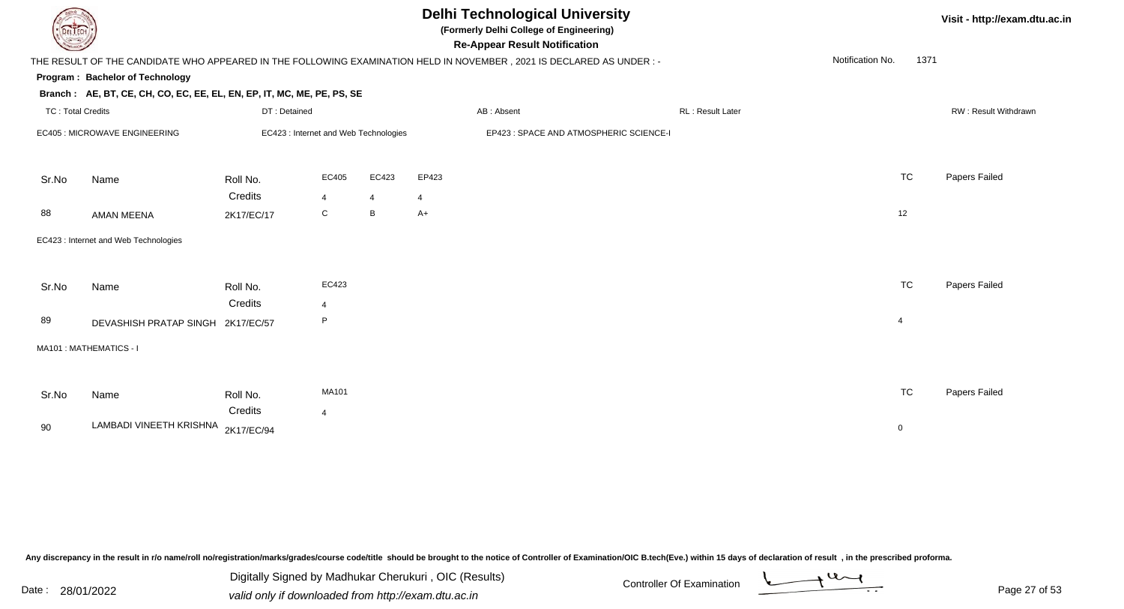| L ECH                    |                                                                                                                      |              |                |       |       | Visit - http://exam.dtu.ac.in           |  |                         |                  |             |                      |  |
|--------------------------|----------------------------------------------------------------------------------------------------------------------|--------------|----------------|-------|-------|-----------------------------------------|--|-------------------------|------------------|-------------|----------------------|--|
|                          | THE RESULT OF THE CANDIDATE WHO APPEARED IN THE FOLLOWING EXAMINATION HELD IN NOVEMBER, 2021 IS DECLARED AS UNDER :- |              |                |       |       |                                         |  |                         | Notification No. | 1371        |                      |  |
|                          | Program: Bachelor of Technology                                                                                      |              |                |       |       |                                         |  |                         |                  |             |                      |  |
|                          | Branch: AE, BT, CE, CH, CO, EC, EE, EL, EN, EP, IT, MC, ME, PE, PS, SE                                               |              |                |       |       |                                         |  |                         |                  |             |                      |  |
| <b>TC: Total Credits</b> |                                                                                                                      | DT: Detained |                |       |       | AB: Absent                              |  | <b>RL: Result Later</b> |                  |             | RW: Result Withdrawn |  |
|                          | EC423 : Internet and Web Technologies<br>EC405 : MICROWAVE ENGINEERING                                               |              |                |       |       | EP423 : SPACE AND ATMOSPHERIC SCIENCE-I |  |                         |                  |             |                      |  |
| Sr.No                    | Name                                                                                                                 | Roll No.     | EC405          | EC423 | EP423 |                                         |  |                         |                  | <b>TC</b>   | Papers Failed        |  |
|                          |                                                                                                                      | Credits      | $\overline{4}$ | 4     | 4     |                                         |  |                         |                  |             |                      |  |
| 88                       | <b>AMAN MEENA</b>                                                                                                    | 2K17/EC/17   | $\mathsf{C}$   | B     | $A+$  |                                         |  |                         |                  | 12          |                      |  |
|                          | EC423 : Internet and Web Technologies                                                                                |              |                |       |       |                                         |  |                         |                  |             |                      |  |
| Sr.No                    | Name                                                                                                                 | Roll No.     | EC423          |       |       |                                         |  |                         |                  | <b>TC</b>   | Papers Failed        |  |
|                          |                                                                                                                      | Credits      | 4              |       |       |                                         |  |                         |                  |             |                      |  |
| 89                       | DEVASHISH PRATAP SINGH 2K17/EC/57                                                                                    |              | P.             |       |       |                                         |  |                         | $\overline{4}$   |             |                      |  |
|                          | MA101: MATHEMATICS - I                                                                                               |              |                |       |       |                                         |  |                         |                  |             |                      |  |
|                          |                                                                                                                      |              |                |       |       |                                         |  |                         |                  |             |                      |  |
| Sr.No                    | Name                                                                                                                 | Roll No.     | MA101          |       |       |                                         |  |                         |                  | <b>TC</b>   | Papers Failed        |  |
|                          |                                                                                                                      | Credits      | $\overline{4}$ |       |       |                                         |  |                         |                  |             |                      |  |
| 90                       | LAMBADI VINEETH KRISHNA 2K17/EC/94                                                                                   |              |                |       |       |                                         |  |                         |                  | $\mathbf 0$ |                      |  |

Digitally Signed by Madhukar Cherukuri, OIC (Results)<br>Date : 28/01/2022 valid only if downloaded from http://oxam.dtu.ac.in valid only if downloaded from http://exam.dtu.ac.in



Digitally Signed by Madhukar Cherukuri , OIC (Results)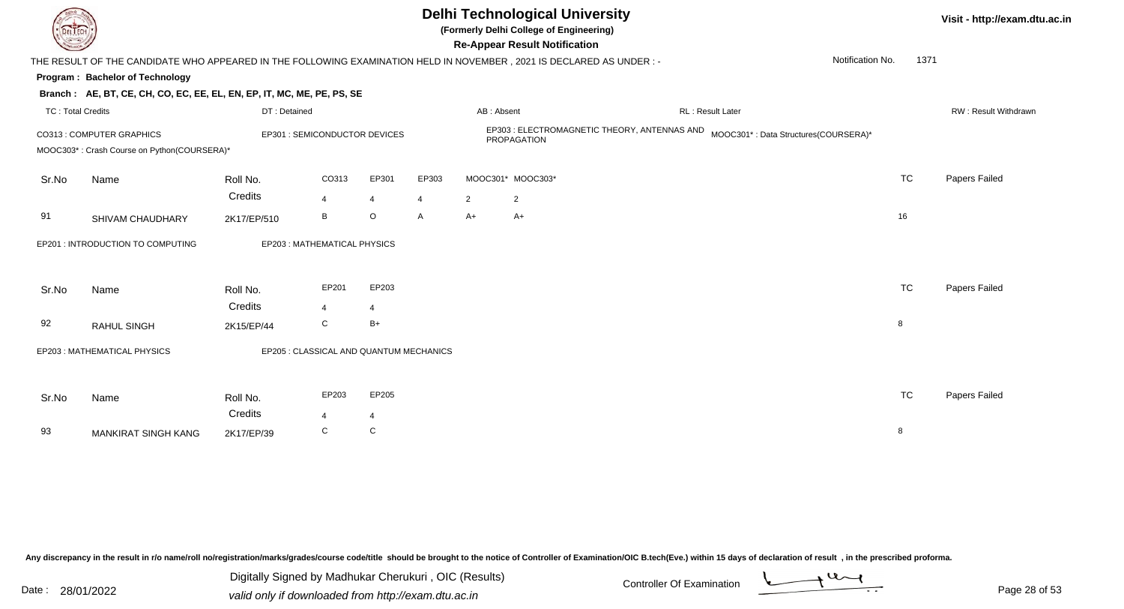

**(Formerly Delhi College of Engineering)**

**Re-Appear Result Notification**

**Visit - http://exam.dtu.ac.in**

| <b>Courses I</b>         |                                                                          |                                         |                  |                |       |                | <b>Re-Appear Result Notification</b>                                                                                 |                                      |                  |           |                      |
|--------------------------|--------------------------------------------------------------------------|-----------------------------------------|------------------|----------------|-------|----------------|----------------------------------------------------------------------------------------------------------------------|--------------------------------------|------------------|-----------|----------------------|
|                          |                                                                          |                                         |                  |                |       |                | THE RESULT OF THE CANDIDATE WHO APPEARED IN THE FOLLOWING EXAMINATION HELD IN NOVEMBER, 2021 IS DECLARED AS UNDER :- |                                      | Notification No. | 1371      |                      |
|                          | <b>Program: Bachelor of Technology</b>                                   |                                         |                  |                |       |                |                                                                                                                      |                                      |                  |           |                      |
|                          | Branch: AE, BT, CE, CH, CO, EC, EE, EL, EN, EP, IT, MC, ME, PE, PS, SE   |                                         |                  |                |       |                |                                                                                                                      |                                      |                  |           |                      |
| <b>TC: Total Credits</b> |                                                                          | DT: Detained                            |                  |                |       | AB: Absent     |                                                                                                                      | RL: Result Later                     |                  |           | RW: Result Withdrawn |
|                          | CO313 : COMPUTER GRAPHICS<br>MOOC303*: Crash Course on Python(COURSERA)* | EP301 : SEMICONDUCTOR DEVICES           |                  |                |       |                | EP303 : ELECTROMAGNETIC THEORY, ANTENNAS AND<br>PROPAGATION                                                          | MOOC301*: Data Structures(COURSERA)* |                  |           |                      |
| Sr.No                    | Name                                                                     | Roll No.                                | CO313            | EP301          | EP303 |                | MOOC301* MOOC303*                                                                                                    |                                      |                  | <b>TC</b> | Papers Failed        |
|                          |                                                                          | Credits                                 | 4                | 4              | 4     | $\overline{2}$ | $\overline{2}$                                                                                                       |                                      |                  |           |                      |
| 91                       | SHIVAM CHAUDHARY                                                         | 2K17/EP/510                             | B                | $\circ$        | A     | A+             | $A+$                                                                                                                 |                                      |                  | 16        |                      |
|                          | EP201 : INTRODUCTION TO COMPUTING                                        | EP203: MATHEMATICAL PHYSICS             |                  |                |       |                |                                                                                                                      |                                      |                  |           |                      |
| Sr.No                    | Name                                                                     | Roll No.                                | EP201            | EP203          |       |                |                                                                                                                      |                                      |                  | <b>TC</b> | Papers Failed        |
|                          |                                                                          | Credits                                 | $\overline{4}$   | $\overline{4}$ |       |                |                                                                                                                      |                                      |                  |           |                      |
| 92                       | RAHUL SINGH                                                              | 2K15/EP/44                              | C                | $B+$           |       |                |                                                                                                                      |                                      |                  | 8         |                      |
|                          | EP203: MATHEMATICAL PHYSICS                                              | EP205 : CLASSICAL AND QUANTUM MECHANICS |                  |                |       |                |                                                                                                                      |                                      |                  |           |                      |
| Sr.No                    | Name                                                                     | Roll No.                                | EP203            | EP205          |       |                |                                                                                                                      |                                      |                  | <b>TC</b> | Papers Failed        |
|                          |                                                                          | Credits                                 | $\boldsymbol{4}$ | 4              |       |                |                                                                                                                      |                                      |                  |           |                      |
| 93                       | <b>MANKIRAT SINGH KANG</b>                                               | 2K17/EP/39                              | C                | C              |       |                |                                                                                                                      |                                      |                  | 8         |                      |
|                          |                                                                          |                                         |                  |                |       |                |                                                                                                                      |                                      |                  |           |                      |

Any discrepancy in the result in r/o name/roll no/registration/marks/grades/course code/title should be brought to the notice of Controller of Examination/OIC B.tech(Eve.) within 15 days of declaration of result, in the pr

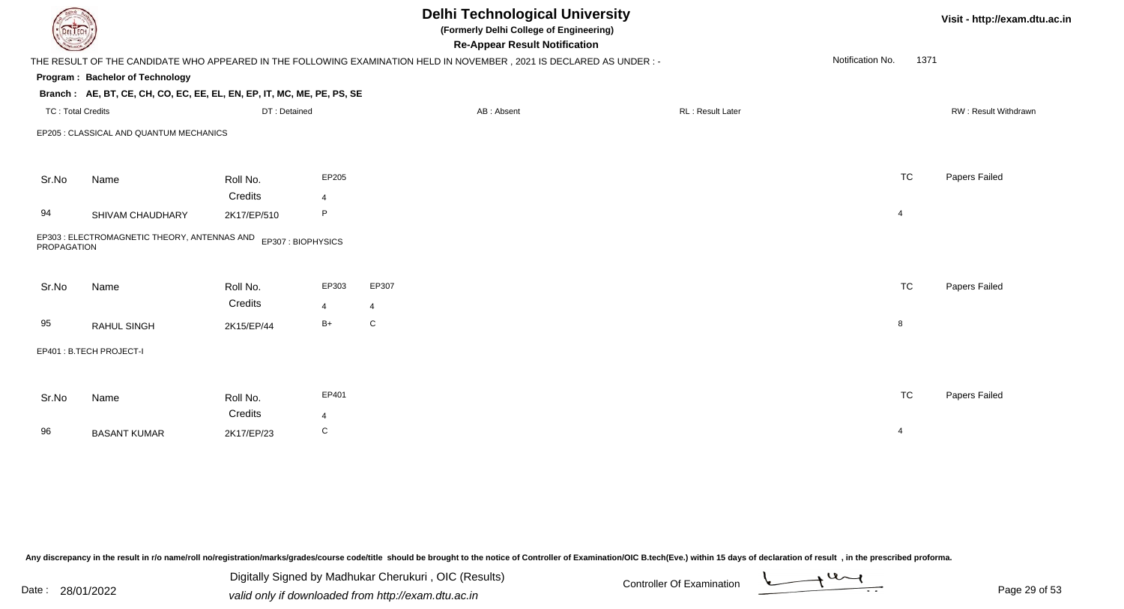| <b>DELTECH</b>           |                                                                        |                     |                         | <b>Delhi Technological University</b><br>(Formerly Delhi College of Engineering)<br><b>Re-Appear Result Notification</b> |                  |                          | Visit - http://exam.dtu.ac.in |
|--------------------------|------------------------------------------------------------------------|---------------------|-------------------------|--------------------------------------------------------------------------------------------------------------------------|------------------|--------------------------|-------------------------------|
|                          |                                                                        |                     |                         | THE RESULT OF THE CANDIDATE WHO APPEARED IN THE FOLLOWING EXAMINATION HELD IN NOVEMBER, 2021 IS DECLARED AS UNDER :-     |                  | Notification No.<br>1371 |                               |
|                          | Program: Bachelor of Technology                                        |                     |                         |                                                                                                                          |                  |                          |                               |
|                          | Branch: AE, BT, CE, CH, CO, EC, EE, EL, EN, EP, IT, MC, ME, PE, PS, SE |                     |                         |                                                                                                                          |                  |                          |                               |
| <b>TC: Total Credits</b> |                                                                        | DT: Detained        |                         | AB: Absent                                                                                                               | RL: Result Later |                          | RW: Result Withdrawn          |
|                          | EP205 : CLASSICAL AND QUANTUM MECHANICS                                |                     |                         |                                                                                                                          |                  |                          |                               |
| Sr.No                    | Name                                                                   | Roll No.            | EP205                   |                                                                                                                          |                  | <b>TC</b>                | Papers Failed                 |
|                          |                                                                        | Credits             | $\overline{4}$          |                                                                                                                          |                  |                          |                               |
| 94                       | SHIVAM CHAUDHARY                                                       | 2K17/EP/510         | P                       |                                                                                                                          |                  | $\overline{4}$           |                               |
| PROPAGATION              | EP303 : ELECTROMAGNETIC THEORY, ANTENNAS AND EP307 : BIOPHYSICS        |                     |                         |                                                                                                                          |                  |                          |                               |
| Sr.No                    | Name                                                                   | Roll No.<br>Credits | EP303<br>$\overline{4}$ | EP307<br>$\overline{4}$                                                                                                  |                  | <b>TC</b>                | Papers Failed                 |
| 95                       | RAHUL SINGH                                                            | 2K15/EP/44          | $B+$                    | ${\bf C}$                                                                                                                |                  | 8                        |                               |
|                          | EP401: B.TECH PROJECT-I                                                |                     |                         |                                                                                                                          |                  |                          |                               |
|                          |                                                                        |                     |                         |                                                                                                                          |                  |                          |                               |
| Sr.No                    | Name                                                                   | Roll No.            | EP401                   |                                                                                                                          |                  | <b>TC</b>                | Papers Failed                 |
|                          |                                                                        | Credits             | $\overline{4}$          |                                                                                                                          |                  |                          |                               |
| 96                       | <b>BASANT KUMAR</b>                                                    | 2K17/EP/23          | C                       |                                                                                                                          |                  | $\overline{4}$           |                               |

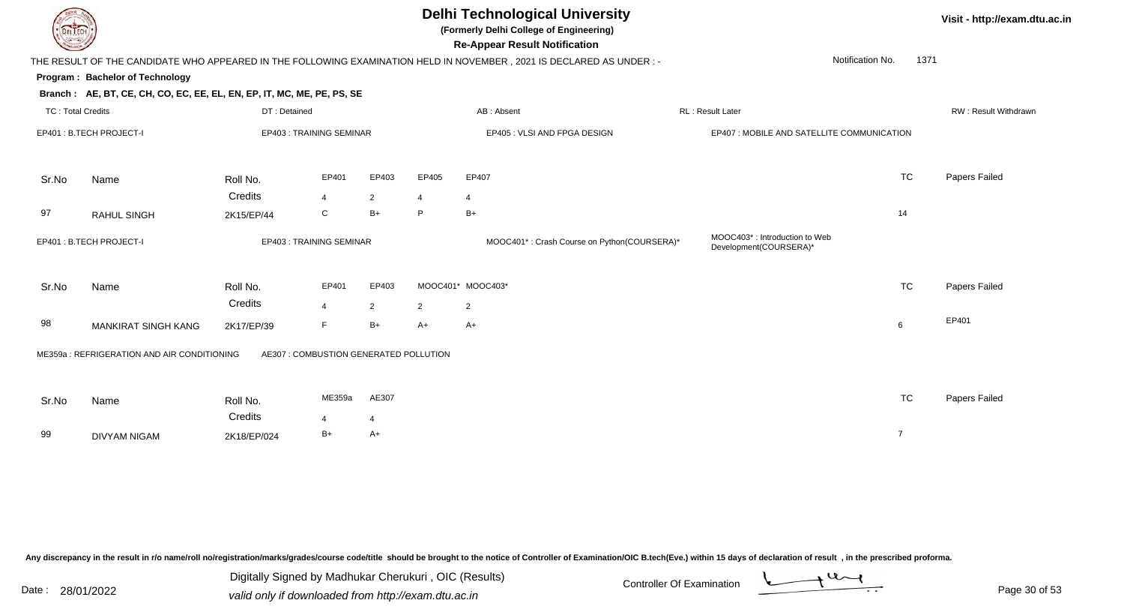

**(Formerly Delhi College of Engineering)**

**Re-Appear Result Notification**

**Visit - http://exam.dtu.ac.in**

|                          |                                                                        |                                        |                         |                         |                | THE RESULT OF THE CANDIDATE WHO APPEARED IN THE FOLLOWING EXAMINATION HELD IN NOVEMBER , 2021 IS DECLARED AS UNDER : - |                                                                      | Notification No.<br>1371 |                             |
|--------------------------|------------------------------------------------------------------------|----------------------------------------|-------------------------|-------------------------|----------------|------------------------------------------------------------------------------------------------------------------------|----------------------------------------------------------------------|--------------------------|-----------------------------|
|                          | Program: Bachelor of Technology                                        |                                        |                         |                         |                |                                                                                                                        |                                                                      |                          |                             |
|                          | Branch: AE, BT, CE, CH, CO, EC, EE, EL, EN, EP, IT, MC, ME, PE, PS, SE |                                        |                         |                         |                |                                                                                                                        |                                                                      |                          |                             |
| <b>TC: Total Credits</b> |                                                                        | DT: Detained                           |                         |                         |                | AB: Absent                                                                                                             | RL: Result Later                                                     |                          | <b>RW: Result Withdrawr</b> |
|                          | EP401: B.TECH PROJECT-I                                                | EP403: TRAINING SEMINAR                |                         |                         |                | EP405 : VLSI AND FPGA DESIGN                                                                                           | EP407 : MOBILE AND SATELLITE COMMUNICATION                           |                          |                             |
| Sr.No                    | Name                                                                   | Roll No.                               | EP401                   | EP403                   | EP405          | EP407                                                                                                                  |                                                                      | <b>TC</b>                | Papers Failed               |
|                          |                                                                        | Credits                                | $\overline{4}$          | $\overline{2}$          | 4              | $\overline{4}$                                                                                                         |                                                                      |                          |                             |
| 97                       | <b>RAHUL SINGH</b>                                                     | 2K15/EP/44                             | C                       | $B+$                    | P              | $B+$                                                                                                                   |                                                                      | 14                       |                             |
|                          | EP401: B.TECH PROJECT-I                                                | EP403: TRAINING SEMINAR                |                         |                         |                | MOOC401*: Crash Course on Python(COURSERA)*                                                                            | MOOC403 <sup>*</sup> : Introduction to Web<br>Development(COURSERA)* |                          |                             |
| Sr.No                    | Name                                                                   | Roll No.<br>Credits                    | EP401<br>$\overline{4}$ | EP403<br>$\overline{2}$ | $\overline{2}$ | MOOC401* MOOC403*<br>$\overline{2}$                                                                                    |                                                                      | <b>TC</b>                | Papers Failed               |
| 98                       | MANKIRAT SINGH KANG                                                    | 2K17/EP/39                             | F.                      | $B+$                    | $A+$           | $A+$                                                                                                                   |                                                                      | 6                        | EP401                       |
|                          | ME359a: REFRIGERATION AND AIR CONDITIONING                             | AE307 : COMBUSTION GENERATED POLLUTION |                         |                         |                |                                                                                                                        |                                                                      |                          |                             |
| Sr.No                    | Name                                                                   | Roll No.                               | ME359a                  | AE307                   |                |                                                                                                                        |                                                                      | <b>TC</b>                | Papers Failed               |
|                          |                                                                        | Credits                                | $\overline{4}$          | 4                       |                |                                                                                                                        |                                                                      |                          |                             |
| 99                       | <b>DIVYAM NIGAM</b>                                                    | 2K18/EP/024                            | B+                      | $A+$                    |                |                                                                                                                        |                                                                      | $\overline{7}$           |                             |
|                          |                                                                        |                                        |                         |                         |                |                                                                                                                        |                                                                      |                          |                             |

Any discrepancy in the result in r/o name/roll no/registration/marks/grades/course code/title should be brought to the notice of Controller of Examination/OIC B.tech(Eve.) within 15 days of declaration of result, in the pr

Date : 28/01/2022 Valid only if downloaded from http://exam.dtu.ac.in<br>valid only if downloaded from http://exam.dtu.ac.in Digitally Signed by Madhukar Cherukuri , OIC (Results)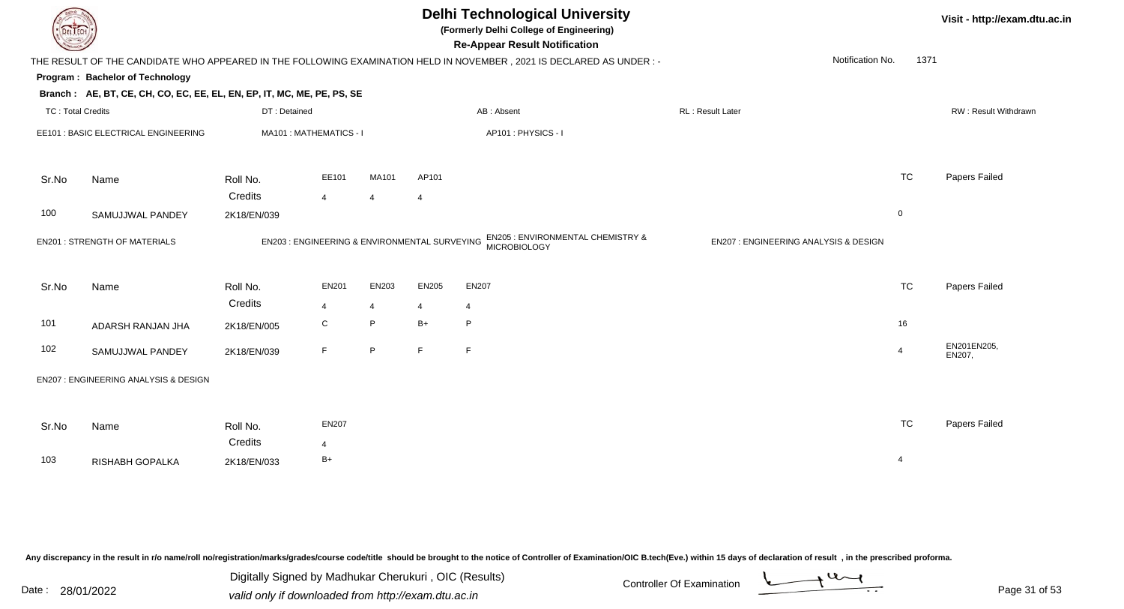| DEL I ECH                |                                                                        |                                               |                        |                |                | <b>Delhi Technological University</b><br>(Formerly Delhi College of Engineering)<br><b>Re-Appear Result Notification</b> |                                       |                | Visit - http://exam.dtu.ac.in |
|--------------------------|------------------------------------------------------------------------|-----------------------------------------------|------------------------|----------------|----------------|--------------------------------------------------------------------------------------------------------------------------|---------------------------------------|----------------|-------------------------------|
|                          |                                                                        |                                               |                        |                |                | THE RESULT OF THE CANDIDATE WHO APPEARED IN THE FOLLOWING EXAMINATION HELD IN NOVEMBER, 2021 IS DECLARED AS UNDER :-     | Notification No.                      | 1371           |                               |
|                          | Program: Bachelor of Technology                                        |                                               |                        |                |                |                                                                                                                          |                                       |                |                               |
|                          | Branch: AE, BT, CE, CH, CO, EC, EE, EL, EN, EP, IT, MC, ME, PE, PS, SE |                                               |                        |                |                |                                                                                                                          |                                       |                |                               |
| <b>TC: Total Credits</b> |                                                                        | DT: Detained                                  |                        |                |                | AB: Absent                                                                                                               | RL: Result Later                      |                | RW: Result Withdrawn          |
|                          | EE101 : BASIC ELECTRICAL ENGINEERING                                   | MA101: MATHEMATICS - I                        |                        |                |                | AP101: PHYSICS - I                                                                                                       |                                       |                |                               |
| Sr.No                    | Name                                                                   | Roll No.                                      | EE101                  | MA101          | AP101          |                                                                                                                          |                                       | <b>TC</b>      | Papers Failed                 |
|                          |                                                                        | Credits                                       | $\overline{4}$         | $\overline{4}$ | $\overline{4}$ |                                                                                                                          |                                       |                |                               |
| 100                      | SAMUJJWAL PANDEY                                                       | 2K18/EN/039                                   |                        |                |                |                                                                                                                          |                                       | $\mathbf 0$    |                               |
|                          | <b>EN201: STRENGTH OF MATERIALS</b>                                    | EN203 : ENGINEERING & ENVIRONMENTAL SURVEYING |                        |                |                | EN205 : ENVIRONMENTAL CHEMISTRY &<br>MICROBIOLOGY                                                                        | EN207 : ENGINEERING ANALYSIS & DESIGN |                |                               |
| Sr.No                    | Name                                                                   | Roll No.<br>Credits                           | <b>EN201</b>           | EN203          | EN205          | EN207                                                                                                                    |                                       | <b>TC</b>      | Papers Failed                 |
|                          |                                                                        |                                               | $\overline{4}$         | $\overline{4}$ | $\overline{4}$ | $\overline{4}$                                                                                                           |                                       |                |                               |
| 101                      | ADARSH RANJAN JHA                                                      | 2K18/EN/005                                   | C                      | P              | $B+$           | P                                                                                                                        |                                       | 16             |                               |
| 102                      | SAMUJJWAL PANDEY                                                       | 2K18/EN/039                                   | F                      | $\mathsf P$    | F.             | $\mathsf F$                                                                                                              |                                       | $\overline{4}$ | EN201EN205,<br>EN207,         |
|                          | EN207 : ENGINEERING ANALYSIS & DESIGN                                  |                                               |                        |                |                |                                                                                                                          |                                       |                |                               |
| Sr.No                    | Name                                                                   | Roll No.<br>Credits                           | <b>EN207</b>           |                |                |                                                                                                                          |                                       | <b>TC</b>      | Papers Failed                 |
| 103                      | RISHABH GOPALKA                                                        | 2K18/EN/033                                   | $\overline{4}$<br>$B+$ |                |                |                                                                                                                          |                                       | $\overline{4}$ |                               |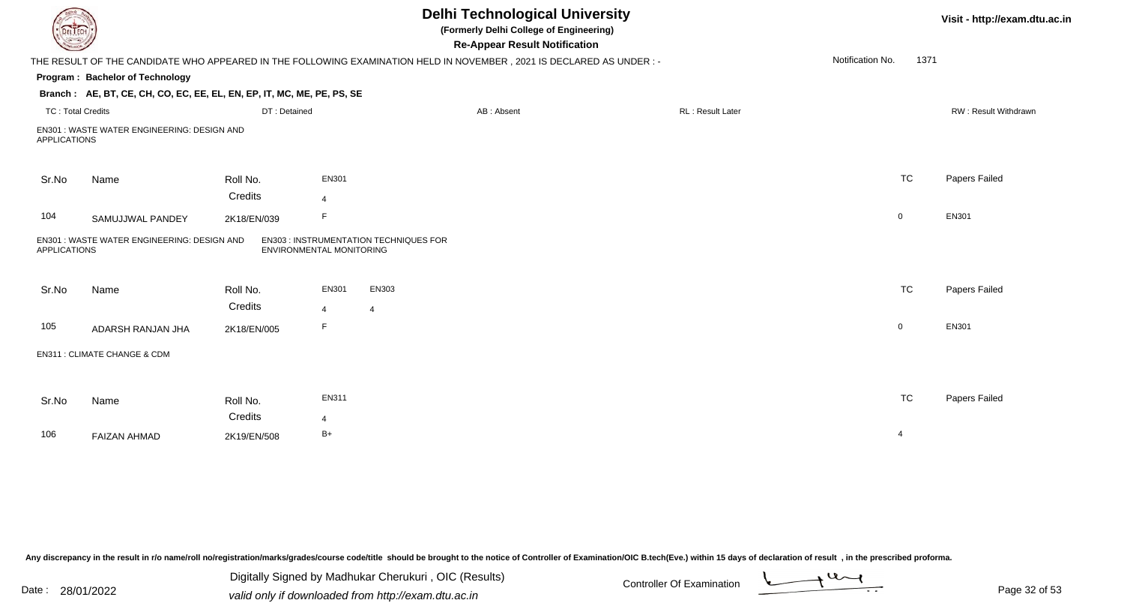| EL ECH                   |                                                                        |                     |                          | <b>Delhi Technological University</b><br>(Formerly Delhi College of Engineering)<br><b>Re-Appear Result Notification</b> |                  |                          | Visit - http://exam.dtu.ac.in |
|--------------------------|------------------------------------------------------------------------|---------------------|--------------------------|--------------------------------------------------------------------------------------------------------------------------|------------------|--------------------------|-------------------------------|
|                          |                                                                        |                     |                          | THE RESULT OF THE CANDIDATE WHO APPEARED IN THE FOLLOWING EXAMINATION HELD IN NOVEMBER, 2021 IS DECLARED AS UNDER:-      |                  | Notification No.<br>1371 |                               |
|                          | <b>Program: Bachelor of Technology</b>                                 |                     |                          |                                                                                                                          |                  |                          |                               |
|                          | Branch: AE, BT, CE, CH, CO, EC, EE, EL, EN, EP, IT, MC, ME, PE, PS, SE |                     |                          |                                                                                                                          |                  |                          |                               |
| <b>TC: Total Credits</b> |                                                                        | DT: Detained        |                          | AB: Absent                                                                                                               | RL: Result Later |                          | RW: Result Withdrawn          |
| <b>APPLICATIONS</b>      | EN301: WASTE WATER ENGINEERING: DESIGN AND                             |                     |                          |                                                                                                                          |                  |                          |                               |
| Sr.No                    | Name                                                                   | Roll No.            | EN301                    |                                                                                                                          |                  | <b>TC</b>                | Papers Failed                 |
|                          |                                                                        | Credits             | $\overline{4}$           |                                                                                                                          |                  |                          |                               |
| 104                      | SAMUJJWAL PANDEY                                                       | 2K18/EN/039         | F                        |                                                                                                                          |                  | $\overline{0}$           | EN301                         |
| <b>APPLICATIONS</b>      | EN301 : WASTE WATER ENGINEERING: DESIGN AND                            |                     | ENVIRONMENTAL MONITORING | <b>EN303 : INSTRUMENTATION TECHNIQUES FOR</b>                                                                            |                  |                          |                               |
| Sr.No                    | Name                                                                   | Roll No.<br>Credits | EN301<br>$\overline{4}$  | EN303<br>$\overline{4}$                                                                                                  |                  | <b>TC</b>                | Papers Failed                 |
| 105                      | ADARSH RANJAN JHA                                                      | 2K18/EN/005         | F.                       |                                                                                                                          |                  | $\overline{0}$           | EN301                         |
|                          | EN311 : CLIMATE CHANGE & CDM                                           |                     |                          |                                                                                                                          |                  |                          |                               |
| Sr.No                    | Name                                                                   | Roll No.            | EN311                    |                                                                                                                          |                  | <b>TC</b>                | Papers Failed                 |
|                          |                                                                        | Credits             | $\overline{4}$           |                                                                                                                          |                  |                          |                               |
| 106                      | <b>FAIZAN AHMAD</b>                                                    | 2K19/EN/508         | $B+$                     |                                                                                                                          |                  | $\overline{4}$           |                               |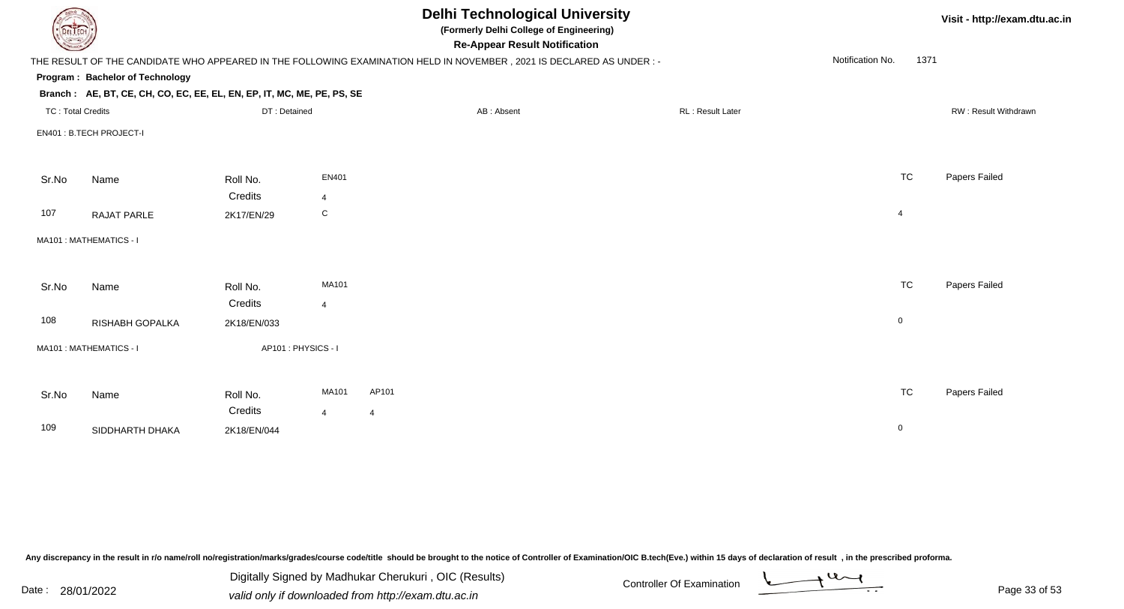| DEL ECH                  |                                                                        |                    |                         | <b>Delhi Technological University</b><br>(Formerly Delhi College of Engineering)<br><b>Re-Appear Result Notification</b> |                  |                  | Visit - http://exam.dtu.ac.in |
|--------------------------|------------------------------------------------------------------------|--------------------|-------------------------|--------------------------------------------------------------------------------------------------------------------------|------------------|------------------|-------------------------------|
|                          |                                                                        |                    |                         | THE RESULT OF THE CANDIDATE WHO APPEARED IN THE FOLLOWING EXAMINATION HELD IN NOVEMBER, 2021 IS DECLARED AS UNDER :-     |                  | Notification No. | 1371                          |
|                          | Program: Bachelor of Technology                                        |                    |                         |                                                                                                                          |                  |                  |                               |
|                          | Branch: AE, BT, CE, CH, CO, EC, EE, EL, EN, EP, IT, MC, ME, PE, PS, SE |                    |                         |                                                                                                                          |                  |                  |                               |
| <b>TC: Total Credits</b> |                                                                        | DT: Detained       |                         | AB: Absent                                                                                                               | RL: Result Later |                  | RW: Result Withdrawn          |
|                          | EN401: B.TECH PROJECT-I                                                |                    |                         |                                                                                                                          |                  |                  |                               |
|                          |                                                                        |                    |                         |                                                                                                                          |                  |                  |                               |
| Sr.No                    | Name                                                                   | Roll No.           | <b>EN401</b>            |                                                                                                                          |                  | <b>TC</b>        | Papers Failed                 |
|                          |                                                                        | Credits            | $\overline{4}$          |                                                                                                                          |                  |                  |                               |
| 107                      | <b>RAJAT PARLE</b>                                                     | 2K17/EN/29         | $\mathsf C$             |                                                                                                                          |                  | $\overline{4}$   |                               |
|                          | MA101 : MATHEMATICS - I                                                |                    |                         |                                                                                                                          |                  |                  |                               |
|                          |                                                                        |                    |                         |                                                                                                                          |                  |                  |                               |
| Sr.No                    | Name                                                                   | Roll No.           | MA101                   |                                                                                                                          |                  | <b>TC</b>        | Papers Failed                 |
|                          |                                                                        | Credits            | $\overline{\mathbf{A}}$ |                                                                                                                          |                  |                  |                               |
| 108                      | RISHABH GOPALKA                                                        | 2K18/EN/033        |                         |                                                                                                                          |                  | $\mathbf 0$      |                               |
|                          | MA101 : MATHEMATICS - I                                                | AP101: PHYSICS - I |                         |                                                                                                                          |                  |                  |                               |
|                          |                                                                        |                    |                         |                                                                                                                          |                  |                  |                               |
| Sr.No                    | Name                                                                   | Roll No.           | MA101                   | AP101                                                                                                                    |                  | <b>TC</b>        | Papers Failed                 |
|                          |                                                                        | Credits            | $\overline{4}$          | $\overline{4}$                                                                                                           |                  |                  |                               |
| 109                      | SIDDHARTH DHAKA                                                        | 2K18/EN/044        |                         |                                                                                                                          |                  | $\mathbf 0$      |                               |
|                          |                                                                        |                    |                         |                                                                                                                          |                  |                  |                               |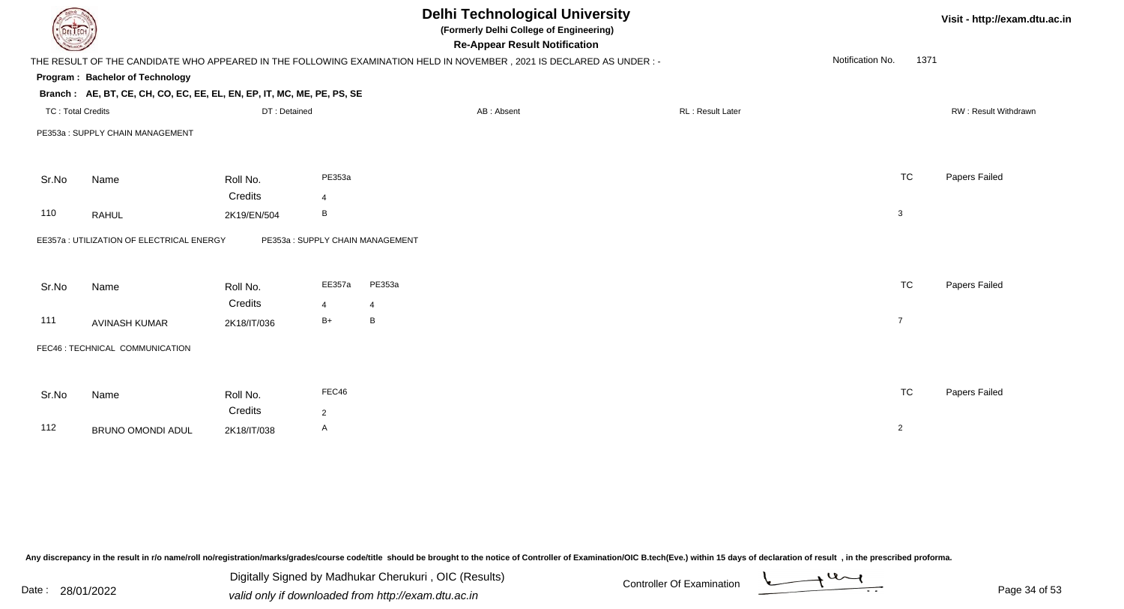|                          |                                                                        |              |                                 | <b>Delhi Technological University</b><br>(Formerly Delhi College of Engineering)<br><b>Re-Appear Result Notification</b> |                  | Visit - http://exam.dtu.ac.in |                      |
|--------------------------|------------------------------------------------------------------------|--------------|---------------------------------|--------------------------------------------------------------------------------------------------------------------------|------------------|-------------------------------|----------------------|
|                          |                                                                        |              |                                 | THE RESULT OF THE CANDIDATE WHO APPEARED IN THE FOLLOWING EXAMINATION HELD IN NOVEMBER, 2021 IS DECLARED AS UNDER :-     |                  | Notification No.<br>1371      |                      |
|                          | Program: Bachelor of Technology                                        |              |                                 |                                                                                                                          |                  |                               |                      |
|                          | Branch: AE, BT, CE, CH, CO, EC, EE, EL, EN, EP, IT, MC, ME, PE, PS, SE |              |                                 |                                                                                                                          |                  |                               |                      |
| <b>TC: Total Credits</b> |                                                                        | DT: Detained |                                 | AB: Absent                                                                                                               | RL: Result Later |                               | RW: Result Withdrawn |
|                          | PE353a: SUPPLY CHAIN MANAGEMENT                                        |              |                                 |                                                                                                                          |                  |                               |                      |
| Sr.No                    | Name                                                                   | Roll No.     | PE353a                          |                                                                                                                          |                  | <b>TC</b>                     | Papers Failed        |
|                          |                                                                        | Credits      | 4                               |                                                                                                                          |                  |                               |                      |
| 110                      | <b>RAHUL</b>                                                           | 2K19/EN/504  | B                               |                                                                                                                          |                  | $\sqrt{3}$                    |                      |
|                          | EE357a : UTILIZATION OF ELECTRICAL ENERGY                              |              | PE353a: SUPPLY CHAIN MANAGEMENT |                                                                                                                          |                  |                               |                      |
| Sr.No                    | Name                                                                   | Roll No.     | EE357a                          | PE353a                                                                                                                   |                  | <b>TC</b>                     | Papers Failed        |
|                          |                                                                        | Credits      | $\overline{4}$                  | $\overline{4}$                                                                                                           |                  |                               |                      |
| 111                      | <b>AVINASH KUMAR</b>                                                   | 2K18/IT/036  | $B+$                            | B                                                                                                                        |                  | $\overline{7}$                |                      |
|                          | FEC46 : TECHNICAL COMMUNICATION                                        |              |                                 |                                                                                                                          |                  |                               |                      |
|                          |                                                                        |              |                                 |                                                                                                                          |                  |                               |                      |
| Sr.No                    | Name                                                                   | Roll No.     | FEC46                           |                                                                                                                          |                  | <b>TC</b>                     | Papers Failed        |
|                          |                                                                        | Credits      | $\overline{2}$                  |                                                                                                                          |                  |                               |                      |
| 112                      | BRUNO OMONDI ADUL                                                      | 2K18/IT/038  | A                               |                                                                                                                          |                  | $\overline{2}$                |                      |
|                          |                                                                        |              |                                 |                                                                                                                          |                  |                               |                      |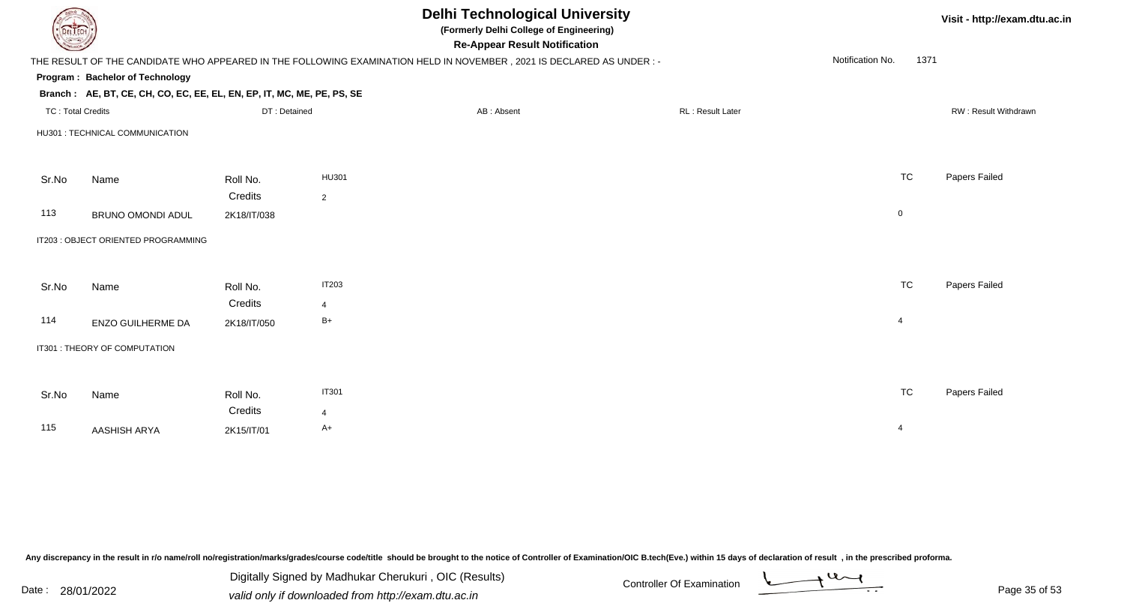| <b>DELTECH</b>           |                                                                        |              |                |                                                                                                                     | Visit - http://exam.dtu.ac.in |                          |                      |
|--------------------------|------------------------------------------------------------------------|--------------|----------------|---------------------------------------------------------------------------------------------------------------------|-------------------------------|--------------------------|----------------------|
|                          |                                                                        |              |                | THE RESULT OF THE CANDIDATE WHO APPEARED IN THE FOLLOWING EXAMINATION HELD IN NOVEMBER, 2021 IS DECLARED AS UNDER:- |                               | Notification No.<br>1371 |                      |
|                          | Program: Bachelor of Technology                                        |              |                |                                                                                                                     |                               |                          |                      |
|                          | Branch: AE, BT, CE, CH, CO, EC, EE, EL, EN, EP, IT, MC, ME, PE, PS, SE |              |                |                                                                                                                     |                               |                          |                      |
| <b>TC: Total Credits</b> |                                                                        | DT: Detained |                | AB: Absent                                                                                                          | RL: Result Later              |                          | RW: Result Withdrawn |
|                          | HU301 : TECHNICAL COMMUNICATION                                        |              |                |                                                                                                                     |                               |                          |                      |
|                          |                                                                        |              |                |                                                                                                                     |                               |                          |                      |
| Sr.No                    | Name                                                                   | Roll No.     | HU301          |                                                                                                                     |                               | <b>TC</b>                | Papers Failed        |
|                          |                                                                        | Credits      | 2              |                                                                                                                     |                               |                          |                      |
| 113                      | BRUNO OMONDI ADUL                                                      | 2K18/IT/038  |                |                                                                                                                     |                               | $\mathbf 0$              |                      |
|                          | IT203 : OBJECT ORIENTED PROGRAMMING                                    |              |                |                                                                                                                     |                               |                          |                      |
|                          |                                                                        |              |                |                                                                                                                     |                               |                          |                      |
| Sr.No                    | Name                                                                   | Roll No.     | <b>IT203</b>   |                                                                                                                     |                               | <b>TC</b>                | Papers Failed        |
|                          |                                                                        | Credits      | 4              |                                                                                                                     |                               |                          |                      |
| 114                      | ENZO GUILHERME DA                                                      | 2K18/IT/050  | $B+$           |                                                                                                                     |                               | $\overline{4}$           |                      |
|                          | IT301 : THEORY OF COMPUTATION                                          |              |                |                                                                                                                     |                               |                          |                      |
|                          |                                                                        |              |                |                                                                                                                     |                               |                          |                      |
| Sr.No                    | Name                                                                   | Roll No.     | <b>IT301</b>   |                                                                                                                     |                               | <b>TC</b>                | Papers Failed        |
|                          |                                                                        | Credits      | $\overline{4}$ |                                                                                                                     |                               |                          |                      |
| 115                      | AASHISH ARYA                                                           | 2K15/IT/01   | $A+$           |                                                                                                                     |                               | $\overline{4}$           |                      |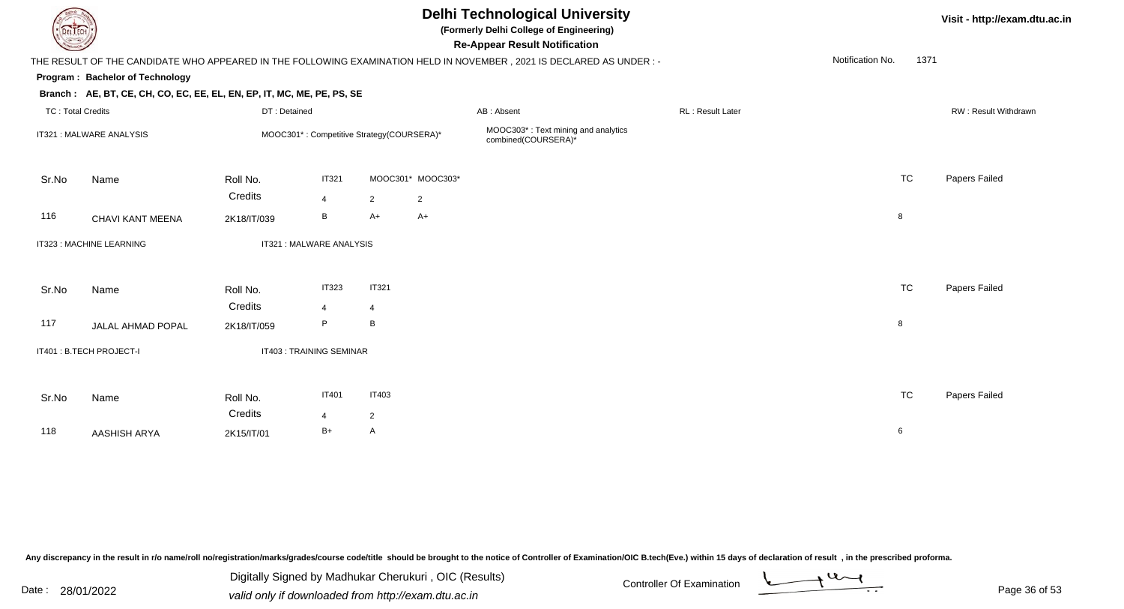|                         |                                                                        |                     |                                           |                     |                   | <b>Delhi Technological University</b><br>(Formerly Delhi College of Engineering)<br><b>Re-Appear Result Notification</b> |                  | Visit - http://exam.dtu.ac.in |      |                      |
|-------------------------|------------------------------------------------------------------------|---------------------|-------------------------------------------|---------------------|-------------------|--------------------------------------------------------------------------------------------------------------------------|------------------|-------------------------------|------|----------------------|
|                         |                                                                        |                     |                                           |                     |                   | THE RESULT OF THE CANDIDATE WHO APPEARED IN THE FOLLOWING EXAMINATION HELD IN NOVEMBER, 2021 IS DECLARED AS UNDER :-     |                  | Notification No.              | 1371 |                      |
|                         | Program: Bachelor of Technology                                        |                     |                                           |                     |                   |                                                                                                                          |                  |                               |      |                      |
|                         | Branch: AE, BT, CE, CH, CO, EC, EE, EL, EN, EP, IT, MC, ME, PE, PS, SE |                     |                                           |                     |                   |                                                                                                                          |                  |                               |      |                      |
|                         | <b>TC: Total Credits</b><br>DT: Detained                               |                     |                                           |                     |                   | AB: Absent                                                                                                               | RL: Result Later |                               |      | RW: Result Withdrawn |
| IT321: MALWARE ANALYSIS |                                                                        |                     | MOOC301*: Competitive Strategy(COURSERA)* |                     |                   | MOOC303*: Text mining and analytics<br>combined(COURSERA)*                                                               |                  |                               |      |                      |
| Sr.No                   | Name                                                                   | Roll No.            | <b>IT321</b>                              |                     | MOOC301* MOOC303* |                                                                                                                          |                  | <b>TC</b>                     |      | Papers Failed        |
|                         |                                                                        | Credits             | $\overline{4}$                            | $\overline{2}$      | $\overline{2}$    |                                                                                                                          |                  |                               |      |                      |
| 116                     | CHAVI KANT MEENA                                                       | 2K18/IT/039         | В                                         | $A+$                | $A+$              |                                                                                                                          |                  | 8                             |      |                      |
|                         | IT323 : MACHINE LEARNING                                               |                     | IT321 : MALWARE ANALYSIS                  |                     |                   |                                                                                                                          |                  |                               |      |                      |
| Sr.No                   | Name                                                                   | Roll No.            | IT323                                     | <b>IT321</b>        |                   |                                                                                                                          |                  | <b>TC</b>                     |      | Papers Failed        |
|                         |                                                                        | Credits             | 4                                         | $\overline{4}$      |                   |                                                                                                                          |                  |                               |      |                      |
| 117                     | JALAL AHMAD POPAL                                                      | 2K18/IT/059         | P                                         | B                   |                   |                                                                                                                          |                  | 8                             |      |                      |
|                         | IT401 : B.TECH PROJECT-I                                               |                     | IT403 : TRAINING SEMINAR                  |                     |                   |                                                                                                                          |                  |                               |      |                      |
| Sr.No                   | Name                                                                   | Roll No.<br>Credits | IT401                                     | <b>IT403</b>        |                   |                                                                                                                          |                  | <b>TC</b>                     |      | Papers Failed        |
| 118                     | <b>AASHISH ARYA</b>                                                    | 2K15/IT/01          | 4<br>$B+$                                 | $\overline{2}$<br>A |                   |                                                                                                                          |                  | 6                             |      |                      |
|                         |                                                                        |                     |                                           |                     |                   |                                                                                                                          |                  |                               |      |                      |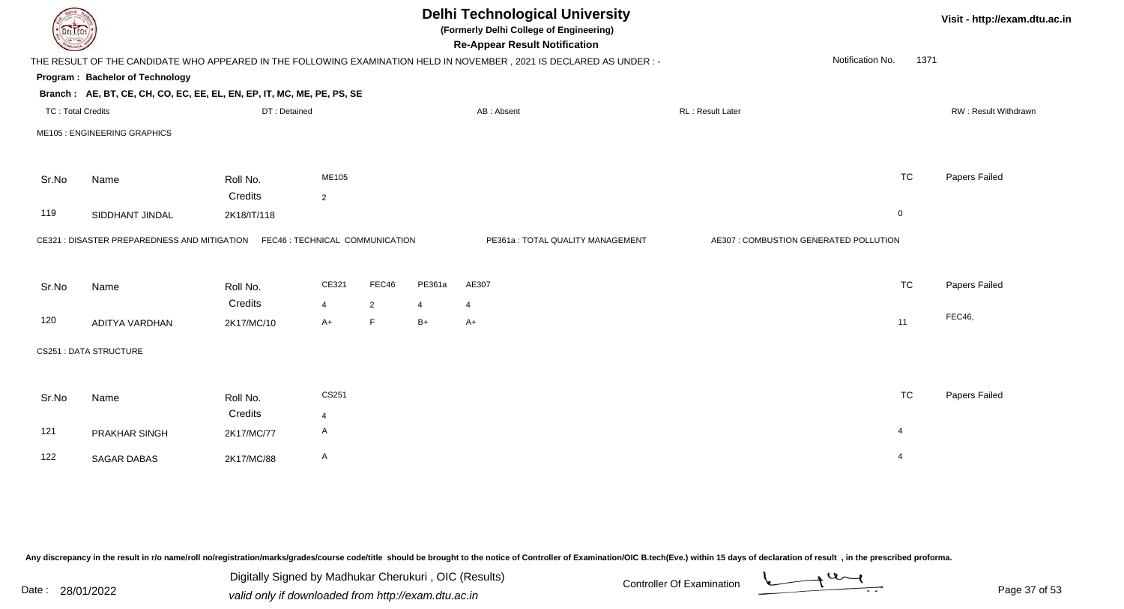|                          | <b>Delhi Technological University</b><br>(Formerly Delhi College of Engineering)<br><b>DELIECH</b><br><b>Re-Appear Result Notification</b> |             |                |                |        |                                  |  |                                        |                  |      | Visit - http://exam.dtu.ac.in |  |  |
|--------------------------|--------------------------------------------------------------------------------------------------------------------------------------------|-------------|----------------|----------------|--------|----------------------------------|--|----------------------------------------|------------------|------|-------------------------------|--|--|
|                          | THE RESULT OF THE CANDIDATE WHO APPEARED IN THE FOLLOWING EXAMINATION HELD IN NOVEMBER, 2021 IS DECLARED AS UNDER :-                       |             |                |                |        |                                  |  |                                        | Notification No. | 1371 |                               |  |  |
|                          | Program: Bachelor of Technology                                                                                                            |             |                |                |        |                                  |  |                                        |                  |      |                               |  |  |
|                          | Branch: AE, BT, CE, CH, CO, EC, EE, EL, EN, EP, IT, MC, ME, PE, PS, SE                                                                     |             |                |                |        |                                  |  |                                        |                  |      |                               |  |  |
| <b>TC: Total Credits</b> |                                                                                                                                            |             | DT: Detained   |                |        | AB: Absent                       |  | RL: Result Later                       |                  |      | RW: Result Withdrawn          |  |  |
|                          | ME105 : ENGINEERING GRAPHICS                                                                                                               |             |                |                |        |                                  |  |                                        |                  |      |                               |  |  |
| Sr.No                    | Name                                                                                                                                       | Roll No.    | ME105          |                |        |                                  |  |                                        | <b>TC</b>        |      | Papers Failed                 |  |  |
|                          |                                                                                                                                            | Credits     | $\overline{2}$ |                |        |                                  |  |                                        |                  |      |                               |  |  |
| 119                      | SIDDHANT JINDAL                                                                                                                            | 2K18/IT/118 |                |                |        |                                  |  |                                        | $\mathbf 0$      |      |                               |  |  |
|                          | CE321 : DISASTER PREPAREDNESS AND MITIGATION  FEC46 : TECHNICAL COMMUNICATION                                                              |             |                |                |        | PE361a: TOTAL QUALITY MANAGEMENT |  | AE307 : COMBUSTION GENERATED POLLUTION |                  |      |                               |  |  |
| Sr.No                    | Name                                                                                                                                       | Roll No.    | CE321          | FEC46          | PE361a | AE307                            |  |                                        | <b>TC</b>        |      | Papers Failed                 |  |  |
|                          |                                                                                                                                            | Credits     | $\overline{4}$ | $\overline{2}$ | 4      | $\overline{4}$                   |  |                                        |                  |      |                               |  |  |
| 120                      | <b>ADITYA VARDHAN</b>                                                                                                                      | 2K17/MC/10  | $A+$           | $\mathsf F$    | $B+$   | $A+$                             |  |                                        | 11               |      | <b>FEC46,</b>                 |  |  |
|                          | CS251 : DATA STRUCTURE                                                                                                                     |             |                |                |        |                                  |  |                                        |                  |      |                               |  |  |
| Sr.No                    | Name                                                                                                                                       | Roll No.    | CS251          |                |        |                                  |  |                                        | <b>TC</b>        |      | Papers Failed                 |  |  |
|                          |                                                                                                                                            | Credits     | $\overline{4}$ |                |        |                                  |  |                                        |                  |      |                               |  |  |
| 121                      | PRAKHAR SINGH                                                                                                                              | 2K17/MC/77  | A              |                |        |                                  |  |                                        | $\overline{4}$   |      |                               |  |  |
| 122                      | <b>SAGAR DABAS</b>                                                                                                                         | 2K17/MC/88  | A              |                |        |                                  |  |                                        | $\overline{4}$   |      |                               |  |  |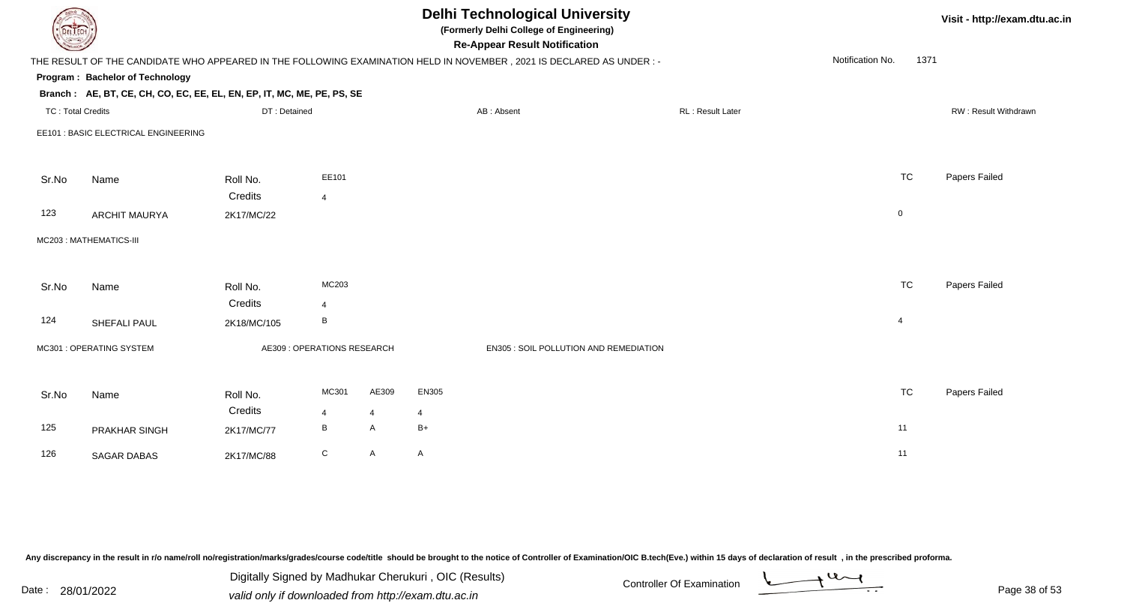|       |                                                                        |                             |                |                |                | <b>Delhi Technological University</b><br>(Formerly Delhi College of Engineering)<br><b>Re-Appear Result Notification</b> |                  |                  |                | Visit - http://exam.dtu.ac.in |
|-------|------------------------------------------------------------------------|-----------------------------|----------------|----------------|----------------|--------------------------------------------------------------------------------------------------------------------------|------------------|------------------|----------------|-------------------------------|
|       |                                                                        |                             |                |                |                | THE RESULT OF THE CANDIDATE WHO APPEARED IN THE FOLLOWING EXAMINATION HELD IN NOVEMBER, 2021 IS DECLARED AS UNDER :-     |                  | Notification No. | 1371           |                               |
|       | Program: Bachelor of Technology                                        |                             |                |                |                |                                                                                                                          |                  |                  |                |                               |
|       | Branch: AE, BT, CE, CH, CO, EC, EE, EL, EN, EP, IT, MC, ME, PE, PS, SE |                             |                |                |                |                                                                                                                          |                  |                  |                |                               |
|       | <b>TC: Total Credits</b><br>DT: Detained                               |                             |                |                |                | AB: Absent                                                                                                               | RL: Result Later |                  |                | RW: Result Withdrawn          |
|       | EE101 : BASIC ELECTRICAL ENGINEERING                                   |                             |                |                |                |                                                                                                                          |                  |                  |                |                               |
| Sr.No | Name                                                                   | Roll No.                    | EE101          |                |                |                                                                                                                          |                  |                  | <b>TC</b>      | Papers Failed                 |
|       |                                                                        | Credits                     | $\overline{4}$ |                |                |                                                                                                                          |                  |                  |                |                               |
| 123   | <b>ARCHIT MAURYA</b>                                                   | 2K17/MC/22                  |                |                |                |                                                                                                                          |                  |                  | $\mathbf 0$    |                               |
|       | MC203: MATHEMATICS-III                                                 |                             |                |                |                |                                                                                                                          |                  |                  |                |                               |
| Sr.No | Name                                                                   | Roll No.                    | MC203          |                |                |                                                                                                                          |                  |                  | <b>TC</b>      | Papers Failed                 |
|       |                                                                        | Credits                     | $\overline{4}$ |                |                |                                                                                                                          |                  |                  |                |                               |
| 124   | SHEFALI PAUL                                                           | 2K18/MC/105                 | $\, {\sf B}$   |                |                |                                                                                                                          |                  |                  | $\overline{4}$ |                               |
|       | MC301 : OPERATING SYSTEM                                               | AE309 : OPERATIONS RESEARCH |                |                |                | EN305 : SOIL POLLUTION AND REMEDIATION                                                                                   |                  |                  |                |                               |
| Sr.No | Name                                                                   | Roll No.                    | MC301          | AE309          | EN305          |                                                                                                                          |                  |                  | <b>TC</b>      | Papers Failed                 |
|       |                                                                        | Credits                     | $\overline{4}$ | $\overline{4}$ | $\overline{4}$ |                                                                                                                          |                  |                  |                |                               |
| 125   | PRAKHAR SINGH                                                          | 2K17/MC/77                  | B              | A              | $B+$           |                                                                                                                          |                  |                  | 11             |                               |
| 126   | <b>SAGAR DABAS</b>                                                     | 2K17/MC/88                  | ${\bf C}$      | A              | A              |                                                                                                                          |                  |                  | 11             |                               |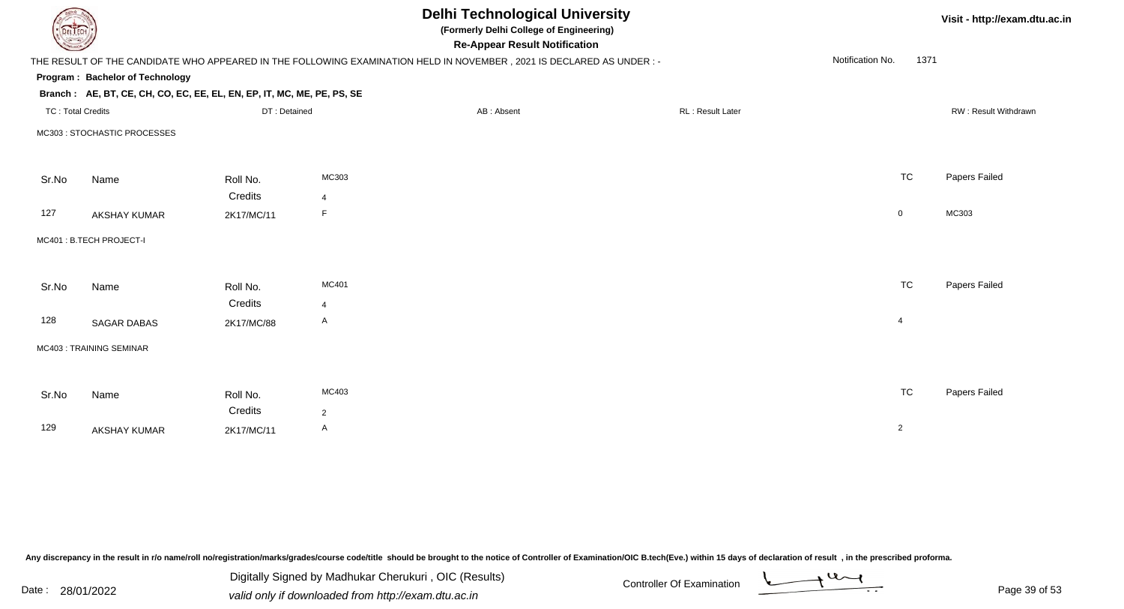| DEL ECH                  |                                                                        |                     |                         |                                                                                                                      | Visit - http://exam.dtu.ac.in |                  |                      |
|--------------------------|------------------------------------------------------------------------|---------------------|-------------------------|----------------------------------------------------------------------------------------------------------------------|-------------------------------|------------------|----------------------|
|                          |                                                                        |                     |                         | THE RESULT OF THE CANDIDATE WHO APPEARED IN THE FOLLOWING EXAMINATION HELD IN NOVEMBER, 2021 IS DECLARED AS UNDER :- |                               | Notification No. | 1371                 |
|                          | Program: Bachelor of Technology                                        |                     |                         |                                                                                                                      |                               |                  |                      |
|                          | Branch: AE, BT, CE, CH, CO, EC, EE, EL, EN, EP, IT, MC, ME, PE, PS, SE |                     |                         |                                                                                                                      |                               |                  |                      |
| <b>TC: Total Credits</b> |                                                                        | DT: Detained        |                         | AB: Absent                                                                                                           | <b>RL: Result Later</b>       |                  | RW: Result Withdrawn |
|                          | MC303 : STOCHASTIC PROCESSES                                           |                     |                         |                                                                                                                      |                               |                  |                      |
| Sr.No                    | Name                                                                   | Roll No.            | MC303                   |                                                                                                                      |                               | <b>TC</b>        | Papers Failed        |
|                          |                                                                        | Credits             | $\overline{4}$          |                                                                                                                      |                               |                  |                      |
| 127                      | <b>AKSHAY KUMAR</b>                                                    | 2K17/MC/11          | F                       |                                                                                                                      |                               | $\overline{0}$   | MC303                |
|                          | MC401: B.TECH PROJECT-I                                                |                     |                         |                                                                                                                      |                               |                  |                      |
| Sr.No                    | Name                                                                   | Roll No.<br>Credits | MC401<br>$\overline{4}$ |                                                                                                                      |                               | <b>TC</b>        | Papers Failed        |
| 128                      | <b>SAGAR DABAS</b>                                                     | 2K17/MC/88          | $\mathsf{A}$            |                                                                                                                      |                               | $\overline{4}$   |                      |
|                          | MC403: TRAINING SEMINAR                                                |                     |                         |                                                                                                                      |                               |                  |                      |
|                          |                                                                        |                     |                         |                                                                                                                      |                               |                  |                      |
| Sr.No                    | Name                                                                   | Roll No.            | MC403                   |                                                                                                                      |                               | <b>TC</b>        | Papers Failed        |
|                          |                                                                        | Credits             | $\overline{2}$          |                                                                                                                      |                               |                  |                      |
| 129                      | <b>AKSHAY KUMAR</b>                                                    | 2K17/MC/11          | $\mathsf{A}$            |                                                                                                                      |                               | $\overline{2}$   |                      |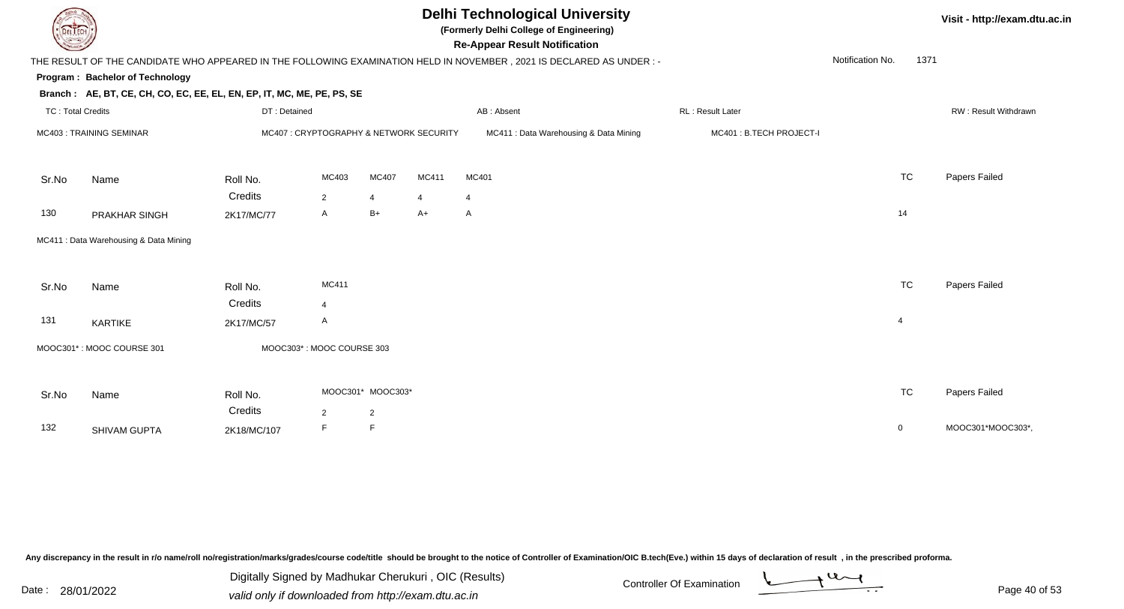|                          |                                                                        |                                        |                |                   |       | <b>Delhi Technological University</b><br>(Formerly Delhi College of Engineering)<br><b>Re-Appear Result Notification</b> |                         |                  | Visit - http://exam.dtu.ac.in |                      |
|--------------------------|------------------------------------------------------------------------|----------------------------------------|----------------|-------------------|-------|--------------------------------------------------------------------------------------------------------------------------|-------------------------|------------------|-------------------------------|----------------------|
|                          |                                                                        |                                        |                |                   |       | THE RESULT OF THE CANDIDATE WHO APPEARED IN THE FOLLOWING EXAMINATION HELD IN NOVEMBER, 2021 IS DECLARED AS UNDER:-      |                         | Notification No. | 1371                          |                      |
|                          | <b>Program: Bachelor of Technology</b>                                 |                                        |                |                   |       |                                                                                                                          |                         |                  |                               |                      |
|                          | Branch: AE, BT, CE, CH, CO, EC, EE, EL, EN, EP, IT, MC, ME, PE, PS, SE |                                        |                |                   |       |                                                                                                                          |                         |                  |                               |                      |
| <b>TC: Total Credits</b> |                                                                        | DT: Detained                           |                |                   |       | AB: Absent                                                                                                               | RL: Result Later        |                  |                               | RW: Result Withdrawn |
| MC403: TRAINING SEMINAR  |                                                                        | MC407: CRYPTOGRAPHY & NETWORK SECURITY |                |                   |       | MC411 : Data Warehousing & Data Mining                                                                                   | MC401: B.TECH PROJECT-I |                  |                               |                      |
| Sr.No                    | Name                                                                   | Roll No.                               | MC403          | MC407             | MC411 | MC401                                                                                                                    |                         | <b>TC</b>        |                               | Papers Failed        |
|                          |                                                                        | Credits                                | $\overline{2}$ | $\overline{4}$    | 4     | 4                                                                                                                        |                         |                  |                               |                      |
| 130                      | PRAKHAR SINGH                                                          | 2K17/MC/77                             | A              | $B+$              | $A+$  | $\mathsf{A}$                                                                                                             |                         | 14               |                               |                      |
|                          | MC411 : Data Warehousing & Data Mining                                 |                                        |                |                   |       |                                                                                                                          |                         |                  |                               |                      |
| Sr.No                    | Name                                                                   | Roll No.                               | MC411          |                   |       |                                                                                                                          |                         | <b>TC</b>        |                               | Papers Failed        |
|                          |                                                                        | Credits                                | 4              |                   |       |                                                                                                                          |                         |                  |                               |                      |
| 131                      | KARTIKE                                                                | 2K17/MC/57                             | A              |                   |       |                                                                                                                          |                         | $\overline{4}$   |                               |                      |
|                          | MOOC301*: MOOC COURSE 301                                              | MOOC303*: MOOC COURSE 303              |                |                   |       |                                                                                                                          |                         |                  |                               |                      |
| Sr.No                    | Name                                                                   | Roll No.                               |                | MOOC301* MOOC303* |       |                                                                                                                          |                         | <b>TC</b>        |                               | Papers Failed        |
|                          |                                                                        | Credits                                | $\overline{2}$ | $\overline{2}$    |       |                                                                                                                          |                         |                  |                               |                      |
| 132                      | SHIVAM GUPTA                                                           | 2K18/MC/107                            | F              | F                 |       |                                                                                                                          |                         | $\mathbf 0$      |                               | MOOC301*MOOC303*     |
|                          |                                                                        |                                        |                |                   |       |                                                                                                                          |                         |                  |                               |                      |

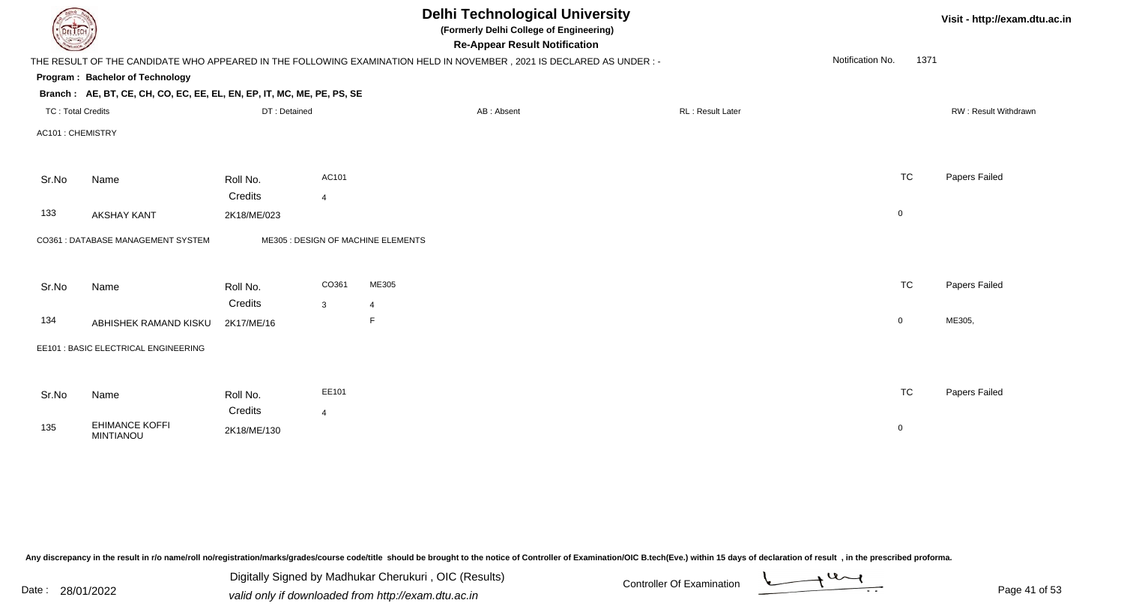| DEL ECH                  |                                                                        |              | Visit - http://exam.dtu.ac.in |                                                                                                                      |                  |                          |                      |
|--------------------------|------------------------------------------------------------------------|--------------|-------------------------------|----------------------------------------------------------------------------------------------------------------------|------------------|--------------------------|----------------------|
|                          |                                                                        |              |                               | THE RESULT OF THE CANDIDATE WHO APPEARED IN THE FOLLOWING EXAMINATION HELD IN NOVEMBER, 2021 IS DECLARED AS UNDER :- |                  | Notification No.<br>1371 |                      |
|                          | <b>Program: Bachelor of Technology</b>                                 |              |                               |                                                                                                                      |                  |                          |                      |
|                          | Branch: AE, BT, CE, CH, CO, EC, EE, EL, EN, EP, IT, MC, ME, PE, PS, SE |              |                               |                                                                                                                      |                  |                          |                      |
| <b>TC: Total Credits</b> |                                                                        | DT: Detained |                               | AB: Absent                                                                                                           | RL: Result Later |                          | RW: Result Withdrawn |
| AC101 : CHEMISTRY        |                                                                        |              |                               |                                                                                                                      |                  |                          |                      |
| Sr.No                    | Name                                                                   | Roll No.     | AC101                         |                                                                                                                      |                  | <b>TC</b>                | Papers Failed        |
|                          |                                                                        | Credits      | $\overline{4}$                |                                                                                                                      |                  |                          |                      |
| 133                      | <b>AKSHAY KANT</b>                                                     | 2K18/ME/023  |                               |                                                                                                                      |                  | $\mathbf 0$              |                      |
|                          | CO361 : DATABASE MANAGEMENT SYSTEM                                     |              |                               | ME305 : DESIGN OF MACHINE ELEMENTS                                                                                   |                  |                          |                      |
| Sr.No                    | Name                                                                   | Roll No.     | CO361                         | ME305                                                                                                                |                  | <b>TC</b>                | Papers Failed        |
|                          |                                                                        | Credits      | $\mathbf{3}$                  | $\overline{4}$                                                                                                       |                  |                          |                      |
| 134                      | ABHISHEK RAMAND KISKU                                                  | 2K17/ME/16   |                               | F                                                                                                                    |                  | $\overline{0}$           | ME305,               |
|                          | EE101 : BASIC ELECTRICAL ENGINEERING                                   |              |                               |                                                                                                                      |                  |                          |                      |
|                          |                                                                        |              |                               |                                                                                                                      |                  |                          |                      |
| Sr.No                    | Name                                                                   | Roll No.     | EE101                         |                                                                                                                      |                  | <b>TC</b>                | Papers Failed        |
|                          |                                                                        | Credits      | $\overline{4}$                |                                                                                                                      |                  |                          |                      |
| 135                      | <b>EHIMANCE KOFFI</b><br><b>MINTIANOU</b>                              | 2K18/ME/130  |                               |                                                                                                                      |                  | $\mathbf 0$              |                      |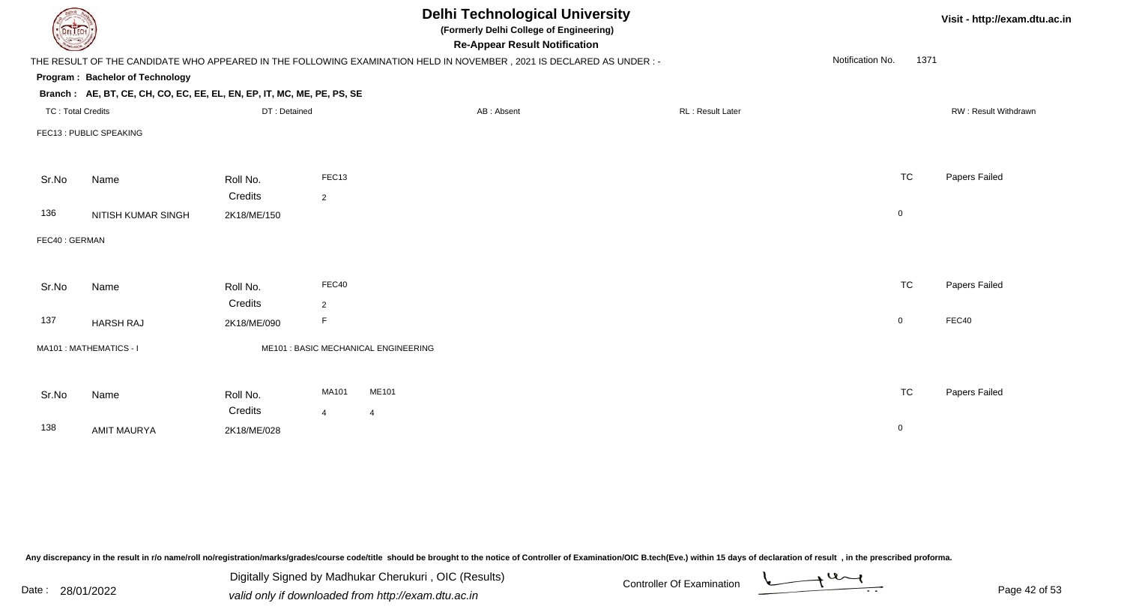| DEL ECH                  |                                                                        |              |                | <b>Delhi Technological University</b><br>(Formerly Delhi College of Engineering)<br><b>Re-Appear Result Notification</b> |                  |                  |           | Visit - http://exam.dtu.ac.in |  |  |
|--------------------------|------------------------------------------------------------------------|--------------|----------------|--------------------------------------------------------------------------------------------------------------------------|------------------|------------------|-----------|-------------------------------|--|--|
|                          |                                                                        |              |                | THE RESULT OF THE CANDIDATE WHO APPEARED IN THE FOLLOWING EXAMINATION HELD IN NOVEMBER, 2021 IS DECLARED AS UNDER :-     |                  | Notification No. | 1371      |                               |  |  |
|                          | Program: Bachelor of Technology                                        |              |                |                                                                                                                          |                  |                  |           |                               |  |  |
|                          | Branch: AE, BT, CE, CH, CO, EC, EE, EL, EN, EP, IT, MC, ME, PE, PS, SE |              |                |                                                                                                                          |                  |                  |           |                               |  |  |
| <b>TC: Total Credits</b> |                                                                        | DT: Detained |                | AB: Absent                                                                                                               | RL: Result Later |                  |           | RW: Result Withdrawn          |  |  |
|                          | FEC13 : PUBLIC SPEAKING                                                |              |                |                                                                                                                          |                  |                  |           |                               |  |  |
|                          |                                                                        |              |                |                                                                                                                          |                  |                  |           |                               |  |  |
| Sr.No                    | Name                                                                   | Roll No.     | FEC13          |                                                                                                                          |                  |                  | <b>TC</b> | Papers Failed                 |  |  |
|                          |                                                                        | Credits      | 2              |                                                                                                                          |                  |                  |           |                               |  |  |
| 136                      | <b>NITISH KUMAR SINGH</b>                                              | 2K18/ME/150  |                |                                                                                                                          |                  | $\pmb{0}$        |           |                               |  |  |
| FEC40: GERMAN            |                                                                        |              |                |                                                                                                                          |                  |                  |           |                               |  |  |
|                          |                                                                        |              |                |                                                                                                                          |                  |                  |           |                               |  |  |
|                          |                                                                        |              |                |                                                                                                                          |                  |                  |           |                               |  |  |
| Sr.No                    | Name                                                                   | Roll No.     | FEC40          |                                                                                                                          |                  |                  | <b>TC</b> | Papers Failed                 |  |  |
|                          |                                                                        | Credits      | 2              |                                                                                                                          |                  |                  |           |                               |  |  |
| 137                      | <b>HARSH RAJ</b>                                                       | 2K18/ME/090  | F              |                                                                                                                          |                  | $\mathbf 0$      |           | FEC40                         |  |  |
|                          | MA101: MATHEMATICS - I                                                 |              |                | ME101 : BASIC MECHANICAL ENGINEERING                                                                                     |                  |                  |           |                               |  |  |
|                          |                                                                        |              |                |                                                                                                                          |                  |                  |           |                               |  |  |
|                          |                                                                        |              |                |                                                                                                                          |                  |                  |           |                               |  |  |
| Sr.No                    | Name                                                                   | Roll No.     | MA101          | ME101                                                                                                                    |                  |                  | <b>TC</b> | Papers Failed                 |  |  |
|                          |                                                                        | Credits      | $\overline{4}$ | $\overline{4}$                                                                                                           |                  |                  |           |                               |  |  |
| 138                      | <b>AMIT MAURYA</b>                                                     | 2K18/ME/028  |                |                                                                                                                          |                  | $\mathbf 0$      |           |                               |  |  |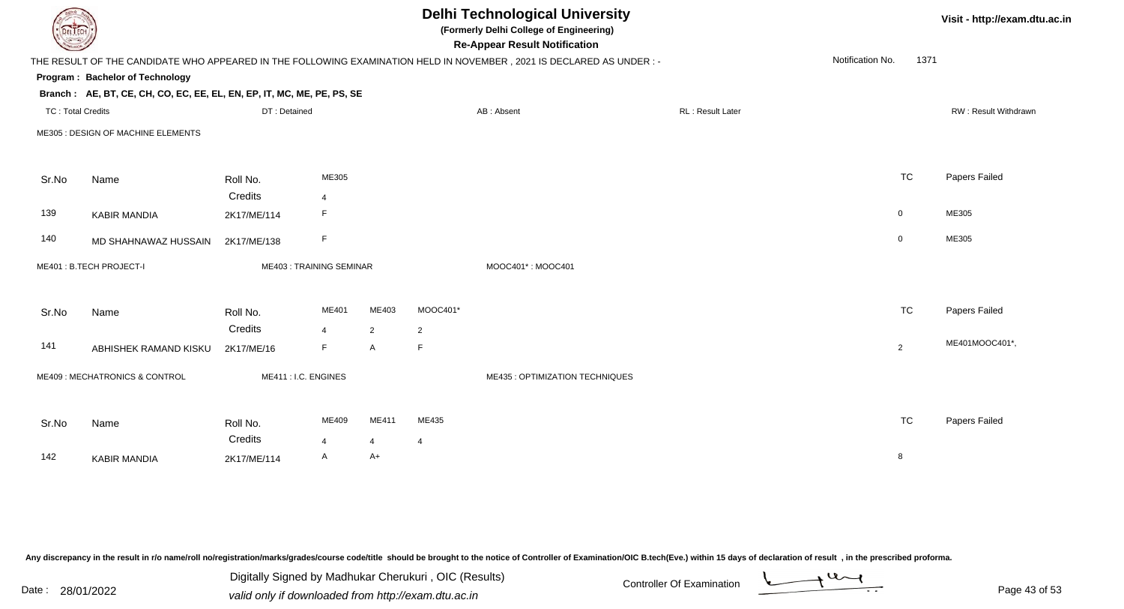|                       |                                                                                                                                                                            |                |                      | <b>Delhi Technological University</b><br>(Formerly Delhi College of Engineering)<br><b>Re-Appear Result Notification</b> |                   |                  |                                                                                                                                                        |                | Visit - http://exam.dtu.ac.in |  |
|-----------------------|----------------------------------------------------------------------------------------------------------------------------------------------------------------------------|----------------|----------------------|--------------------------------------------------------------------------------------------------------------------------|-------------------|------------------|--------------------------------------------------------------------------------------------------------------------------------------------------------|----------------|-------------------------------|--|
|                       |                                                                                                                                                                            |                |                      |                                                                                                                          |                   |                  |                                                                                                                                                        | 1371           |                               |  |
|                       |                                                                                                                                                                            |                |                      |                                                                                                                          |                   |                  |                                                                                                                                                        |                |                               |  |
|                       |                                                                                                                                                                            |                |                      |                                                                                                                          |                   |                  |                                                                                                                                                        |                |                               |  |
|                       | DT: Detained                                                                                                                                                               |                |                      |                                                                                                                          | AB: Absent        | RL: Result Later |                                                                                                                                                        |                | <b>RW: Result Withdrawn</b>   |  |
|                       |                                                                                                                                                                            |                |                      |                                                                                                                          |                   |                  |                                                                                                                                                        |                |                               |  |
| Name                  | Roll No.                                                                                                                                                                   | ME305          |                      |                                                                                                                          |                   |                  |                                                                                                                                                        | <b>TC</b>      | Papers Failed                 |  |
|                       | Credits                                                                                                                                                                    | $\overline{4}$ |                      |                                                                                                                          |                   |                  |                                                                                                                                                        |                |                               |  |
| <b>KABIR MANDIA</b>   | 2K17/ME/114                                                                                                                                                                | F              |                      |                                                                                                                          |                   |                  |                                                                                                                                                        | $\overline{0}$ | ME305                         |  |
| MD SHAHNAWAZ HUSSAIN  | 2K17/ME/138                                                                                                                                                                | F              |                      |                                                                                                                          |                   |                  |                                                                                                                                                        | $\overline{0}$ | ME305                         |  |
|                       |                                                                                                                                                                            |                |                      |                                                                                                                          | MOOC401*: MOOC401 |                  |                                                                                                                                                        |                |                               |  |
| Name                  | Roll No.                                                                                                                                                                   | ME401          | ME403                | MOOC401*                                                                                                                 |                   |                  |                                                                                                                                                        | <b>TC</b>      | Papers Failed                 |  |
|                       | Credits                                                                                                                                                                    | $\overline{4}$ | $\overline{2}$       | $\overline{2}$                                                                                                           |                   |                  |                                                                                                                                                        |                |                               |  |
| ABHISHEK RAMAND KISKU | 2K17/ME/16                                                                                                                                                                 | F              | $\mathsf{A}$         | F                                                                                                                        |                   |                  |                                                                                                                                                        | 2              | ME401MOOC401*,                |  |
|                       |                                                                                                                                                                            |                |                      |                                                                                                                          |                   |                  |                                                                                                                                                        |                |                               |  |
| Name                  | Roll No.                                                                                                                                                                   | ME409          | ME411                | ME435                                                                                                                    |                   |                  |                                                                                                                                                        | <b>TC</b>      | Papers Failed                 |  |
|                       | Credits                                                                                                                                                                    | $\overline{4}$ | $\overline{4}$       | $\overline{4}$                                                                                                           |                   |                  |                                                                                                                                                        |                |                               |  |
| <b>KABIR MANDIA</b>   | 2K17/ME/114                                                                                                                                                                | A              | $A+$                 |                                                                                                                          |                   |                  |                                                                                                                                                        | 8              |                               |  |
|                       | JEL I ECH<br>Program: Bachelor of Technology<br><b>TC: Total Credits</b><br>ME305 : DESIGN OF MACHINE ELEMENTS<br>ME401: B.TECH PROJECT-I<br>ME409: MECHATRONICS & CONTROL |                | ME411 : I.C. ENGINES | Branch: AE, BT, CE, CH, CO, EC, EE, EL, EN, EP, IT, MC, ME, PE, PS, SE<br>ME403: TRAINING SEMINAR                        |                   |                  | THE RESULT OF THE CANDIDATE WHO APPEARED IN THE FOLLOWING EXAMINATION HELD IN NOVEMBER, 2021 IS DECLARED AS UNDER:-<br>ME435 : OPTIMIZATION TECHNIQUES |                | Notification No.              |  |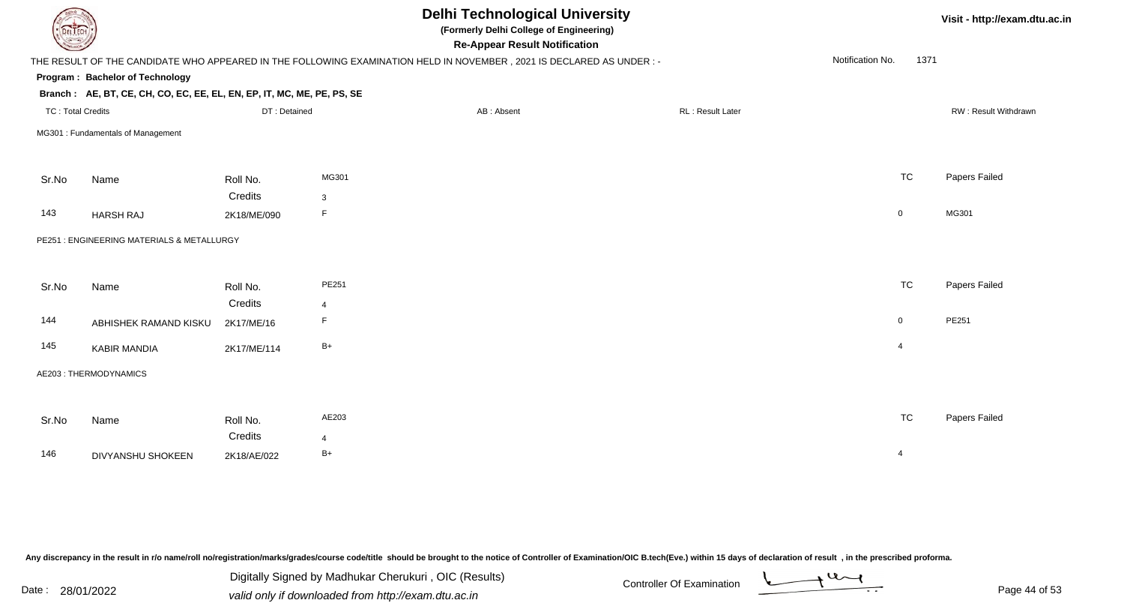| <b>DELTECH</b>           |                                                                        |              |                | <b>Delhi Technological University</b><br>(Formerly Delhi College of Engineering)<br><b>Re-Appear Result Notification</b> |                  |                  | Visit - http://exam.dtu.ac.in |  |
|--------------------------|------------------------------------------------------------------------|--------------|----------------|--------------------------------------------------------------------------------------------------------------------------|------------------|------------------|-------------------------------|--|
|                          |                                                                        |              |                | THE RESULT OF THE CANDIDATE WHO APPEARED IN THE FOLLOWING EXAMINATION HELD IN NOVEMBER, 2021 IS DECLARED AS UNDER :-     |                  | Notification No. | 1371                          |  |
|                          | Program: Bachelor of Technology                                        |              |                |                                                                                                                          |                  |                  |                               |  |
|                          | Branch: AE, BT, CE, CH, CO, EC, EE, EL, EN, EP, IT, MC, ME, PE, PS, SE |              |                |                                                                                                                          |                  |                  |                               |  |
| <b>TC: Total Credits</b> |                                                                        | DT: Detained |                | AB: Absent                                                                                                               | RL: Result Later |                  | RW: Result Withdrawn          |  |
|                          | MG301 : Fundamentals of Management                                     |              |                |                                                                                                                          |                  |                  |                               |  |
| Sr.No                    | Name                                                                   | Roll No.     | MG301          |                                                                                                                          |                  | <b>TC</b>        | Papers Failed                 |  |
|                          |                                                                        | Credits      | 3              |                                                                                                                          |                  |                  |                               |  |
| 143                      | <b>HARSH RAJ</b>                                                       | 2K18/ME/090  | F              |                                                                                                                          |                  | $\boldsymbol{0}$ | MG301                         |  |
|                          | PE251 : ENGINEERING MATERIALS & METALLURGY                             |              |                |                                                                                                                          |                  |                  |                               |  |
| Sr.No                    | Name                                                                   | Roll No.     | PE251          |                                                                                                                          |                  | <b>TC</b>        | Papers Failed                 |  |
|                          |                                                                        | Credits      | $\overline{4}$ |                                                                                                                          |                  |                  |                               |  |
| 144                      | ABHISHEK RAMAND KISKU                                                  | 2K17/ME/16   | F.             |                                                                                                                          |                  | $\overline{0}$   | PE251                         |  |
| 145                      | <b>KABIR MANDIA</b>                                                    | 2K17/ME/114  | $B+$           |                                                                                                                          |                  | $\overline{4}$   |                               |  |
|                          | AE203: THERMODYNAMICS                                                  |              |                |                                                                                                                          |                  |                  |                               |  |
| Sr.No                    | Name                                                                   | Roll No.     | AE203          |                                                                                                                          |                  | <b>TC</b>        | Papers Failed                 |  |
|                          |                                                                        | Credits      | $\overline{4}$ |                                                                                                                          |                  |                  |                               |  |
| 146                      | <b>DIVYANSHU SHOKEEN</b>                                               | 2K18/AE/022  | $B+$           |                                                                                                                          |                  | $\overline{4}$   |                               |  |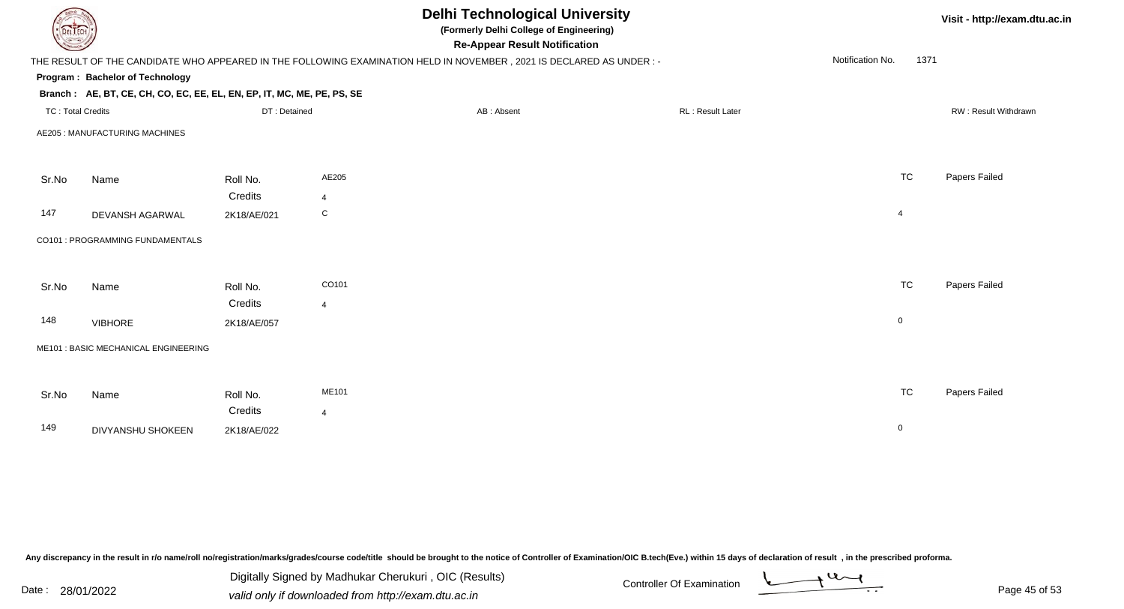| <b>DELTECH</b>                       |             |                |                                                                                        |                  |                                                                                                                                                                                                                                                  | Visit - http://exam.dtu.ac.in |
|--------------------------------------|-------------|----------------|----------------------------------------------------------------------------------------|------------------|--------------------------------------------------------------------------------------------------------------------------------------------------------------------------------------------------------------------------------------------------|-------------------------------|
|                                      |             |                |                                                                                        |                  | Notification No.                                                                                                                                                                                                                                 |                               |
| Program: Bachelor of Technology      |             |                |                                                                                        |                  |                                                                                                                                                                                                                                                  |                               |
|                                      |             |                |                                                                                        |                  |                                                                                                                                                                                                                                                  |                               |
| <b>TC: Total Credits</b>             |             |                | AB: Absent                                                                             | RL: Result Later |                                                                                                                                                                                                                                                  | RW: Result Withdrawn          |
| AE205 : MANUFACTURING MACHINES       |             |                |                                                                                        |                  |                                                                                                                                                                                                                                                  |                               |
| Name                                 | Roll No.    | AE205          |                                                                                        |                  | <b>TC</b>                                                                                                                                                                                                                                        | Papers Failed                 |
|                                      | Credits     | $\overline{4}$ |                                                                                        |                  |                                                                                                                                                                                                                                                  |                               |
| DEVANSH AGARWAL                      | 2K18/AE/021 | $\mathbf C$    |                                                                                        |                  | $\overline{4}$                                                                                                                                                                                                                                   |                               |
| CO101 : PROGRAMMING FUNDAMENTALS     |             |                |                                                                                        |                  |                                                                                                                                                                                                                                                  |                               |
| Name                                 | Roll No.    | CO101          |                                                                                        |                  | <b>TC</b>                                                                                                                                                                                                                                        | Papers Failed                 |
|                                      | Credits     | $\overline{4}$ |                                                                                        |                  |                                                                                                                                                                                                                                                  |                               |
| <b>VIBHORE</b>                       | 2K18/AE/057 |                |                                                                                        |                  | $\overline{0}$                                                                                                                                                                                                                                   |                               |
| ME101 : BASIC MECHANICAL ENGINEERING |             |                |                                                                                        |                  |                                                                                                                                                                                                                                                  |                               |
|                                      |             |                |                                                                                        |                  |                                                                                                                                                                                                                                                  |                               |
| Name                                 | Roll No.    | ME101          |                                                                                        |                  | <b>TC</b>                                                                                                                                                                                                                                        | Papers Failed                 |
|                                      | Credits     | $\overline{4}$ |                                                                                        |                  |                                                                                                                                                                                                                                                  |                               |
| DIVYANSHU SHOKEEN                    | 2K18/AE/022 |                |                                                                                        |                  | $\mathbf 0$                                                                                                                                                                                                                                      |                               |
|                                      |             |                | Branch: AE, BT, CE, CH, CO, EC, EE, EL, EN, EP, IT, MC, ME, PE, PS, SE<br>DT: Detained |                  | <b>Delhi Technological University</b><br>(Formerly Delhi College of Engineering)<br><b>Re-Appear Result Notification</b><br>THE RESULT OF THE CANDIDATE WHO APPEARED IN THE FOLLOWING EXAMINATION HELD IN NOVEMBER, 2021 IS DECLARED AS UNDER :- | 1371                          |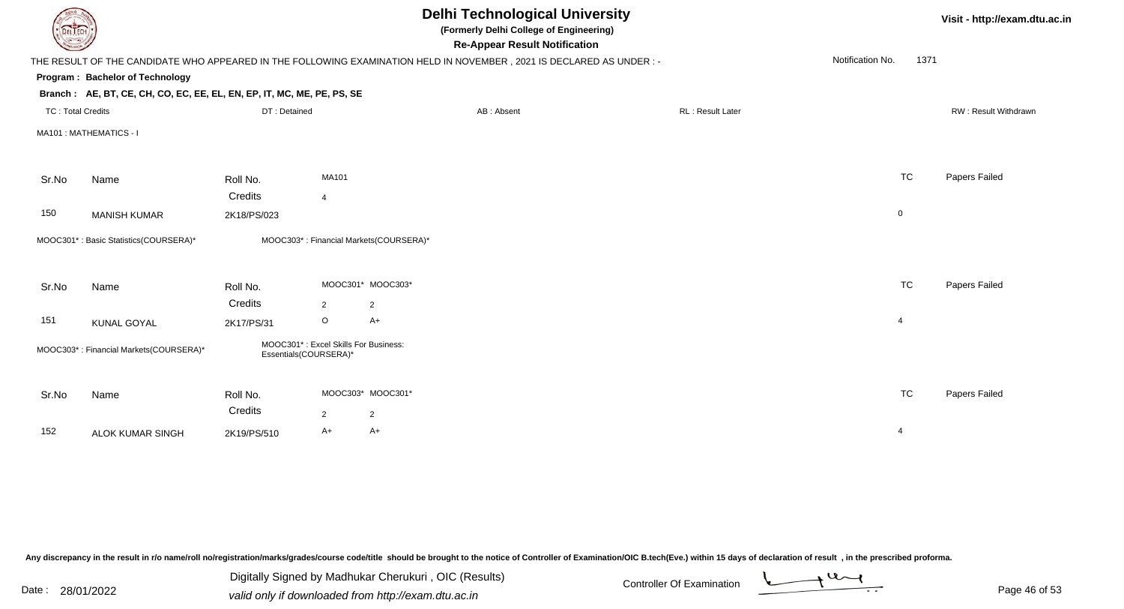| DEL TECH                 |                                                                                                                      |                                                               |                |                                        | <b>Delhi Technological University</b><br>(Formerly Delhi College of Engineering)<br><b>Re-Appear Result Notification</b> |                  |                  |                | Visit - http://exam.dtu.ac.in |
|--------------------------|----------------------------------------------------------------------------------------------------------------------|---------------------------------------------------------------|----------------|----------------------------------------|--------------------------------------------------------------------------------------------------------------------------|------------------|------------------|----------------|-------------------------------|
|                          | THE RESULT OF THE CANDIDATE WHO APPEARED IN THE FOLLOWING EXAMINATION HELD IN NOVEMBER, 2021 IS DECLARED AS UNDER :- |                                                               |                |                                        |                                                                                                                          |                  | Notification No. | 1371           |                               |
|                          | Program: Bachelor of Technology                                                                                      |                                                               |                |                                        |                                                                                                                          |                  |                  |                |                               |
|                          | Branch: AE, BT, CE, CH, CO, EC, EE, EL, EN, EP, IT, MC, ME, PE, PS, SE                                               |                                                               |                |                                        |                                                                                                                          |                  |                  |                |                               |
| <b>TC: Total Credits</b> |                                                                                                                      | DT: Detained                                                  |                |                                        | AB: Absent                                                                                                               | RL: Result Later |                  |                | RW: Result Withdrawn          |
|                          | MA101 : MATHEMATICS - I                                                                                              |                                                               |                |                                        |                                                                                                                          |                  |                  |                |                               |
|                          |                                                                                                                      |                                                               |                |                                        |                                                                                                                          |                  |                  |                |                               |
| Sr.No                    | Name                                                                                                                 | Roll No.                                                      | MA101          |                                        |                                                                                                                          |                  |                  | <b>TC</b>      | Papers Failed                 |
|                          |                                                                                                                      | Credits                                                       | $\overline{4}$ |                                        |                                                                                                                          |                  |                  |                |                               |
| 150                      | <b>MANISH KUMAR</b>                                                                                                  | 2K18/PS/023                                                   |                |                                        |                                                                                                                          |                  |                  | $\mathbf 0$    |                               |
|                          | MOOC301*: Basic Statistics(COURSERA)*                                                                                |                                                               |                | MOOC303*: Financial Markets(COURSERA)* |                                                                                                                          |                  |                  |                |                               |
|                          |                                                                                                                      |                                                               |                |                                        |                                                                                                                          |                  |                  |                |                               |
| Sr.No                    | Name                                                                                                                 | Roll No.                                                      |                | MOOC301* MOOC303*                      |                                                                                                                          |                  |                  | <b>TC</b>      | Papers Failed                 |
|                          |                                                                                                                      | Credits                                                       | 2              | $\overline{2}$                         |                                                                                                                          |                  |                  |                |                               |
| 151                      | <b>KUNAL GOYAL</b>                                                                                                   | 2K17/PS/31                                                    | $\circ$        | $A+$                                   |                                                                                                                          |                  |                  | $\overline{4}$ |                               |
|                          | MOOC303*: Financial Markets(COURSERA)*                                                                               | MOOC301*: Excel Skills For Business:<br>Essentials(COURSERA)* |                |                                        |                                                                                                                          |                  |                  |                |                               |
| Sr.No                    | Name                                                                                                                 | Roll No.                                                      |                | MOOC303* MOOC301*                      |                                                                                                                          |                  |                  | <b>TC</b>      | Papers Failed                 |
|                          |                                                                                                                      | Credits                                                       | $\overline{2}$ | $\overline{2}$                         |                                                                                                                          |                  |                  |                |                               |
| 152                      | <b>ALOK KUMAR SINGH</b>                                                                                              | 2K19/PS/510                                                   | A+             | $A+$                                   |                                                                                                                          |                  |                  | 4              |                               |
|                          |                                                                                                                      |                                                               |                |                                        |                                                                                                                          |                  |                  |                |                               |

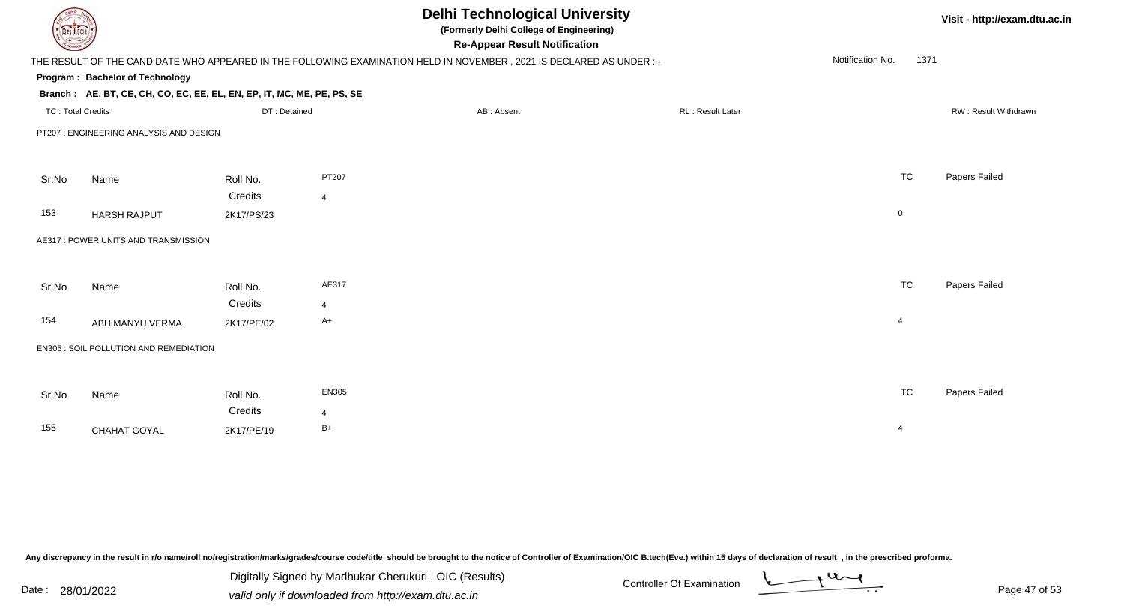| <b>DELTECH</b>           |                                                                        |              |                | <b>Delhi Technological University</b><br>(Formerly Delhi College of Engineering)<br><b>Re-Appear Result Notification</b> |                  |                          | Visit - http://exam.dtu.ac.in |
|--------------------------|------------------------------------------------------------------------|--------------|----------------|--------------------------------------------------------------------------------------------------------------------------|------------------|--------------------------|-------------------------------|
|                          |                                                                        |              |                | THE RESULT OF THE CANDIDATE WHO APPEARED IN THE FOLLOWING EXAMINATION HELD IN NOVEMBER, 2021 IS DECLARED AS UNDER :-     |                  | Notification No.<br>1371 |                               |
|                          | Program: Bachelor of Technology                                        |              |                |                                                                                                                          |                  |                          |                               |
|                          | Branch: AE, BT, CE, CH, CO, EC, EE, EL, EN, EP, IT, MC, ME, PE, PS, SE |              |                |                                                                                                                          |                  |                          |                               |
| <b>TC: Total Credits</b> |                                                                        | DT: Detained |                | AB: Absent                                                                                                               | RL: Result Later |                          | RW: Result Withdrawn          |
|                          | PT207 : ENGINEERING ANALYSIS AND DESIGN                                |              |                |                                                                                                                          |                  |                          |                               |
|                          |                                                                        |              |                |                                                                                                                          |                  |                          |                               |
| Sr.No                    | Name                                                                   | Roll No.     | PT207          |                                                                                                                          |                  | <b>TC</b>                | Papers Failed                 |
|                          |                                                                        | Credits      | $\overline{4}$ |                                                                                                                          |                  |                          |                               |
| 153                      | <b>HARSH RAJPUT</b>                                                    | 2K17/PS/23   |                |                                                                                                                          |                  | $\mathbf 0$              |                               |
|                          | AE317 : POWER UNITS AND TRANSMISSION                                   |              |                |                                                                                                                          |                  |                          |                               |
|                          |                                                                        |              |                |                                                                                                                          |                  |                          |                               |
| Sr.No                    | Name                                                                   | Roll No.     | AE317          |                                                                                                                          |                  | <b>TC</b>                | Papers Failed                 |
|                          |                                                                        | Credits      | $\overline{4}$ |                                                                                                                          |                  |                          |                               |
| 154                      | ABHIMANYU VERMA                                                        | 2K17/PE/02   | $A+$           |                                                                                                                          |                  | $\overline{4}$           |                               |
|                          | EN305 : SOIL POLLUTION AND REMEDIATION                                 |              |                |                                                                                                                          |                  |                          |                               |
|                          |                                                                        |              |                |                                                                                                                          |                  |                          |                               |
| Sr.No                    | Name                                                                   | Roll No.     | EN305          |                                                                                                                          |                  | <b>TC</b>                | Papers Failed                 |
|                          |                                                                        | Credits      | 4              |                                                                                                                          |                  |                          |                               |
| 155                      | CHAHAT GOYAL                                                           | 2K17/PE/19   | $B+$           |                                                                                                                          |                  | $\overline{4}$           |                               |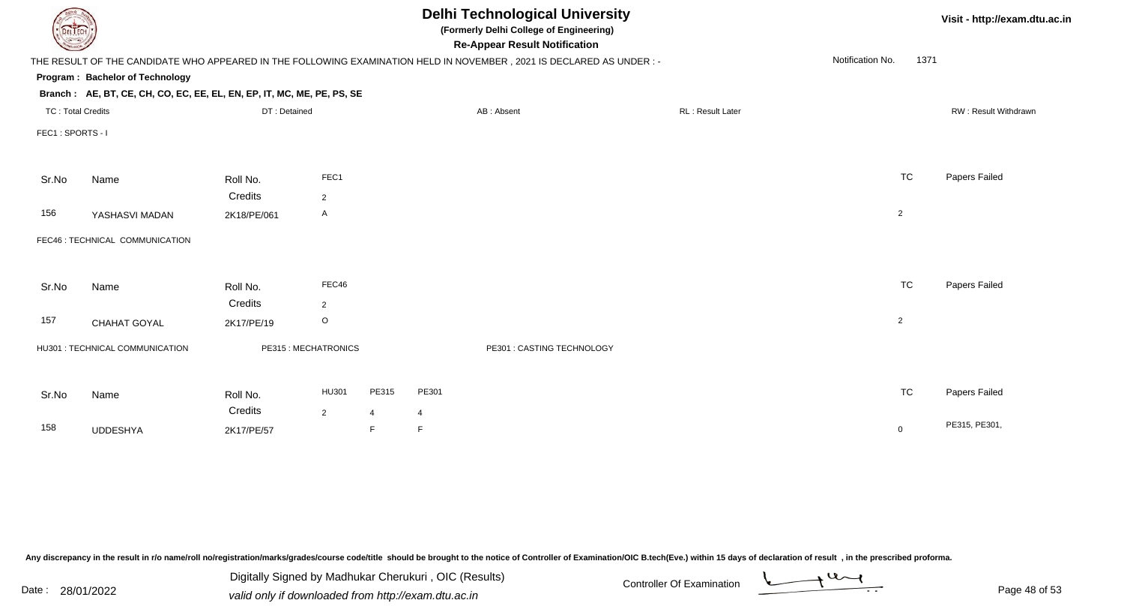|                 |                                                                                                                                                                  |                |                |                                                                                               |            |                                      |                                                                                                                                                                                                                                        |                  |      | Visit - http://exam.dtu.ac.in                                                             |
|-----------------|------------------------------------------------------------------------------------------------------------------------------------------------------------------|----------------|----------------|-----------------------------------------------------------------------------------------------|------------|--------------------------------------|----------------------------------------------------------------------------------------------------------------------------------------------------------------------------------------------------------------------------------------|------------------|------|-------------------------------------------------------------------------------------------|
|                 |                                                                                                                                                                  |                |                |                                                                                               |            |                                      |                                                                                                                                                                                                                                        | Notification No. | 1371 |                                                                                           |
|                 |                                                                                                                                                                  |                |                |                                                                                               |            |                                      |                                                                                                                                                                                                                                        |                  |      |                                                                                           |
|                 |                                                                                                                                                                  |                |                |                                                                                               |            |                                      |                                                                                                                                                                                                                                        |                  |      |                                                                                           |
|                 |                                                                                                                                                                  |                |                |                                                                                               | AB: Absent |                                      |                                                                                                                                                                                                                                        |                  |      | RW: Result Withdrawn                                                                      |
|                 |                                                                                                                                                                  |                |                |                                                                                               |            |                                      |                                                                                                                                                                                                                                        |                  |      |                                                                                           |
| Name            | Roll No.                                                                                                                                                         | FEC1           |                |                                                                                               |            |                                      |                                                                                                                                                                                                                                        |                  |      | Papers Failed                                                                             |
|                 | Credits                                                                                                                                                          | $\overline{2}$ |                |                                                                                               |            |                                      |                                                                                                                                                                                                                                        |                  |      |                                                                                           |
| YASHASVI MADAN  | 2K18/PE/061                                                                                                                                                      | A              |                |                                                                                               |            |                                      |                                                                                                                                                                                                                                        |                  |      |                                                                                           |
|                 |                                                                                                                                                                  |                |                |                                                                                               |            |                                      |                                                                                                                                                                                                                                        |                  |      |                                                                                           |
| Name            | Roll No.                                                                                                                                                         | FEC46          |                |                                                                                               |            |                                      |                                                                                                                                                                                                                                        |                  |      | Papers Failed                                                                             |
|                 | Credits                                                                                                                                                          | $\overline{2}$ |                |                                                                                               |            |                                      |                                                                                                                                                                                                                                        |                  |      |                                                                                           |
| CHAHAT GOYAL    | 2K17/PE/19                                                                                                                                                       | $\circ$        |                |                                                                                               |            |                                      |                                                                                                                                                                                                                                        |                  |      |                                                                                           |
|                 |                                                                                                                                                                  |                |                |                                                                                               |            |                                      |                                                                                                                                                                                                                                        |                  |      |                                                                                           |
| Name            | Roll No.                                                                                                                                                         | HU301          | PE315          | PE301                                                                                         |            |                                      |                                                                                                                                                                                                                                        |                  |      | Papers Failed                                                                             |
|                 | Credits                                                                                                                                                          | $\overline{2}$ | $\overline{4}$ | 4                                                                                             |            |                                      |                                                                                                                                                                                                                                        |                  |      |                                                                                           |
| <b>UDDESHYA</b> | 2K17/PE/57                                                                                                                                                       |                | F              | F                                                                                             |            |                                      |                                                                                                                                                                                                                                        |                  |      | PE315, PE301,                                                                             |
|                 | DEL ECH<br>Program: Bachelor of Technology<br><b>TC: Total Credits</b><br>FEC1: SPORTS - I<br>FEC46 : TECHNICAL COMMUNICATION<br>HU301 : TECHNICAL COMMUNICATION |                | DT: Detained   | Branch: AE, BT, CE, CH, CO, EC, EE, EL, EN, EP, IT, MC, ME, PE, PS, SE<br>PE315: MECHATRONICS |            | <b>Re-Appear Result Notification</b> | <b>Delhi Technological University</b><br>(Formerly Delhi College of Engineering)<br>THE RESULT OF THE CANDIDATE WHO APPEARED IN THE FOLLOWING EXAMINATION HELD IN NOVEMBER, 2021 IS DECLARED AS UNDER :-<br>PE301 : CASTING TECHNOLOGY | RL: Result Later |      | <b>TC</b><br>$\overline{2}$<br><b>TC</b><br>$\overline{2}$<br><b>TC</b><br>$\overline{0}$ |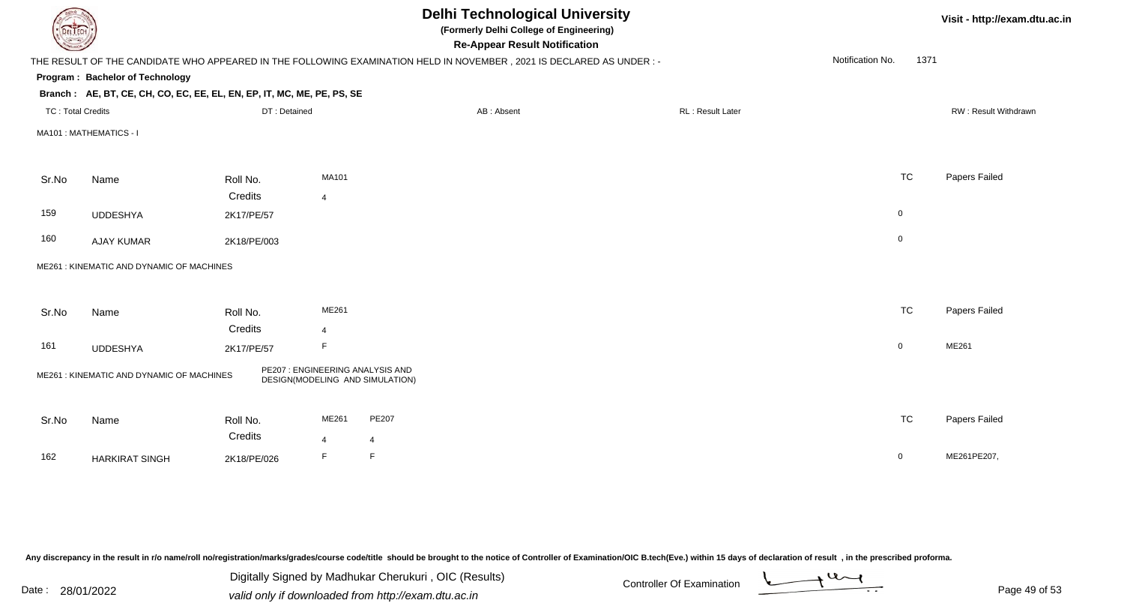| DEL TECH                 |                                                                                                                      |                     |                |                                                                     | <b>Delhi Technological University</b><br>(Formerly Delhi College of Engineering)<br><b>Re-Appear Result Notification</b> |                         |                  |                     | Visit - http://exam.dtu.ac.in |
|--------------------------|----------------------------------------------------------------------------------------------------------------------|---------------------|----------------|---------------------------------------------------------------------|--------------------------------------------------------------------------------------------------------------------------|-------------------------|------------------|---------------------|-------------------------------|
|                          | THE RESULT OF THE CANDIDATE WHO APPEARED IN THE FOLLOWING EXAMINATION HELD IN NOVEMBER, 2021 IS DECLARED AS UNDER :- |                     |                |                                                                     |                                                                                                                          |                         | Notification No. | 1371                |                               |
|                          | Program: Bachelor of Technology                                                                                      |                     |                |                                                                     |                                                                                                                          |                         |                  |                     |                               |
|                          | Branch: AE, BT, CE, CH, CO, EC, EE, EL, EN, EP, IT, MC, ME, PE, PS, SE                                               |                     |                |                                                                     |                                                                                                                          |                         |                  |                     |                               |
| <b>TC: Total Credits</b> |                                                                                                                      | DT: Detained        |                |                                                                     | AB: Absent                                                                                                               | <b>RL: Result Later</b> |                  |                     | RW: Result Withdrawn          |
|                          | MA101 : MATHEMATICS - I                                                                                              |                     |                |                                                                     |                                                                                                                          |                         |                  |                     |                               |
|                          |                                                                                                                      |                     | <b>MA101</b>   |                                                                     |                                                                                                                          |                         |                  | <b>TC</b>           | Papers Failed                 |
| Sr.No                    | Name                                                                                                                 | Roll No.<br>Credits |                |                                                                     |                                                                                                                          |                         |                  |                     |                               |
| 159                      |                                                                                                                      |                     | $\overline{4}$ |                                                                     |                                                                                                                          |                         |                  | $\mathsf 0$         |                               |
|                          | <b>UDDESHYA</b>                                                                                                      | 2K17/PE/57          |                |                                                                     |                                                                                                                          |                         |                  |                     |                               |
| 160                      | <b>AJAY KUMAR</b>                                                                                                    | 2K18/PE/003         |                |                                                                     |                                                                                                                          |                         |                  | $\mathsf{O}\xspace$ |                               |
|                          | ME261: KINEMATIC AND DYNAMIC OF MACHINES                                                                             |                     |                |                                                                     |                                                                                                                          |                         |                  |                     |                               |
|                          |                                                                                                                      |                     |                |                                                                     |                                                                                                                          |                         |                  |                     |                               |
| Sr.No                    | Name                                                                                                                 | Roll No.            | ME261          |                                                                     |                                                                                                                          |                         |                  | <b>TC</b>           | Papers Failed                 |
|                          |                                                                                                                      | Credits             | $\overline{4}$ |                                                                     |                                                                                                                          |                         |                  |                     |                               |
| 161                      | <b>UDDESHYA</b>                                                                                                      | 2K17/PE/57          | F              |                                                                     |                                                                                                                          |                         |                  | $\mathbf 0$         | ME261                         |
|                          | ME261: KINEMATIC AND DYNAMIC OF MACHINES                                                                             |                     |                | PE207 : ENGINEERING ANALYSIS AND<br>DESIGN(MODELING AND SIMULATION) |                                                                                                                          |                         |                  |                     |                               |
| Sr.No                    | Name                                                                                                                 | Roll No.            | ME261          | <b>PE207</b>                                                        |                                                                                                                          |                         |                  | <b>TC</b>           | Papers Failed                 |
|                          |                                                                                                                      | Credits             | $\overline{4}$ | $\overline{4}$                                                      |                                                                                                                          |                         |                  |                     |                               |
| 162                      | <b>HARKIRAT SINGH</b>                                                                                                | 2K18/PE/026         | E              | $\mathsf F$                                                         |                                                                                                                          |                         |                  | $\mathsf{O}$        | ME261PE207,                   |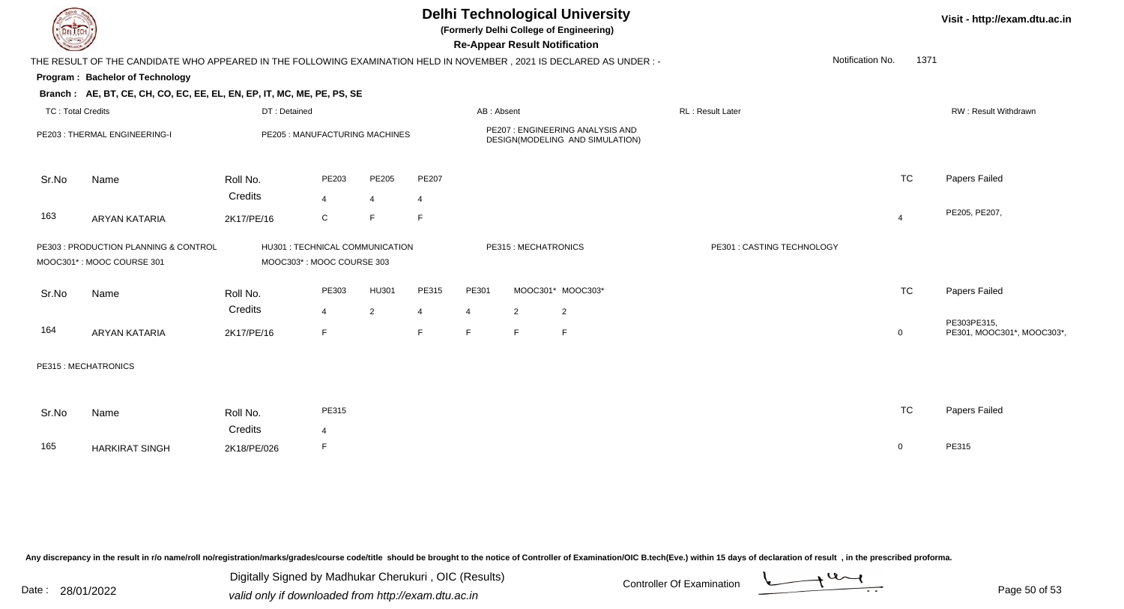| <b>DELIECH</b>           |                                                                                                                      |                                                              |                |                |       |                |                     | <b>Delhi Technological University</b><br>(Formerly Delhi College of Engineering)<br><b>Re-Appear Result Notification</b> |                            |                  |                | Visit - http://exam.dtu.ac.in             |
|--------------------------|----------------------------------------------------------------------------------------------------------------------|--------------------------------------------------------------|----------------|----------------|-------|----------------|---------------------|--------------------------------------------------------------------------------------------------------------------------|----------------------------|------------------|----------------|-------------------------------------------|
|                          | THE RESULT OF THE CANDIDATE WHO APPEARED IN THE FOLLOWING EXAMINATION HELD IN NOVEMBER, 2021 IS DECLARED AS UNDER :- |                                                              |                |                |       |                |                     |                                                                                                                          |                            | Notification No. | 1371           |                                           |
|                          | Program: Bachelor of Technology                                                                                      |                                                              |                |                |       |                |                     |                                                                                                                          |                            |                  |                |                                           |
|                          | Branch: AE, BT, CE, CH, CO, EC, EE, EL, EN, EP, IT, MC, ME, PE, PS, SE                                               |                                                              |                |                |       |                |                     |                                                                                                                          |                            |                  |                |                                           |
| <b>TC: Total Credits</b> |                                                                                                                      | DT: Detained                                                 |                |                |       | AB: Absent     |                     |                                                                                                                          | <b>RL: Result Later</b>    |                  |                | RW: Result Withdrawn                      |
|                          | PE203: THERMAL ENGINEERING-I                                                                                         | PE205 : MANUFACTURING MACHINES                               |                |                |       |                |                     | PE207: ENGINEERING ANALYSIS AND<br>DESIGN(MODELING AND SIMULATION)                                                       |                            |                  |                |                                           |
| Sr.No                    | Name                                                                                                                 | Roll No.                                                     | PE203          | PE205          | PE207 |                |                     |                                                                                                                          |                            |                  | <b>TC</b>      | Papers Failed                             |
|                          |                                                                                                                      | Credits                                                      | $\overline{4}$ | $\overline{4}$ |       |                |                     |                                                                                                                          |                            |                  |                |                                           |
| 163                      | <b>ARYAN KATARIA</b>                                                                                                 | 2K17/PE/16                                                   | $\mathsf C$    | F.             | E     |                |                     |                                                                                                                          |                            |                  | $\overline{4}$ | PE205, PE207,                             |
|                          | PE303 : PRODUCTION PLANNING & CONTROL<br>MOOC301*: MOOC COURSE 301                                                   | HU301 : TECHNICAL COMMUNICATION<br>MOOC303*: MOOC COURSE 303 |                |                |       |                | PE315: MECHATRONICS |                                                                                                                          | PE301 : CASTING TECHNOLOGY |                  |                |                                           |
| Sr.No                    | Name                                                                                                                 | Roll No.                                                     | PE303          | <b>HU301</b>   | PE315 | PE301          |                     | MOOC301* MOOC303*                                                                                                        |                            |                  | <b>TC</b>      | Papers Failed                             |
|                          |                                                                                                                      | Credits                                                      | $\overline{4}$ | 2              | 4     | $\overline{4}$ | $\overline{2}$      | $\overline{2}$                                                                                                           |                            |                  |                |                                           |
| 164                      | <b>ARYAN KATARIA</b>                                                                                                 | 2K17/PE/16                                                   | F              |                | F     | F              | E                   | F                                                                                                                        |                            |                  | $\mathbf 0$    | PE303PE315,<br>PE301, MOOC301*, MOOC303*, |
|                          | PE315 : MECHATRONICS                                                                                                 |                                                              |                |                |       |                |                     |                                                                                                                          |                            |                  |                |                                           |
| Sr.No                    | Name                                                                                                                 | Roll No.                                                     | PE315          |                |       |                |                     |                                                                                                                          |                            |                  | <b>TC</b>      | Papers Failed                             |
| 165                      | <b>HARKIRAT SINGH</b>                                                                                                | Credits<br>2K18/PE/026                                       | 4<br>F         |                |       |                |                     |                                                                                                                          |                            |                  | $\mathbf 0$    | PE315                                     |

Digitally Signed by Madhukar Cherukuri, OIC (Results)<br>Date : 28/01/2022 valid only if downloaded from http://oxam.dtu.ac.in

Digitally Signed by Madhukar Cherukuri , OIC (Results)valid only if downloaded from http://exam.dtu.ac.in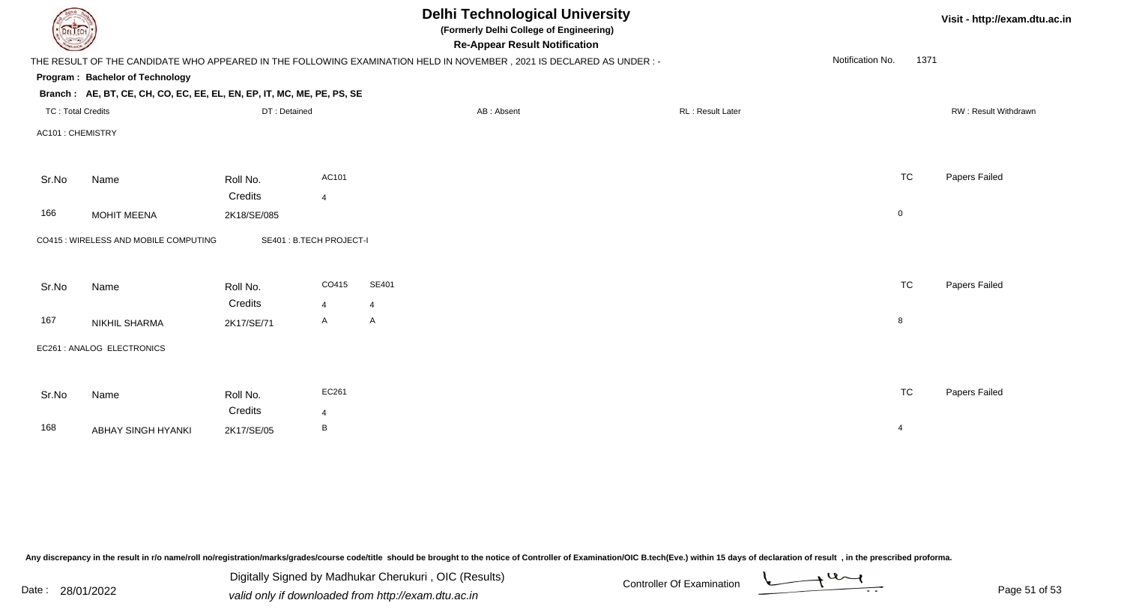| DEL TECH                 |                                                                        |              |                          | <b>Delhi Technological University</b><br>(Formerly Delhi College of Engineering)<br><b>Re-Appear Result Notification</b> |                  |                          | Visit - http://exam.dtu.ac.in |
|--------------------------|------------------------------------------------------------------------|--------------|--------------------------|--------------------------------------------------------------------------------------------------------------------------|------------------|--------------------------|-------------------------------|
|                          |                                                                        |              |                          | THE RESULT OF THE CANDIDATE WHO APPEARED IN THE FOLLOWING EXAMINATION HELD IN NOVEMBER, 2021 IS DECLARED AS UNDER :-     |                  | Notification No.<br>1371 |                               |
|                          | Program: Bachelor of Technology                                        |              |                          |                                                                                                                          |                  |                          |                               |
|                          | Branch: AE, BT, CE, CH, CO, EC, EE, EL, EN, EP, IT, MC, ME, PE, PS, SE |              |                          |                                                                                                                          |                  |                          |                               |
| <b>TC: Total Credits</b> |                                                                        | DT: Detained |                          | AB: Absent                                                                                                               | RL: Result Later |                          | RW: Result Withdrawn          |
| AC101: CHEMISTRY         |                                                                        |              |                          |                                                                                                                          |                  |                          |                               |
| Sr.No                    | Name                                                                   | Roll No.     | AC101                    |                                                                                                                          |                  | <b>TC</b>                | Papers Failed                 |
|                          |                                                                        | Credits      | 4                        |                                                                                                                          |                  |                          |                               |
| 166                      | <b>MOHIT MEENA</b>                                                     | 2K18/SE/085  |                          |                                                                                                                          |                  | 0                        |                               |
|                          | CO415 : WIRELESS AND MOBILE COMPUTING                                  |              | SE401 : B.TECH PROJECT-I |                                                                                                                          |                  |                          |                               |
| Sr.No                    | Name                                                                   | Roll No.     | CO415                    | SE401                                                                                                                    |                  | <b>TC</b>                | Papers Failed                 |
|                          |                                                                        | Credits      | $\overline{4}$           | $\overline{4}$                                                                                                           |                  |                          |                               |
| 167                      | NIKHIL SHARMA                                                          | 2K17/SE/71   | $\mathsf{A}$             | A                                                                                                                        |                  | 8                        |                               |
|                          | EC261 : ANALOG ELECTRONICS                                             |              |                          |                                                                                                                          |                  |                          |                               |
|                          |                                                                        |              |                          |                                                                                                                          |                  |                          |                               |
| Sr.No                    | Name                                                                   | Roll No.     | EC261                    |                                                                                                                          |                  | <b>TC</b>                | Papers Failed                 |
|                          |                                                                        | Credits      | $\overline{4}$           |                                                                                                                          |                  |                          |                               |
| 168                      | ABHAY SINGH HYANKI                                                     | 2K17/SE/05   | В                        |                                                                                                                          |                  | 4                        |                               |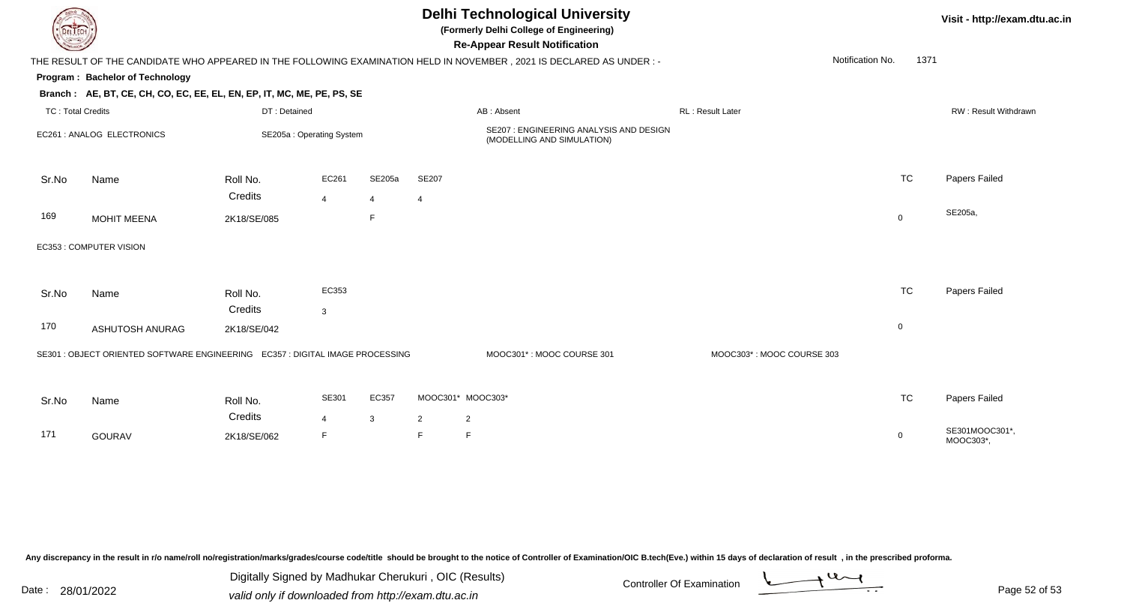| (Formerly Delhi College of Engineering)<br>DEL TECH<br><b>Re-Appear Result Notification</b>                                              |           | Visit - http://exam.dtu.ac.in |
|------------------------------------------------------------------------------------------------------------------------------------------|-----------|-------------------------------|
| Notification No.<br>THE RESULT OF THE CANDIDATE WHO APPEARED IN THE FOLLOWING EXAMINATION HELD IN NOVEMBER, 2021 IS DECLARED AS UNDER :- | 1371      |                               |
| Program: Bachelor of Technology                                                                                                          |           |                               |
| Branch: AE, BT, CE, CH, CO, EC, EE, EL, EN, EP, IT, MC, ME, PE, PS, SE                                                                   |           |                               |
| DT: Detained<br><b>TC: Total Credits</b><br>AB: Absent<br><b>RL: Result Later</b>                                                        |           | RW: Result Withdrawn          |
| SE207 : ENGINEERING ANALYSIS AND DESIGN<br>EC261 : ANALOG ELECTRONICS<br>SE205a: Operating System<br>(MODELLING AND SIMULATION)          |           |                               |
| <b>SE207</b><br>EC261<br>SE205a<br>Roll No.<br>Sr.No<br>Name<br>Credits                                                                  | <b>TC</b> | Papers Failed                 |
| $\overline{4}$<br>$\overline{4}$<br>4<br>169<br>$\mathsf{F}$<br><b>MOHIT MEENA</b><br>$\mathbf 0$<br>2K18/SE/085                         |           | SE205a,                       |
| EC353 : COMPUTER VISION                                                                                                                  |           |                               |
| EC353<br>Sr.No<br>Name<br>Roll No.<br>Credits<br>$\mathbf{3}$                                                                            | <b>TC</b> | <b>Papers Failed</b>          |
| 170<br>$\mathbf 0$<br>ASHUTOSH ANURAG<br>2K18/SE/042                                                                                     |           |                               |
| SE301 : OBJECT ORIENTED SOFTWARE ENGINEERING  EC357 : DIGITAL IMAGE PROCESSING<br>MOOC301*: MOOC COURSE 301<br>MOOC303*: MOOC COURSE 303 |           |                               |
|                                                                                                                                          |           |                               |
| SE301<br>EC357<br>MOOC301* MOOC303*<br>Sr.No<br>Name<br>Roll No.                                                                         | <b>TC</b> | Papers Failed                 |
| Credits<br>$\overline{2}$<br>$\overline{4}$<br>3<br>$\overline{2}$<br>171<br>F<br>F<br>E<br><b>GOURAV</b><br>2K18/SE/062<br>0            |           | SE301MOOC301*,<br>MOOC303*,   |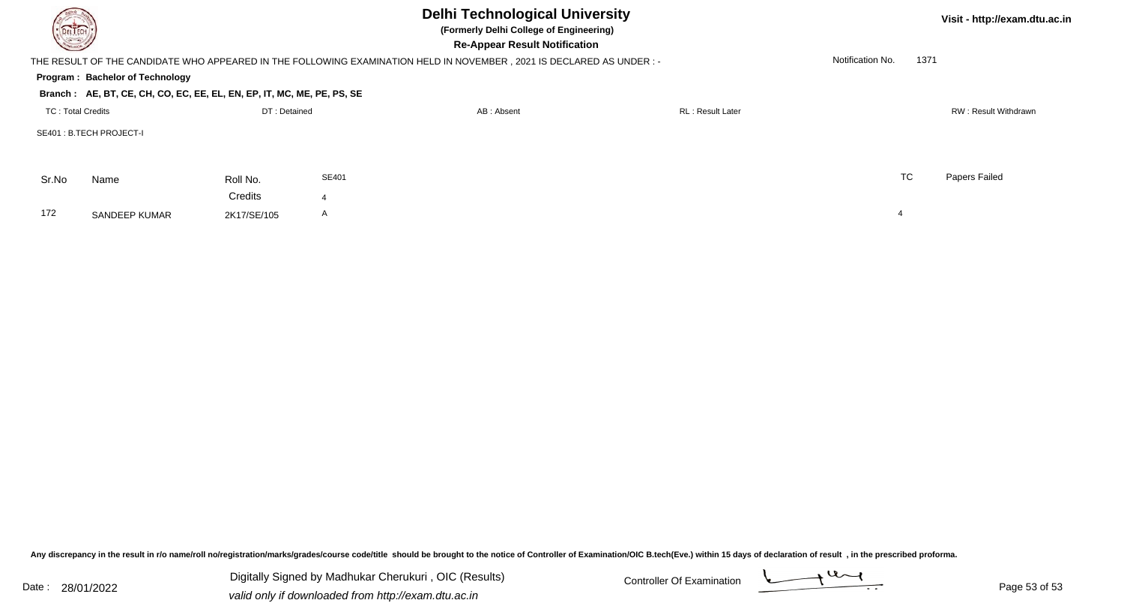| DEL TECH                 |                                                                        |              |              | <b>Delhi Technological University</b><br>(Formerly Delhi College of Engineering)<br><b>Re-Appear Result Notification</b> |                  |                  |      | Visit - http://exam.dtu.ac.in |
|--------------------------|------------------------------------------------------------------------|--------------|--------------|--------------------------------------------------------------------------------------------------------------------------|------------------|------------------|------|-------------------------------|
|                          |                                                                        |              |              | THE RESULT OF THE CANDIDATE WHO APPEARED IN THE FOLLOWING EXAMINATION HELD IN NOVEMBER, 2021 IS DECLARED AS UNDER:-      |                  | Notification No. | 1371 |                               |
|                          | Program: Bachelor of Technology                                        |              |              |                                                                                                                          |                  |                  |      |                               |
|                          | Branch: AE, BT, CE, CH, CO, EC, EE, EL, EN, EP, IT, MC, ME, PE, PS, SE |              |              |                                                                                                                          |                  |                  |      |                               |
| <b>TC: Total Credits</b> |                                                                        | DT: Detained |              | AB: Absent                                                                                                               | RL: Result Later |                  |      | RW: Result Withdrawn          |
|                          | SE401 : B.TECH PROJECT-I                                               |              |              |                                                                                                                          |                  |                  |      |                               |
| Sr.No                    | Name                                                                   | Roll No.     | SE401        |                                                                                                                          |                  | <b>TC</b>        |      | Papers Failed                 |
|                          |                                                                        | Credits      |              |                                                                                                                          |                  |                  |      |                               |
| 172                      | <b>SANDEEP KUMAR</b>                                                   | 2K17/SE/105  | $\mathsf{A}$ |                                                                                                                          |                  | 4                |      |                               |

Digitally Signed by Madhukar Cherukuri, OIC (Results) Controller Of Examination Controller Of Examination Digitally Signed by Madhukar Cherukuri , OIC (Results)valid only if downloaded from http://exam.dtu.ac.in

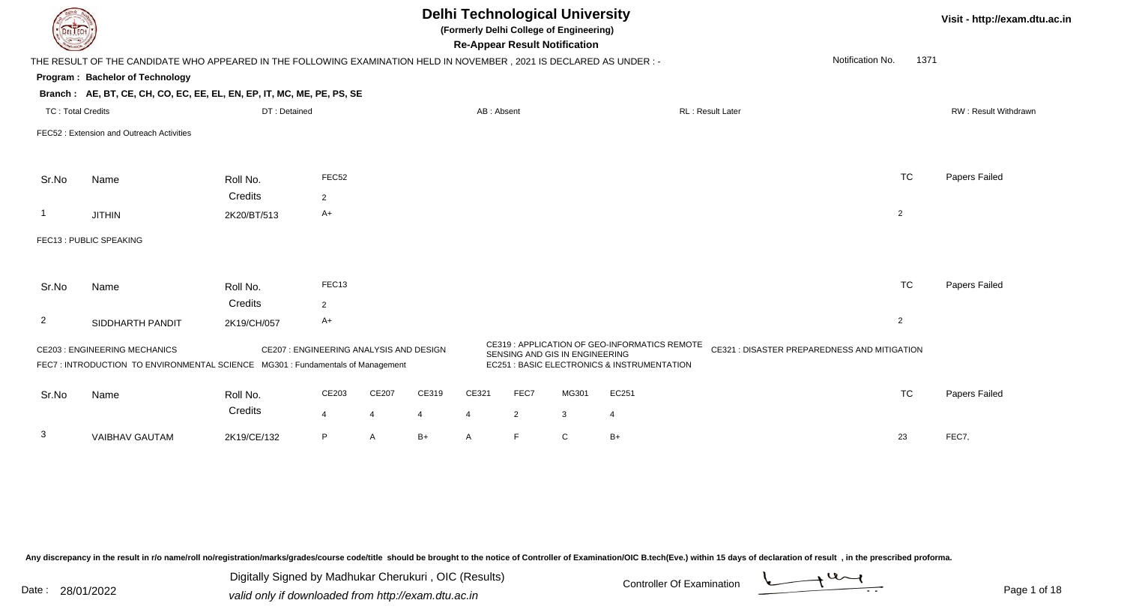| DEL TECH                 |                                                                                                                       |              |                                        |                |       |                |                | <b>Delhi Technological University</b><br>(Formerly Delhi College of Engineering)<br><b>Re-Appear Result Notification</b> |                                                                                              |                         |                                              |                | Visit - http://exam.dtu.ac.in |
|--------------------------|-----------------------------------------------------------------------------------------------------------------------|--------------|----------------------------------------|----------------|-------|----------------|----------------|--------------------------------------------------------------------------------------------------------------------------|----------------------------------------------------------------------------------------------|-------------------------|----------------------------------------------|----------------|-------------------------------|
|                          | THE RESULT OF THE CANDIDATE WHO APPEARED IN THE FOLLOWING EXAMINATION HELD IN NOVEMBER, 2021 IS DECLARED AS UNDER:-   |              |                                        |                |       |                |                |                                                                                                                          |                                                                                              |                         | Notification No.                             | 1371           |                               |
|                          | Program: Bachelor of Technology                                                                                       |              |                                        |                |       |                |                |                                                                                                                          |                                                                                              |                         |                                              |                |                               |
|                          | Branch: AE, BT, CE, CH, CO, EC, EE, EL, EN, EP, IT, MC, ME, PE, PS, SE                                                |              |                                        |                |       |                |                |                                                                                                                          |                                                                                              |                         |                                              |                |                               |
| <b>TC: Total Credits</b> |                                                                                                                       | DT: Detained |                                        |                |       | AB: Absent     |                |                                                                                                                          |                                                                                              | <b>RL: Result Later</b> |                                              |                | <b>RW: Result Withdrawn</b>   |
|                          | FEC52: Extension and Outreach Activities                                                                              |              |                                        |                |       |                |                |                                                                                                                          |                                                                                              |                         |                                              |                |                               |
|                          |                                                                                                                       |              |                                        |                |       |                |                |                                                                                                                          |                                                                                              |                         |                                              |                |                               |
| Sr.No                    | Name                                                                                                                  | Roll No.     | FEC52                                  |                |       |                |                |                                                                                                                          |                                                                                              |                         |                                              | <b>TC</b>      | Papers Failed                 |
|                          |                                                                                                                       | Credits      | 2                                      |                |       |                |                |                                                                                                                          |                                                                                              |                         |                                              |                |                               |
|                          | <b>JITHIN</b>                                                                                                         | 2K20/BT/513  | A+                                     |                |       |                |                |                                                                                                                          |                                                                                              |                         |                                              | $\overline{2}$ |                               |
|                          | FEC13 : PUBLIC SPEAKING                                                                                               |              |                                        |                |       |                |                |                                                                                                                          |                                                                                              |                         |                                              |                |                               |
|                          |                                                                                                                       |              |                                        |                |       |                |                |                                                                                                                          |                                                                                              |                         |                                              |                |                               |
| Sr.No                    | Name                                                                                                                  | Roll No.     | FEC13                                  |                |       |                |                |                                                                                                                          |                                                                                              |                         |                                              | TC             | Papers Failed                 |
|                          |                                                                                                                       | Credits      | $\overline{2}$                         |                |       |                |                |                                                                                                                          |                                                                                              |                         |                                              |                |                               |
| $\overline{2}$           | SIDDHARTH PANDIT                                                                                                      | 2K19/CH/057  | A+                                     |                |       |                |                |                                                                                                                          |                                                                                              |                         |                                              | $\overline{2}$ |                               |
|                          | <b>CE203: ENGINEERING MECHANICS</b><br>FEC7: INTRODUCTION TO ENVIRONMENTAL SCIENCE MG301 : Fundamentals of Management |              | CE207: ENGINEERING ANALYSIS AND DESIGN |                |       |                |                | SENSING AND GIS IN ENGINEERING                                                                                           | CE319 : APPLICATION OF GEO-INFORMATICS REMOTE<br>EC251 : BASIC ELECTRONICS & INSTRUMENTATION |                         | CE321 : DISASTER PREPAREDNESS AND MITIGATION |                |                               |
| Sr.No                    | Name                                                                                                                  | Roll No.     | CE203                                  | CE207          | CE319 | CE321          | FEC7           | MG301                                                                                                                    | EC251                                                                                        |                         |                                              | <b>TC</b>      | Papers Failed                 |
|                          |                                                                                                                       | Credits      | $\overline{4}$                         | $\overline{4}$ | 4     | $\overline{4}$ | $\overline{2}$ | $\mathbf{3}$                                                                                                             | 4                                                                                            |                         |                                              |                |                               |
| 3                        | <b>VAIBHAV GAUTAM</b>                                                                                                 | 2K19/CE/132  | P                                      | A              | $B+$  | A              | E              | $\mathsf{C}$                                                                                                             | $B+$                                                                                         |                         |                                              | 23             | FEC7,                         |

Digitally Signed by Madhukar Cherukuri, OIC (Results)<br>Date : 28/01/2022 valid only if downloaded from http://oxam.dtu.ac.in Digitally Signed by Madhukar Cherukuri , OIC (Results)

valid only if downloaded from http://exam.dtu.ac.in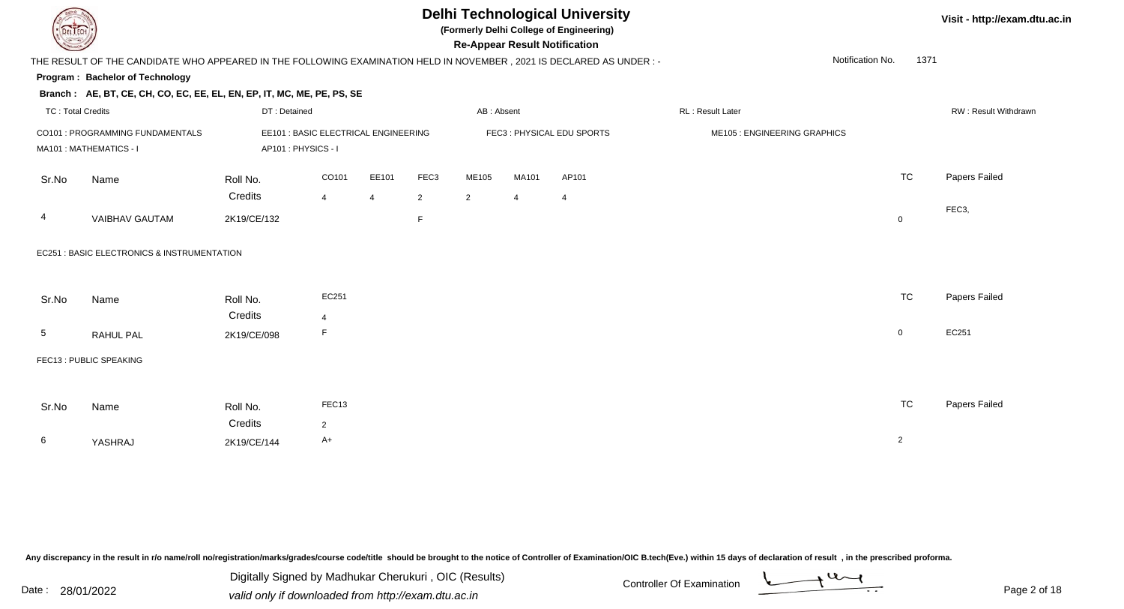

**(Formerly Delhi College of Engineering)**

**Re-Appear Result Notification**

**Visit - http://exam.dtu.ac.in**

|                          | THE RESULT OF THE CANDIDATE WHO APPEARED IN THE FOLLOWING EXAMINATION HELD IN NOVEMBER, 2021 IS DECLARED AS UNDER :- |                                                            |                     |                |                |                |                |                           |                              | Notification No. | 1371           |                      |
|--------------------------|----------------------------------------------------------------------------------------------------------------------|------------------------------------------------------------|---------------------|----------------|----------------|----------------|----------------|---------------------------|------------------------------|------------------|----------------|----------------------|
|                          | Program: Bachelor of Technology                                                                                      |                                                            |                     |                |                |                |                |                           |                              |                  |                |                      |
|                          | Branch: AE, BT, CE, CH, CO, EC, EE, EL, EN, EP, IT, MC, ME, PE, PS, SE                                               |                                                            |                     |                |                |                |                |                           |                              |                  |                |                      |
| <b>TC: Total Credits</b> |                                                                                                                      | DT: Detained                                               |                     |                |                | AB: Absent     |                |                           | RL : Result Later            |                  |                | RW: Result Withdrawr |
|                          | CO101 : PROGRAMMING FUNDAMENTALS<br>MA101: MATHEMATICS - I                                                           | EE101 : BASIC ELECTRICAL ENGINEERING<br>AP101: PHYSICS - I |                     |                |                |                |                | FEC3: PHYSICAL EDU SPORTS | ME105 : ENGINEERING GRAPHICS |                  |                |                      |
| Sr.No                    | Name                                                                                                                 | Roll No.                                                   | CO101               | EE101          | FEC3           | ME105          | MA101          | AP101                     |                              |                  | <b>TC</b>      | Papers Failed        |
|                          |                                                                                                                      | Credits                                                    | $\overline{4}$      | $\overline{4}$ | $\overline{2}$ | $\overline{2}$ | $\overline{4}$ | $\overline{4}$            |                              |                  |                |                      |
| 4                        | <b>VAIBHAV GAUTAM</b>                                                                                                | 2K19/CE/132                                                |                     |                | F              |                |                |                           |                              |                  | $\mathbf 0$    | FEC3,                |
|                          | EC251 : BASIC ELECTRONICS & INSTRUMENTATION                                                                          |                                                            |                     |                |                |                |                |                           |                              |                  |                |                      |
| Sr.No                    | Name                                                                                                                 | Roll No.<br>Credits                                        | EC251               |                |                |                |                |                           |                              |                  | <b>TC</b>      | Papers Failed        |
| $5\overline{)}$          | RAHUL PAL                                                                                                            | 2K19/CE/098                                                | $\overline{4}$<br>F |                |                |                |                |                           |                              |                  | $\mathbf{0}$   | EC251                |
|                          | FEC13 : PUBLIC SPEAKING                                                                                              |                                                            |                     |                |                |                |                |                           |                              |                  |                |                      |
| Sr.No                    | Name                                                                                                                 | Roll No.                                                   | FEC13               |                |                |                |                |                           |                              |                  | <b>TC</b>      | Papers Failed        |
|                          |                                                                                                                      | Credits                                                    | $\overline{2}$      |                |                |                |                |                           |                              |                  |                |                      |
| 6                        | YASHRAJ                                                                                                              | 2K19/CE/144                                                | A+                  |                |                |                |                |                           |                              |                  | $\overline{2}$ |                      |
|                          |                                                                                                                      |                                                            |                     |                |                |                |                |                           |                              |                  |                |                      |

Any discrepancy in the result in r/o name/roll no/registration/marks/grades/course code/title should be brought to the notice of Controller of Examination/OIC B.tech(Eve.) within 15 days of declaration of result, in the pr

| Date: | 28/01/2022 |
|-------|------------|
|-------|------------|

Date : 28/01/2022 Valid only if downloaded from http://exam.dtu.ac.in<br>
Date : 28/01/2022 valid only if downloaded from http://exam.dtu.ac.in Digitally Signed by Madhukar Cherukuri , OIC (Results)

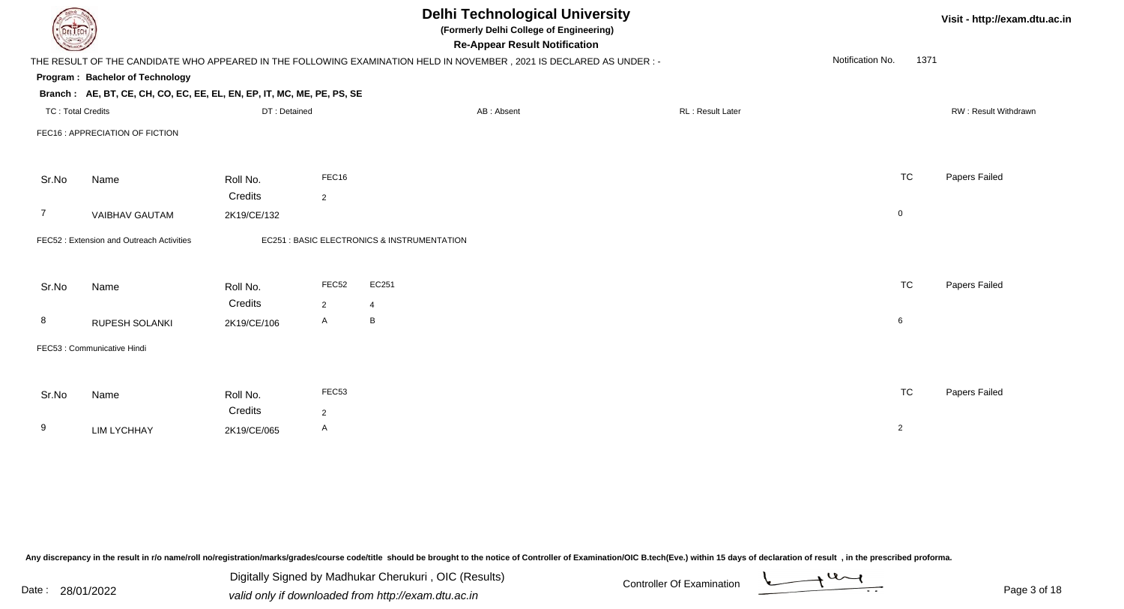| DEL TECH                 |                                                                        |              |              | <b>Delhi Technological University</b><br>(Formerly Delhi College of Engineering)<br><b>Re-Appear Result Notification</b> | Visit - http://exam.dtu.ac.in |                          |                      |
|--------------------------|------------------------------------------------------------------------|--------------|--------------|--------------------------------------------------------------------------------------------------------------------------|-------------------------------|--------------------------|----------------------|
|                          |                                                                        |              |              | THE RESULT OF THE CANDIDATE WHO APPEARED IN THE FOLLOWING EXAMINATION HELD IN NOVEMBER, 2021 IS DECLARED AS UNDER :-     |                               | Notification No.<br>1371 |                      |
|                          | Program: Bachelor of Technology                                        |              |              |                                                                                                                          |                               |                          |                      |
|                          | Branch: AE, BT, CE, CH, CO, EC, EE, EL, EN, EP, IT, MC, ME, PE, PS, SE |              |              |                                                                                                                          |                               |                          |                      |
| <b>TC: Total Credits</b> |                                                                        | DT: Detained |              | AB: Absent                                                                                                               | RL: Result Later              |                          | RW: Result Withdrawn |
|                          | FEC16 : APPRECIATION OF FICTION                                        |              |              |                                                                                                                          |                               |                          |                      |
| Sr.No                    | Name                                                                   | Roll No.     | FEC16        |                                                                                                                          |                               | <b>TC</b>                | Papers Failed        |
|                          |                                                                        | Credits      | 2            |                                                                                                                          |                               |                          |                      |
| 7                        | <b>VAIBHAV GAUTAM</b>                                                  | 2K19/CE/132  |              |                                                                                                                          |                               | $\mathbf 0$              |                      |
|                          | FEC52: Extension and Outreach Activities                               |              |              | EC251 : BASIC ELECTRONICS & INSTRUMENTATION                                                                              |                               |                          |                      |
| Sr.No                    | Name                                                                   | Roll No.     | FEC52        | EC251                                                                                                                    |                               | <b>TC</b>                | Papers Failed        |
|                          |                                                                        | Credits      | 2            | $\overline{4}$                                                                                                           |                               |                          |                      |
| 8                        | RUPESH SOLANKI                                                         | 2K19/CE/106  | $\mathsf{A}$ | $\, {\bf B} \,$                                                                                                          |                               | 6                        |                      |
|                          | FEC53 : Communicative Hindi                                            |              |              |                                                                                                                          |                               |                          |                      |
|                          |                                                                        |              |              |                                                                                                                          |                               |                          |                      |
| Sr.No                    | Name                                                                   | Roll No.     | FEC53        |                                                                                                                          |                               | <b>TC</b>                | Papers Failed        |
|                          |                                                                        | Credits      | 2            |                                                                                                                          |                               |                          |                      |
| 9                        | <b>LIM LYCHHAY</b>                                                     | 2K19/CE/065  | A            |                                                                                                                          |                               | $\overline{2}$           |                      |
|                          |                                                                        |              |              |                                                                                                                          |                               |                          |                      |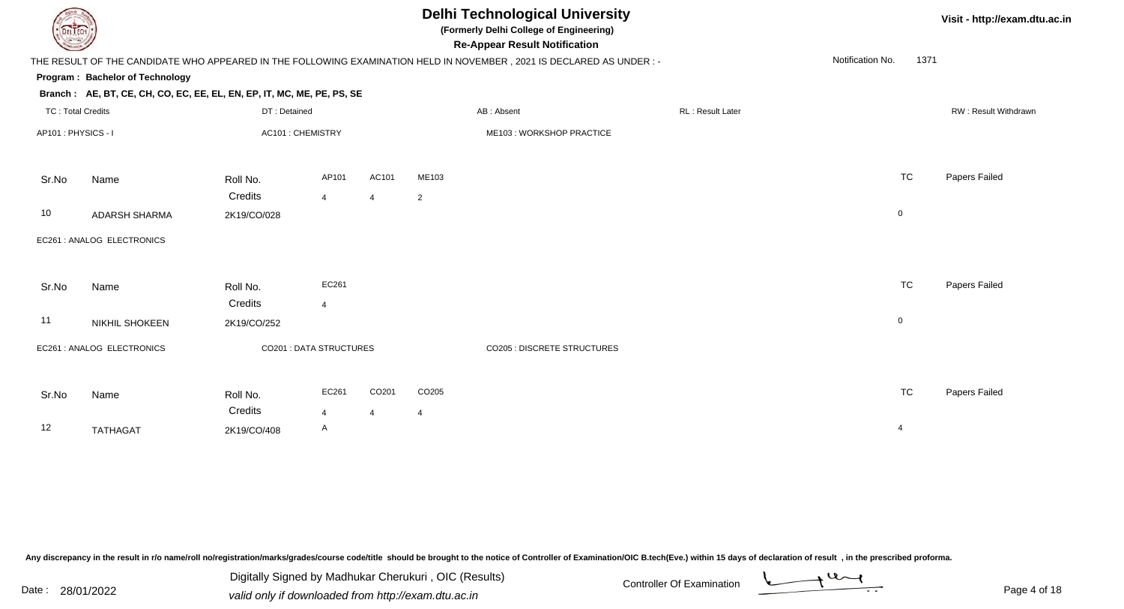| DEL TECH                 |                                                                        |                  |                                |                |                   | <b>Delhi Technological University</b><br>(Formerly Delhi College of Engineering)<br><b>Re-Appear Result Notification</b> |                  |                  | Visit - http://exam.dtu.ac.in |                      |
|--------------------------|------------------------------------------------------------------------|------------------|--------------------------------|----------------|-------------------|--------------------------------------------------------------------------------------------------------------------------|------------------|------------------|-------------------------------|----------------------|
|                          |                                                                        |                  |                                |                |                   | THE RESULT OF THE CANDIDATE WHO APPEARED IN THE FOLLOWING EXAMINATION HELD IN NOVEMBER, 2021 IS DECLARED AS UNDER :-     |                  | Notification No. | 1371                          |                      |
|                          | Program: Bachelor of Technology                                        |                  |                                |                |                   |                                                                                                                          |                  |                  |                               |                      |
|                          | Branch: AE, BT, CE, CH, CO, EC, EE, EL, EN, EP, IT, MC, ME, PE, PS, SE |                  |                                |                |                   |                                                                                                                          |                  |                  |                               |                      |
| <b>TC: Total Credits</b> |                                                                        | DT: Detained     |                                |                |                   | AB: Absent                                                                                                               | RL: Result Later |                  |                               | RW: Result Withdrawn |
| AP101: PHYSICS - I       |                                                                        | AC101: CHEMISTRY |                                |                |                   | ME103: WORKSHOP PRACTICE                                                                                                 |                  |                  |                               |                      |
| Sr.No                    | Name                                                                   | Roll No.         | AP101                          | AC101          | ME103             |                                                                                                                          |                  | <b>TC</b>        |                               | Papers Failed        |
|                          |                                                                        | Credits          | $\overline{4}$                 | 4              | $\overline{2}$    |                                                                                                                          |                  |                  |                               |                      |
| 10                       | <b>ADARSH SHARMA</b>                                                   | 2K19/CO/028      |                                |                |                   |                                                                                                                          |                  | $\mathbf 0$      |                               |                      |
|                          | EC261 : ANALOG ELECTRONICS                                             |                  |                                |                |                   |                                                                                                                          |                  |                  |                               |                      |
| Sr.No                    | Name                                                                   | Roll No.         | EC261                          |                |                   |                                                                                                                          |                  | <b>TC</b>        |                               | Papers Failed        |
|                          |                                                                        | Credits          | $\overline{4}$                 |                |                   |                                                                                                                          |                  |                  |                               |                      |
| 11                       | NIKHIL SHOKEEN                                                         | 2K19/CO/252      |                                |                |                   |                                                                                                                          |                  | $\mathbf 0$      |                               |                      |
|                          | EC261 : ANALOG ELECTRONICS                                             |                  | <b>CO201 : DATA STRUCTURES</b> |                |                   | <b>CO205 : DISCRETE STRUCTURES</b>                                                                                       |                  |                  |                               |                      |
| Sr.No                    | Name                                                                   | Roll No.         | EC261                          | CO201          | CO <sub>205</sub> |                                                                                                                          |                  | <b>TC</b>        |                               | Papers Failed        |
|                          |                                                                        | Credits          | $\overline{4}$                 | $\overline{4}$ | $\overline{4}$    |                                                                                                                          |                  |                  |                               |                      |
| 12                       | <b>TATHAGAT</b>                                                        | 2K19/CO/408      | A                              |                |                   |                                                                                                                          |                  | 4                |                               |                      |
|                          |                                                                        |                  |                                |                |                   |                                                                                                                          |                  |                  |                               |                      |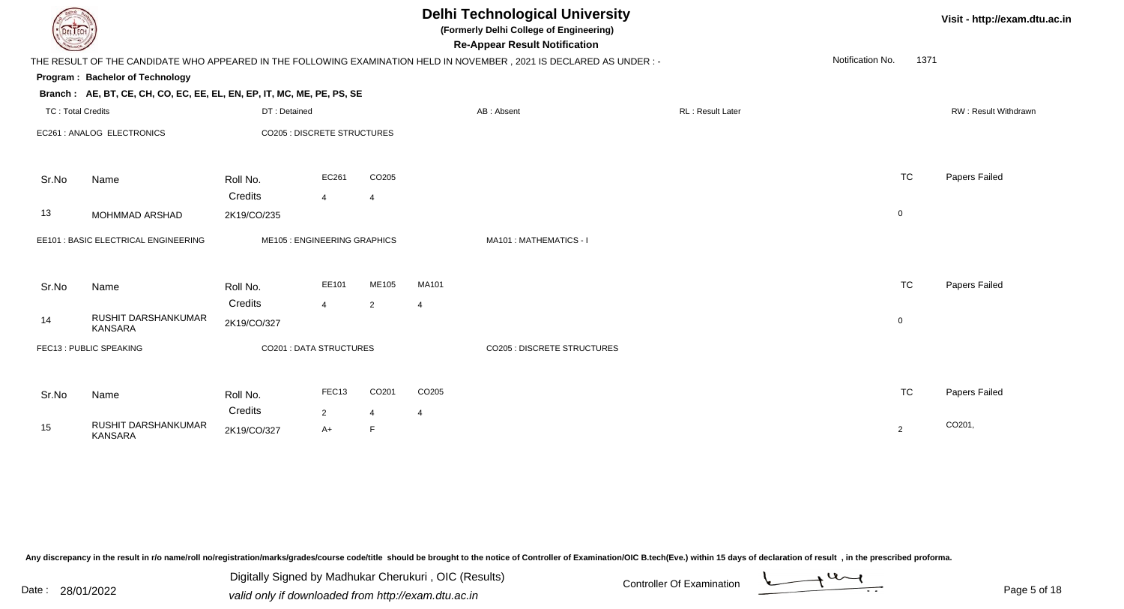| DEL ECH                  |                                                                                                                      |                             |                                |                | <b>Delhi Technological University</b><br>(Formerly Delhi College of Engineering)<br><b>Re-Appear Result Notification</b> |                                    |  |                  |  |                          | Visit - http://exam.dtu.ac.in |
|--------------------------|----------------------------------------------------------------------------------------------------------------------|-----------------------------|--------------------------------|----------------|--------------------------------------------------------------------------------------------------------------------------|------------------------------------|--|------------------|--|--------------------------|-------------------------------|
|                          | THE RESULT OF THE CANDIDATE WHO APPEARED IN THE FOLLOWING EXAMINATION HELD IN NOVEMBER, 2021 IS DECLARED AS UNDER :- |                             |                                |                |                                                                                                                          |                                    |  |                  |  | Notification No.<br>1371 |                               |
|                          | Program: Bachelor of Technology                                                                                      |                             |                                |                |                                                                                                                          |                                    |  |                  |  |                          |                               |
|                          | Branch: AE, BT, CE, CH, CO, EC, EE, EL, EN, EP, IT, MC, ME, PE, PS, SE                                               |                             |                                |                |                                                                                                                          |                                    |  |                  |  |                          |                               |
| <b>TC: Total Credits</b> |                                                                                                                      | DT: Detained                |                                |                |                                                                                                                          | AB: Absent                         |  | RL: Result Later |  |                          | RW: Result Withdrawn          |
|                          | EC261 : ANALOG ELECTRONICS                                                                                           | CO205 : DISCRETE STRUCTURES |                                |                |                                                                                                                          |                                    |  |                  |  |                          |                               |
| Sr.No                    | Name                                                                                                                 | Roll No.                    | EC261                          | CO205          |                                                                                                                          |                                    |  |                  |  | <b>TC</b>                | Papers Failed                 |
|                          |                                                                                                                      | Credits                     | $\overline{4}$                 | $\overline{4}$ |                                                                                                                          |                                    |  |                  |  |                          |                               |
| 13                       | MOHMMAD ARSHAD                                                                                                       | 2K19/CO/235                 |                                |                |                                                                                                                          |                                    |  |                  |  | $\mathbf 0$              |                               |
|                          | EE101 : BASIC ELECTRICAL ENGINEERING                                                                                 |                             | ME105 : ENGINEERING GRAPHICS   |                |                                                                                                                          | MA101: MATHEMATICS - I             |  |                  |  |                          |                               |
| Sr.No                    | Name                                                                                                                 | Roll No.                    | EE101                          | ME105          | MA101                                                                                                                    |                                    |  |                  |  | <b>TC</b>                | Papers Failed                 |
|                          |                                                                                                                      | Credits                     | $\overline{4}$                 | $\overline{2}$ | $\boldsymbol{\varDelta}$                                                                                                 |                                    |  |                  |  |                          |                               |
| 14                       | RUSHIT DARSHANKUMAR<br><b>KANSARA</b>                                                                                | 2K19/CO/327                 |                                |                |                                                                                                                          |                                    |  |                  |  | $\overline{0}$           |                               |
|                          | FEC13: PUBLIC SPEAKING                                                                                               |                             | <b>CO201 : DATA STRUCTURES</b> |                |                                                                                                                          | <b>CO205 : DISCRETE STRUCTURES</b> |  |                  |  |                          |                               |
| Sr.No                    | Name                                                                                                                 | Roll No.                    | FEC13                          | CO201          | CO205                                                                                                                    |                                    |  |                  |  | <b>TC</b>                | Papers Failed                 |
|                          |                                                                                                                      | Credits                     | $\overline{2}$                 | $\overline{4}$ | 4                                                                                                                        |                                    |  |                  |  |                          |                               |
| 15                       | RUSHIT DARSHANKUMAR<br><b>KANSARA</b>                                                                                | 2K19/CO/327                 | $A+$                           | F              |                                                                                                                          |                                    |  |                  |  | $\overline{2}$           | CO201,                        |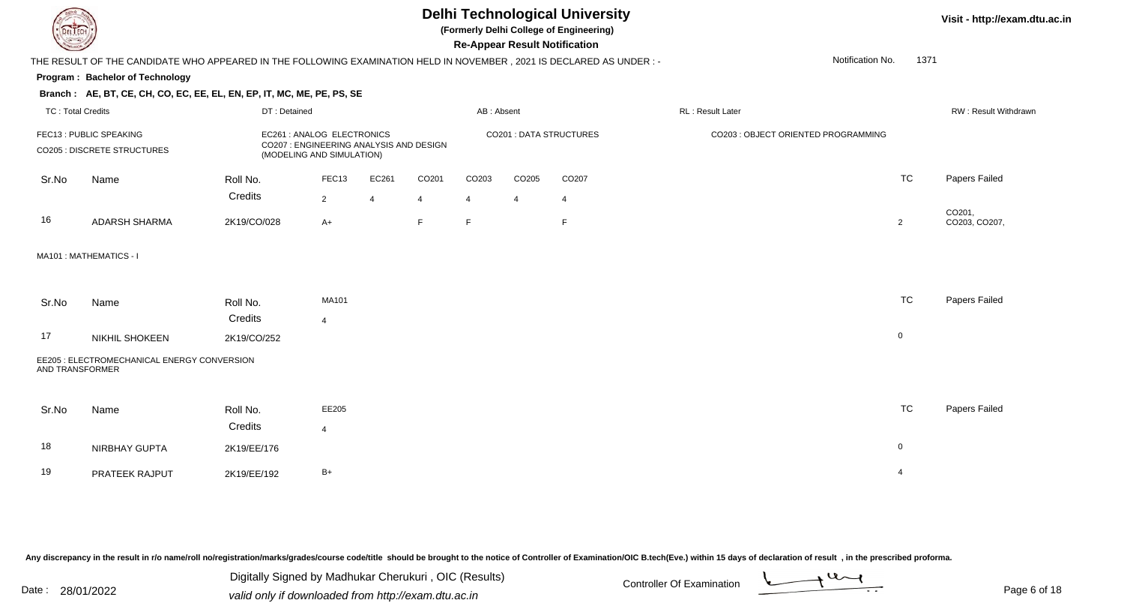

**(Formerly Delhi College of Engineering)**

**Re-Appear Result Notification**

**Visit - http://exam.dtu.ac.in**

1371

 THE RESULT OF THE CANDIDATE WHO APPEARED IN THE FOLLOWING EXAMINATION HELD IN NOVEMBER , 2021 IS DECLARED AS UNDER : -Notification No.

#### **Program : Bachelor of Technology**

#### **Branch : AE, BT, CE, CH, CO, EC, EE, EL, EN, EP, IT, MC, ME, PE, PS, SE**

| TC: Total Credits                                      |                         | DT: Detained                                                                                     |                        |            |                        | AB: Absent              |                   |                         | <b>RL</b> : Result Later |                                     | <b>RW: Result Withdrawr</b> |
|--------------------------------------------------------|-------------------------|--------------------------------------------------------------------------------------------------|------------------------|------------|------------------------|-------------------------|-------------------|-------------------------|--------------------------|-------------------------------------|-----------------------------|
| FEC13 : PUBLIC SPEAKING<br>CO205 : DISCRETE STRUCTURES |                         | EC261: ANALOG ELECTRONICS<br>CO207: ENGINEERING ANALYSIS AND DESIGN<br>(MODELING AND SIMULATION) |                        |            |                        | CO201 : DATA STRUCTURES |                   |                         |                          | CO203 : OBJECT ORIENTED PROGRAMMING |                             |
| Sr.No                                                  | Name                    | Roll No.<br>Credits                                                                              | FEC <sub>13</sub><br>ົ | EC261<br>4 | CO <sub>201</sub><br>Δ | CO <sub>203</sub>       | CO <sub>205</sub> | CO <sub>207</sub><br>-4 |                          | TC                                  | Papers Failed               |
| 16                                                     | ADARSH SHARMA           | 2K19/CO/028                                                                                      | $A+$                   |            | E.                     | Е                       |                   | E                       |                          |                                     | CO201,<br>CO203, CO207,     |
|                                                        | MA101 : MATHEMATICS - I |                                                                                                  |                        |            |                        |                         |                   |                         |                          |                                     |                             |

#### Sr.NoName Roll No. **Credits** MA101 TCTC Papers Failed 417 NIKHIL SHOKEEN $\sim$  2K19/CO/252 0 EE205 : ELECTROMECHANICAL ENERGY CONVERSIONAND TRANSFORMER

| Sr.No | Name           | Roll No.    | EE205 | TC | Papers Failed |
|-------|----------------|-------------|-------|----|---------------|
|       |                | Credits     |       |    |               |
| 18    | NIRBHAY GUPTA  | 2K19/EE/176 |       |    |               |
| 19    | PRATEEK RAJPUT | 2K19/EE/192 | $B+$  |    |               |

Any discrepancy in the result in r/o name/roll no/registration/marks/grades/course code/title should be brought to the notice of Controller of Examination/OIC B.tech(Eve.) within 15 days of declaration of result, in the pr

| Pate: 28/01/2022 |  |
|------------------|--|
|                  |  |

Date : 28/01/2022 Valid only if downloaded from http://exam.dtu.ac.in<br>
Date : 28/01/2022 valid only if downloaded from http://exam.dtu.ac.in Digitally Signed by Madhukar Cherukuri , OIC (Results)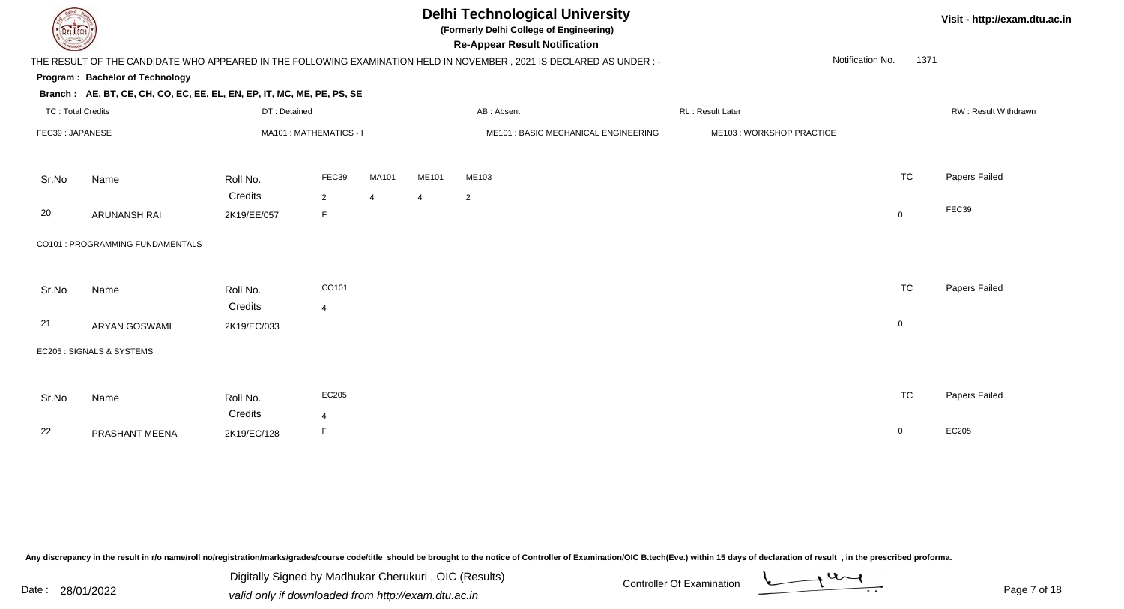

**(Formerly Delhi College of Engineering)**

**Re-Appear Result Notification**

**Visit - http://exam.dtu.ac.in**

| <b>Country of Charles</b> |                                                                        |              |                         |                |                | <b>Re-Appear Result Notification</b>                                                                                   |                          |                  |             |                             |
|---------------------------|------------------------------------------------------------------------|--------------|-------------------------|----------------|----------------|------------------------------------------------------------------------------------------------------------------------|--------------------------|------------------|-------------|-----------------------------|
|                           |                                                                        |              |                         |                |                | THE RESULT OF THE CANDIDATE WHO APPEARED IN THE FOLLOWING EXAMINATION HELD IN NOVEMBER , 2021 IS DECLARED AS UNDER : - |                          | Notification No. | 1371        |                             |
|                           | Program: Bachelor of Technology                                        |              |                         |                |                |                                                                                                                        |                          |                  |             |                             |
|                           | Branch: AE, BT, CE, CH, CO, EC, EE, EL, EN, EP, IT, MC, ME, PE, PS, SE |              |                         |                |                |                                                                                                                        |                          |                  |             |                             |
| <b>TC: Total Credits</b>  |                                                                        | DT: Detained |                         |                |                | AB: Absent                                                                                                             | RL: Result Later         |                  |             | <b>RW: Result Withdrawr</b> |
| FEC39: JAPANESE           |                                                                        |              | MA101 : MATHEMATICS - I |                |                | ME101 : BASIC MECHANICAL ENGINEERING                                                                                   | ME103: WORKSHOP PRACTICE |                  |             |                             |
| Sr.No                     | Name                                                                   | Roll No.     | FEC39                   | MA101          | ME101          | ME103                                                                                                                  |                          |                  | <b>TC</b>   | Papers Failed               |
|                           |                                                                        | Credits      | $\overline{2}$          | $\overline{4}$ | $\overline{4}$ | $\overline{2}$                                                                                                         |                          |                  |             |                             |
| 20                        | <b>ARUNANSH RAI</b>                                                    | 2K19/EE/057  | F                       |                |                |                                                                                                                        |                          |                  | $\mathbf 0$ | FEC39                       |
|                           | CO101 : PROGRAMMING FUNDAMENTALS                                       |              |                         |                |                |                                                                                                                        |                          |                  |             |                             |
| Sr.No                     | Name                                                                   | Roll No.     | CO101                   |                |                |                                                                                                                        |                          |                  | <b>TC</b>   | Papers Failed               |
|                           |                                                                        | Credits      | $\overline{4}$          |                |                |                                                                                                                        |                          |                  |             |                             |
| 21                        | <b>ARYAN GOSWAMI</b>                                                   | 2K19/EC/033  |                         |                |                |                                                                                                                        |                          |                  | $\mathbf 0$ |                             |
|                           | EC205 : SIGNALS & SYSTEMS                                              |              |                         |                |                |                                                                                                                        |                          |                  |             |                             |
|                           |                                                                        |              |                         |                |                |                                                                                                                        |                          |                  |             |                             |
| Sr.No                     | Name                                                                   | Roll No.     | EC205                   |                |                |                                                                                                                        |                          |                  | <b>TC</b>   | Papers Failed               |
|                           |                                                                        | Credits      | $\overline{4}$          |                |                |                                                                                                                        |                          |                  |             |                             |
| 22                        | PRASHANT MEENA                                                         | 2K19/EC/128  | F                       |                |                |                                                                                                                        |                          |                  | 0           | EC205                       |

Any discrepancy in the result in r/o name/roll no/registration/marks/grades/course code/title should be brought to the notice of Controller of Examination/OIC B.tech(Eve.) within 15 days of declaration of result, in the pr

Date : 28/01/2022 Valid only if downloaded from http://exam.dtu.ac.in<br>
Date : 28/01/2022 valid only if downloaded from http://exam.dtu.ac.in Digitally Signed by Madhukar Cherukuri , OIC (Results)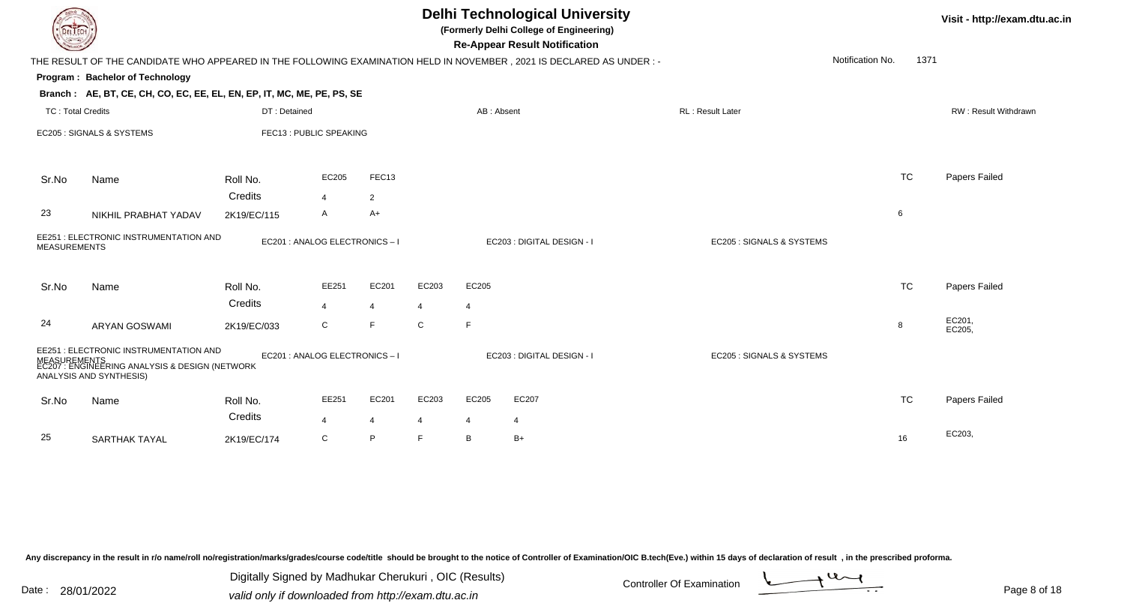| <b>DELTECH</b>           |                                                                                                                                     |                     |                                  |                         | <b>Delhi Technological University</b><br>(Formerly Delhi College of Engineering)<br><b>Re-Appear Result Notification</b> |                         | Visit - http://exam.dtu.ac.in                                                                                       |                           |                  |      |                      |
|--------------------------|-------------------------------------------------------------------------------------------------------------------------------------|---------------------|----------------------------------|-------------------------|--------------------------------------------------------------------------------------------------------------------------|-------------------------|---------------------------------------------------------------------------------------------------------------------|---------------------------|------------------|------|----------------------|
|                          |                                                                                                                                     |                     |                                  |                         |                                                                                                                          |                         | THE RESULT OF THE CANDIDATE WHO APPEARED IN THE FOLLOWING EXAMINATION HELD IN NOVEMBER, 2021 IS DECLARED AS UNDER:- |                           | Notification No. | 1371 |                      |
|                          | Program: Bachelor of Technology                                                                                                     |                     |                                  |                         |                                                                                                                          |                         |                                                                                                                     |                           |                  |      |                      |
|                          | Branch: AE, BT, CE, CH, CO, EC, EE, EL, EN, EP, IT, MC, ME, PE, PS, SE                                                              |                     |                                  |                         |                                                                                                                          |                         |                                                                                                                     |                           |                  |      |                      |
| <b>TC: Total Credits</b> |                                                                                                                                     | DT: Detained        |                                  |                         |                                                                                                                          | AB: Absent              |                                                                                                                     | RL: Result Later          |                  |      | RW: Result Withdrawn |
|                          | EC205 : SIGNALS & SYSTEMS                                                                                                           |                     | FEC13: PUBLIC SPEAKING           |                         |                                                                                                                          |                         |                                                                                                                     |                           |                  |      |                      |
| Sr.No                    | Name                                                                                                                                | Roll No.            | EC205                            | FEC13                   |                                                                                                                          |                         |                                                                                                                     |                           | <b>TC</b>        |      | Papers Failed        |
|                          |                                                                                                                                     | Credits             | $\overline{\mathbf{A}}$          | $\overline{2}$          |                                                                                                                          |                         |                                                                                                                     |                           |                  |      |                      |
| 23                       | NIKHIL PRABHAT YADAV                                                                                                                | 2K19/EC/115         | A                                | $A+$                    |                                                                                                                          |                         |                                                                                                                     |                           | 6                |      |                      |
| <b>MEASUREMENTS</b>      | EE251 : ELECTRONIC INSTRUMENTATION AND                                                                                              |                     | EC201 : ANALOG ELECTRONICS - I   |                         |                                                                                                                          |                         | EC203 : DIGITAL DESIGN - I                                                                                          | EC205 : SIGNALS & SYSTEMS |                  |      |                      |
| Sr.No                    | Name                                                                                                                                | Roll No.            | EE251                            | EC201                   | EC203                                                                                                                    | EC205                   |                                                                                                                     |                           | TC               |      | Papers Failed        |
|                          |                                                                                                                                     | Credits             | $\overline{4}$                   | $\overline{4}$          | $\overline{4}$                                                                                                           | $\overline{4}$          |                                                                                                                     |                           |                  |      |                      |
| 24                       | <b>ARYAN GOSWAMI</b>                                                                                                                | 2K19/EC/033         | C                                | E                       | $\mathsf C$                                                                                                              | E                       |                                                                                                                     |                           | 8                |      | EC201,<br>EC205,     |
|                          | EE251 : ELECTRONIC INSTRUMENTATION AND<br>MEASUREMENTS<br>EC207 : ENGINEERING ANALYSIS & DESIGN (NETWORK<br>ANALYSIS AND SYNTHESIS) |                     | EC201 : ANALOG ELECTRONICS - I   |                         |                                                                                                                          |                         | EC203 : DIGITAL DESIGN - I                                                                                          | EC205 : SIGNALS & SYSTEMS |                  |      |                      |
| Sr.No                    | Name                                                                                                                                | Roll No.<br>Credits | EE251<br>$\overline{\mathbf{A}}$ | EC201<br>$\overline{4}$ | EC203<br>$\overline{4}$                                                                                                  | EC205<br>$\overline{4}$ | EC207<br>4                                                                                                          |                           | <b>TC</b>        |      | Papers Failed        |
| 25                       | SARTHAK TAYAL                                                                                                                       | 2K19/EC/174         | C                                | P                       | E                                                                                                                        | B                       | $B+$                                                                                                                |                           | 16               |      | EC203,               |

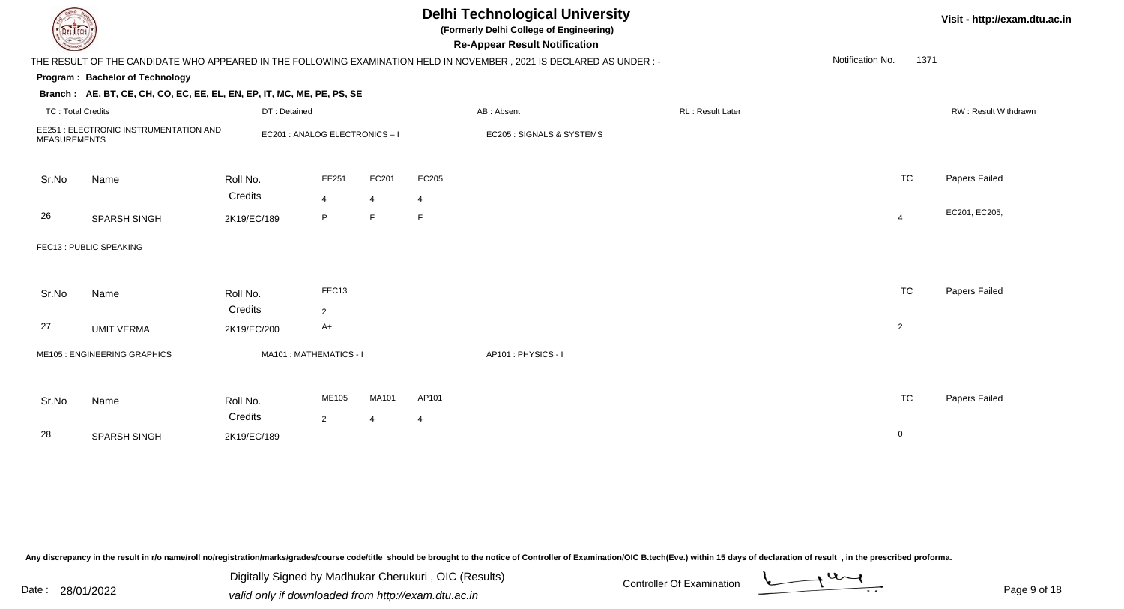| <b>DELTECH</b>                                                |                                                                        |                                |                         |                | <b>Delhi Technological University</b><br>(Formerly Delhi College of Engineering)<br><b>Re-Appear Result Notification</b> |                                                                                                                      | Visit - http://exam.dtu.ac.in |                  |                |                      |
|---------------------------------------------------------------|------------------------------------------------------------------------|--------------------------------|-------------------------|----------------|--------------------------------------------------------------------------------------------------------------------------|----------------------------------------------------------------------------------------------------------------------|-------------------------------|------------------|----------------|----------------------|
|                                                               |                                                                        |                                |                         |                |                                                                                                                          | THE RESULT OF THE CANDIDATE WHO APPEARED IN THE FOLLOWING EXAMINATION HELD IN NOVEMBER, 2021 IS DECLARED AS UNDER :- |                               | Notification No. | 1371           |                      |
|                                                               | Program: Bachelor of Technology                                        |                                |                         |                |                                                                                                                          |                                                                                                                      |                               |                  |                |                      |
|                                                               | Branch: AE, BT, CE, CH, CO, EC, EE, EL, EN, EP, IT, MC, ME, PE, PS, SE |                                |                         |                |                                                                                                                          |                                                                                                                      |                               |                  |                |                      |
| <b>TC: Total Credits</b>                                      |                                                                        | DT: Detained                   |                         |                |                                                                                                                          | AB: Absent                                                                                                           | RL: Result Later              |                  |                | RW: Result Withdrawn |
| EE251 : ELECTRONIC INSTRUMENTATION AND<br><b>MEASUREMENTS</b> |                                                                        | EC201 : ANALOG ELECTRONICS - I |                         |                |                                                                                                                          | EC205 : SIGNALS & SYSTEMS                                                                                            |                               |                  |                |                      |
| Sr.No                                                         | Name                                                                   | Roll No.                       | EE251                   | EC201          | EC205                                                                                                                    |                                                                                                                      |                               |                  | <b>TC</b>      | Papers Failed        |
|                                                               |                                                                        | Credits                        | $\overline{4}$          | $\overline{4}$ | $\overline{4}$                                                                                                           |                                                                                                                      |                               |                  |                |                      |
| 26                                                            | SPARSH SINGH                                                           | 2K19/EC/189                    | P                       | F              | F                                                                                                                        |                                                                                                                      |                               |                  | $\overline{4}$ | EC201, EC205,        |
|                                                               | FEC13: PUBLIC SPEAKING                                                 |                                |                         |                |                                                                                                                          |                                                                                                                      |                               |                  |                |                      |
| Sr.No                                                         | Name                                                                   | Roll No.<br>Credits            | FEC13<br>$\overline{2}$ |                |                                                                                                                          |                                                                                                                      |                               |                  | <b>TC</b>      | Papers Failed        |
| 27                                                            | <b>UMIT VERMA</b>                                                      | 2K19/EC/200                    | $A+$                    |                |                                                                                                                          |                                                                                                                      |                               |                  | $\overline{2}$ |                      |
|                                                               | ME105 : ENGINEERING GRAPHICS                                           | MA101: MATHEMATICS - I         |                         |                |                                                                                                                          | AP101: PHYSICS - I                                                                                                   |                               |                  |                |                      |
| Sr.No                                                         | Name                                                                   | Roll No.<br>Credits            | ME105                   | MA101          | AP101                                                                                                                    |                                                                                                                      |                               |                  | <b>TC</b>      | Papers Failed        |
| 28                                                            | SPARSH SINGH                                                           | 2K19/EC/189                    | $\overline{2}$          | $\overline{4}$ | $\overline{4}$                                                                                                           |                                                                                                                      |                               |                  | $\mathbf 0$    |                      |

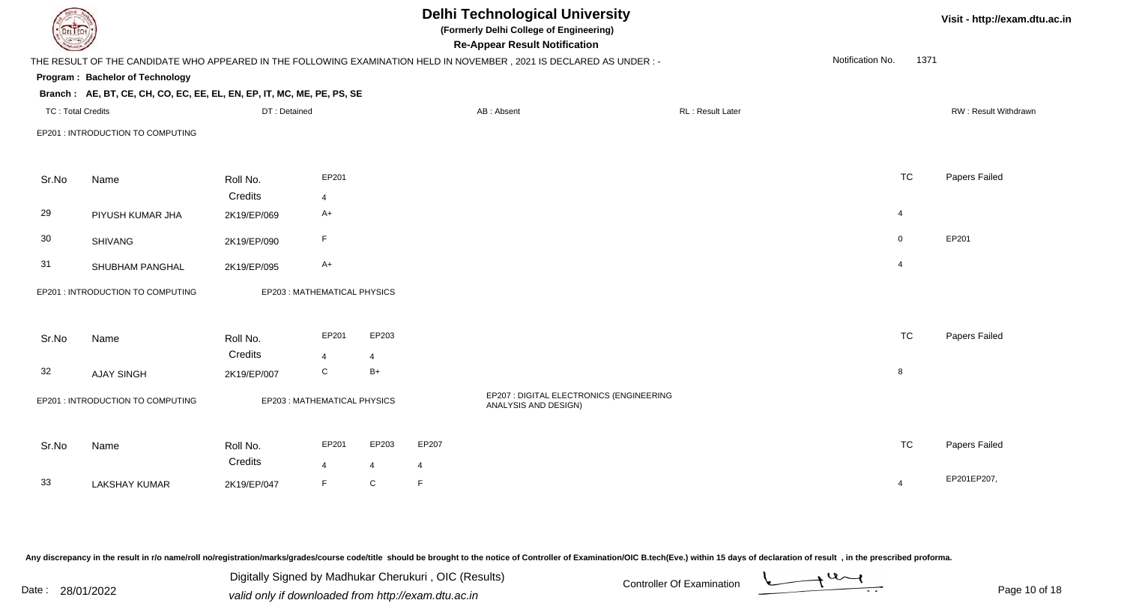| <b>DELTECH</b>           |                                                                        |              |                             |                | <b>Delhi Technological University</b><br>(Formerly Delhi College of Engineering)<br><b>Re-Appear Result Notification</b> |                                                                                                                      |  |                          |  |                  |      | Visit - http://exam.dtu.ac.in |
|--------------------------|------------------------------------------------------------------------|--------------|-----------------------------|----------------|--------------------------------------------------------------------------------------------------------------------------|----------------------------------------------------------------------------------------------------------------------|--|--------------------------|--|------------------|------|-------------------------------|
|                          |                                                                        |              |                             |                |                                                                                                                          | THE RESULT OF THE CANDIDATE WHO APPEARED IN THE FOLLOWING EXAMINATION HELD IN NOVEMBER, 2021 IS DECLARED AS UNDER :- |  |                          |  | Notification No. | 1371 |                               |
|                          | Program: Bachelor of Technology                                        |              |                             |                |                                                                                                                          |                                                                                                                      |  |                          |  |                  |      |                               |
|                          | Branch: AE, BT, CE, CH, CO, EC, EE, EL, EN, EP, IT, MC, ME, PE, PS, SE |              |                             |                |                                                                                                                          |                                                                                                                      |  |                          |  |                  |      |                               |
| <b>TC: Total Credits</b> |                                                                        | DT: Detained |                             |                |                                                                                                                          | AB: Absent                                                                                                           |  | <b>RL</b> : Result Later |  |                  |      | RW: Result Withdrawn          |
|                          | EP201 : INTRODUCTION TO COMPUTING                                      |              |                             |                |                                                                                                                          |                                                                                                                      |  |                          |  |                  |      |                               |
| Sr.No                    | Name                                                                   | Roll No.     | EP201                       |                |                                                                                                                          |                                                                                                                      |  |                          |  | <b>TC</b>        |      | Papers Failed                 |
|                          |                                                                        | Credits      | $\overline{4}$              |                |                                                                                                                          |                                                                                                                      |  |                          |  |                  |      |                               |
| 29                       | PIYUSH KUMAR JHA                                                       | 2K19/EP/069  | $A+$                        |                |                                                                                                                          |                                                                                                                      |  |                          |  | 4                |      |                               |
| 30                       | <b>SHIVANG</b>                                                         | 2K19/EP/090  | $\mathsf F$                 |                |                                                                                                                          |                                                                                                                      |  |                          |  | $\mathbf 0$      |      | EP201                         |
| 31                       | SHUBHAM PANGHAL                                                        | 2K19/EP/095  | $A+$                        |                |                                                                                                                          |                                                                                                                      |  |                          |  | $\overline{4}$   |      |                               |
|                          | EP201 : INTRODUCTION TO COMPUTING                                      |              | EP203: MATHEMATICAL PHYSICS |                |                                                                                                                          |                                                                                                                      |  |                          |  |                  |      |                               |
| Sr.No                    | Name                                                                   | Roll No.     | EP201                       | EP203          |                                                                                                                          |                                                                                                                      |  |                          |  | <b>TC</b>        |      | Papers Failed                 |
|                          |                                                                        | Credits      | $\overline{4}$              | 4              |                                                                                                                          |                                                                                                                      |  |                          |  |                  |      |                               |
| 32                       | <b>AJAY SINGH</b>                                                      | 2K19/EP/007  | ${\bf C}$                   | $B+$           |                                                                                                                          |                                                                                                                      |  |                          |  | 8                |      |                               |
|                          | EP201 : INTRODUCTION TO COMPUTING                                      |              | EP203: MATHEMATICAL PHYSICS |                |                                                                                                                          | EP207 : DIGITAL ELECTRONICS (ENGINEERING<br>ANALYSIS AND DESIGN)                                                     |  |                          |  |                  |      |                               |
| Sr.No                    | Name                                                                   | Roll No.     | EP201                       | EP203          | EP207                                                                                                                    |                                                                                                                      |  |                          |  | <b>TC</b>        |      | Papers Failed                 |
|                          |                                                                        | Credits      | $\overline{4}$              | $\overline{4}$ | $\overline{4}$                                                                                                           |                                                                                                                      |  |                          |  |                  |      |                               |
| 33                       | <b>LAKSHAY KUMAR</b>                                                   | 2K19/EP/047  | F                           | C              | F                                                                                                                        |                                                                                                                      |  |                          |  | $\overline{4}$   |      | EP201EP207,                   |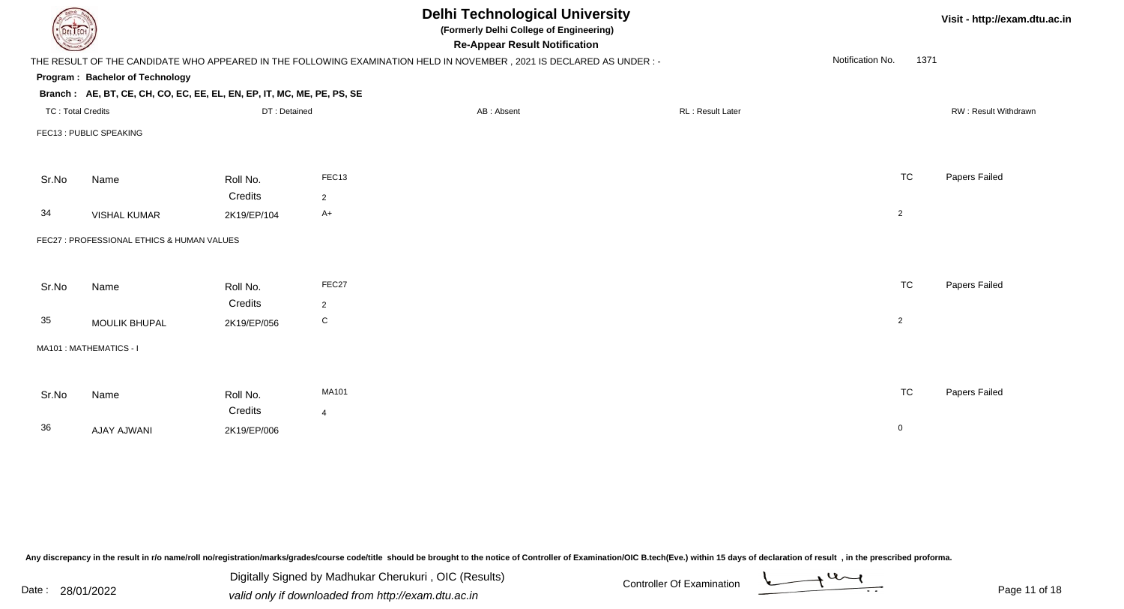| DEL TECH                 |                                                                        |                        |                  | <b>Delhi Technological University</b><br>(Formerly Delhi College of Engineering)<br><b>Re-Appear Result Notification</b> |                  |                          | Visit - http://exam.dtu.ac.in |
|--------------------------|------------------------------------------------------------------------|------------------------|------------------|--------------------------------------------------------------------------------------------------------------------------|------------------|--------------------------|-------------------------------|
|                          |                                                                        |                        |                  | THE RESULT OF THE CANDIDATE WHO APPEARED IN THE FOLLOWING EXAMINATION HELD IN NOVEMBER, 2021 IS DECLARED AS UNDER :-     |                  | Notification No.<br>1371 |                               |
|                          | <b>Program: Bachelor of Technology</b>                                 |                        |                  |                                                                                                                          |                  |                          |                               |
|                          | Branch: AE, BT, CE, CH, CO, EC, EE, EL, EN, EP, IT, MC, ME, PE, PS, SE |                        |                  |                                                                                                                          |                  |                          |                               |
| <b>TC: Total Credits</b> |                                                                        | DT: Detained           |                  | AB: Absent                                                                                                               | RL: Result Later |                          | RW: Result Withdrawn          |
|                          | FEC13 : PUBLIC SPEAKING                                                |                        |                  |                                                                                                                          |                  |                          |                               |
| Sr.No                    | Name                                                                   | Roll No.               | FEC13            |                                                                                                                          |                  | <b>TC</b>                | Papers Failed                 |
|                          |                                                                        | Credits                | $\overline{2}$   |                                                                                                                          |                  |                          |                               |
| 34                       | <b>VISHAL KUMAR</b>                                                    | 2K19/EP/104            | $A+$             |                                                                                                                          |                  | $\overline{c}$           |                               |
|                          | FEC27 : PROFESSIONAL ETHICS & HUMAN VALUES                             |                        |                  |                                                                                                                          |                  |                          |                               |
| Sr.No                    | Name                                                                   | Roll No.               | FEC27            |                                                                                                                          |                  | <b>TC</b>                | Papers Failed                 |
| 35                       | MOULIK BHUPAL                                                          | Credits<br>2K19/EP/056 | 2<br>$\mathbf C$ |                                                                                                                          |                  | $\overline{2}$           |                               |
|                          | MA101 : MATHEMATICS - I                                                |                        |                  |                                                                                                                          |                  |                          |                               |
|                          |                                                                        |                        | MA101            |                                                                                                                          |                  | <b>TC</b>                | Papers Failed                 |
| Sr.No                    | Name                                                                   | Roll No.               |                  |                                                                                                                          |                  |                          |                               |
|                          |                                                                        | Credits                | $\overline{4}$   |                                                                                                                          |                  |                          |                               |
| 36                       | AJAY AJWANI                                                            | 2K19/EP/006            |                  |                                                                                                                          |                  | $\mathbf 0$              |                               |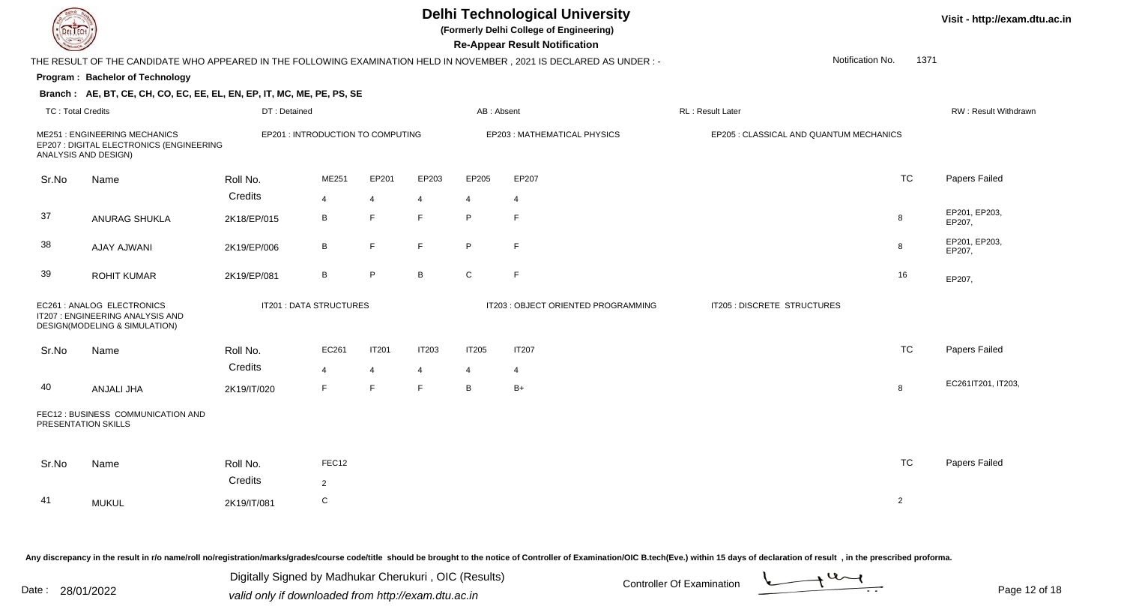

**(Formerly Delhi College of Engineering)**

**Visit - http://exam.dtu.ac.in**

|                          |                                                                                                   |              |                                   |                |                |                | <b>Re-Appear Result Notification</b>                                                                                 |                                         |              |                             |
|--------------------------|---------------------------------------------------------------------------------------------------|--------------|-----------------------------------|----------------|----------------|----------------|----------------------------------------------------------------------------------------------------------------------|-----------------------------------------|--------------|-----------------------------|
|                          |                                                                                                   |              |                                   |                |                |                | THE RESULT OF THE CANDIDATE WHO APPEARED IN THE FOLLOWING EXAMINATION HELD IN NOVEMBER, 2021 IS DECLARED AS UNDER :- | Notification No.                        | 1371         |                             |
|                          | Program: Bachelor of Technology                                                                   |              |                                   |                |                |                |                                                                                                                      |                                         |              |                             |
|                          | Branch: AE, BT, CE, CH, CO, EC, EE, EL, EN, EP, IT, MC, ME, PE, PS, SE                            |              |                                   |                |                |                |                                                                                                                      |                                         |              |                             |
| <b>TC: Total Credits</b> |                                                                                                   | DT: Detained |                                   |                |                | AB: Absent     |                                                                                                                      | RL: Result Later                        |              | <b>RW: Result Withdrawr</b> |
|                          | ME251 : ENGINEERING MECHANICS<br>EP207 : DIGITAL ELECTRONICS (ENGINEERING<br>ANALYSIS AND DESIGN) |              | EP201 : INTRODUCTION TO COMPUTING |                |                |                | EP203 : MATHEMATICAL PHYSICS                                                                                         | EP205 : CLASSICAL AND QUANTUM MECHANICS |              |                             |
| Sr.No                    | Name                                                                                              | Roll No.     | ME251                             | EP201          | EP203          | EP205          | EP207                                                                                                                |                                         | <b>TC</b>    | Papers Failed               |
|                          |                                                                                                   | Credits      | $\overline{4}$                    | 4              | 4              | $\overline{4}$ | 4                                                                                                                    |                                         |              |                             |
| 37                       | <b>ANURAG SHUKLA</b>                                                                              | 2K18/EP/015  | B                                 | E              | E              | P              | E                                                                                                                    |                                         | 8            | EP201, EP203,<br>EP207,     |
| 38                       | <b>AJAY AJWANI</b>                                                                                | 2K19/EP/006  | В                                 | E              | F.             | $\sf P$        | F                                                                                                                    |                                         | 8            | EP201, EP203,<br>EP207,     |
| 39                       | <b>ROHIT KUMAR</b>                                                                                | 2K19/EP/081  | B                                 | P              | B              | $\mathbf C$    | F                                                                                                                    |                                         | 16           | EP207,                      |
|                          | EC261 : ANALOG ELECTRONICS<br>IT207 : ENGINEERING ANALYSIS AND<br>DESIGN(MODELING & SIMULATION)   |              | IT201 : DATA STRUCTURES           |                |                |                | IT203 : OBJECT ORIENTED PROGRAMMING                                                                                  | IT205 : DISCRETE STRUCTURES             |              |                             |
| Sr.No                    | Name                                                                                              | Roll No.     | EC261                             | <b>IT201</b>   | <b>IT203</b>   | IT205          | IT207                                                                                                                |                                         | <b>TC</b>    | Papers Failed               |
|                          |                                                                                                   | Credits      | $\overline{4}$                    | $\overline{4}$ | $\overline{4}$ | $\overline{4}$ | $\overline{4}$                                                                                                       |                                         |              |                             |
| 40                       | ANJALI JHA                                                                                        | 2K19/IT/020  | F.                                | E              | F              | В              | $B+$                                                                                                                 |                                         | 8            | EC261IT201, IT203,          |
|                          | FEC12 : BUSINESS COMMUNICATION AND<br>PRESENTATION SKILLS                                         |              |                                   |                |                |                |                                                                                                                      |                                         |              |                             |
| Sr.No                    | Name                                                                                              | Roll No.     | FEC12                             |                |                |                |                                                                                                                      |                                         | <b>TC</b>    | Papers Failed               |
|                          |                                                                                                   | Credits      | $\overline{2}$                    |                |                |                |                                                                                                                      |                                         |              |                             |
| 41                       | <b>MUKUL</b>                                                                                      | 2K19/IT/081  | $\mathsf C$                       |                |                |                |                                                                                                                      |                                         | $\mathbf{2}$ |                             |

Any discrepancy in the result in r/o name/roll no/registration/marks/grades/course code/title should be brought to the notice of Controller of Examination/OIC B.tech(Eve.) within 15 days of declaration of result, in the pr

| Date : | 28/01/2022 |
|--------|------------|
|--------|------------|

Date : 28/01/2022 Valid only if downloaded from http://exam.dtu.ac.in<br>
Date : 28/01/2022 valid only if downloaded from http://exam.dtu.ac.in Digitally Signed by Madhukar Cherukuri , OIC (Results)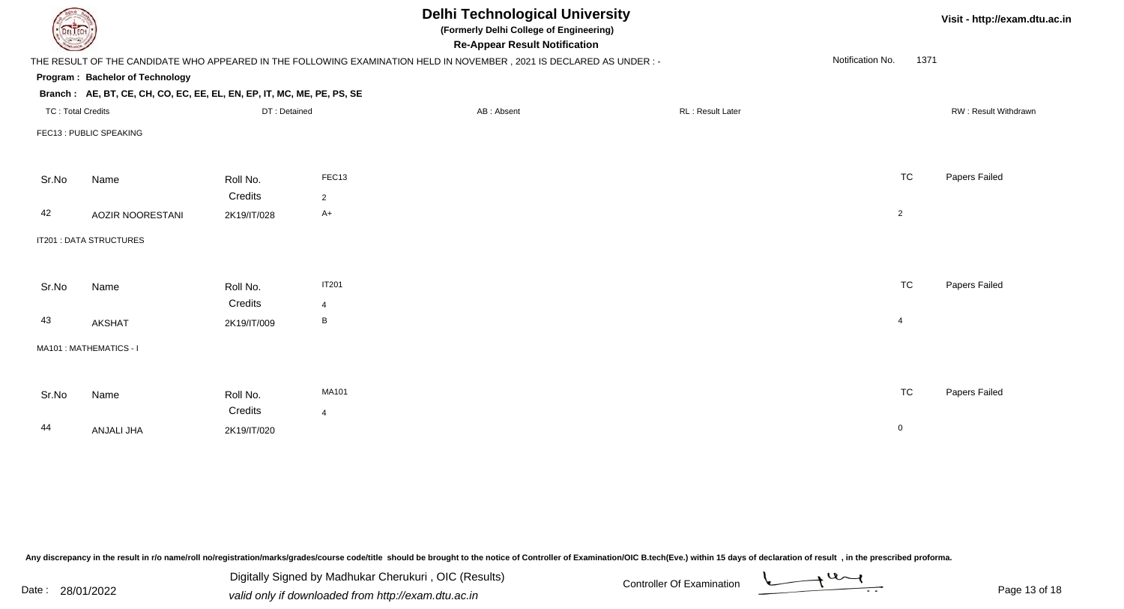| DEL TECH                 |                                                                        |              |                | <b>Delhi Technological University</b><br>(Formerly Delhi College of Engineering)<br><b>Re-Appear Result Notification</b> |                  |                          | Visit - http://exam.dtu.ac.in |
|--------------------------|------------------------------------------------------------------------|--------------|----------------|--------------------------------------------------------------------------------------------------------------------------|------------------|--------------------------|-------------------------------|
|                          |                                                                        |              |                | THE RESULT OF THE CANDIDATE WHO APPEARED IN THE FOLLOWING EXAMINATION HELD IN NOVEMBER, 2021 IS DECLARED AS UNDER :-     |                  | Notification No.<br>1371 |                               |
|                          | Program: Bachelor of Technology                                        |              |                |                                                                                                                          |                  |                          |                               |
|                          | Branch: AE, BT, CE, CH, CO, EC, EE, EL, EN, EP, IT, MC, ME, PE, PS, SE |              |                |                                                                                                                          |                  |                          |                               |
| <b>TC: Total Credits</b> |                                                                        | DT: Detained |                | AB: Absent                                                                                                               | RL: Result Later |                          | RW: Result Withdrawn          |
|                          | FEC13 : PUBLIC SPEAKING                                                |              |                |                                                                                                                          |                  |                          |                               |
|                          |                                                                        |              |                |                                                                                                                          |                  |                          |                               |
| Sr.No                    | Name                                                                   | Roll No.     | FEC13          |                                                                                                                          |                  | <b>TC</b>                | Papers Failed                 |
|                          |                                                                        | Credits      | $\overline{2}$ |                                                                                                                          |                  |                          |                               |
| 42                       | AOZIR NOORESTANI                                                       | 2K19/IT/028  | $A+$           |                                                                                                                          |                  | $\overline{2}$           |                               |
|                          | IT201 : DATA STRUCTURES                                                |              |                |                                                                                                                          |                  |                          |                               |
|                          |                                                                        |              |                |                                                                                                                          |                  |                          |                               |
| Sr.No                    | Name                                                                   | Roll No.     | <b>IT201</b>   |                                                                                                                          |                  | <b>TC</b>                | Papers Failed                 |
|                          |                                                                        | Credits      | $\overline{4}$ |                                                                                                                          |                  |                          |                               |
| 43                       | <b>AKSHAT</b>                                                          | 2K19/IT/009  | B              |                                                                                                                          |                  | $\overline{4}$           |                               |
|                          | MA101: MATHEMATICS - I                                                 |              |                |                                                                                                                          |                  |                          |                               |
|                          |                                                                        |              |                |                                                                                                                          |                  |                          |                               |
| Sr.No                    | Name                                                                   | Roll No.     | MA101          |                                                                                                                          |                  | <b>TC</b>                | Papers Failed                 |
|                          |                                                                        | Credits      | $\overline{4}$ |                                                                                                                          |                  |                          |                               |
| 44                       | ANJALI JHA                                                             | 2K19/IT/020  |                |                                                                                                                          |                  | $\mathbf 0$              |                               |
|                          |                                                                        |              |                |                                                                                                                          |                  |                          |                               |

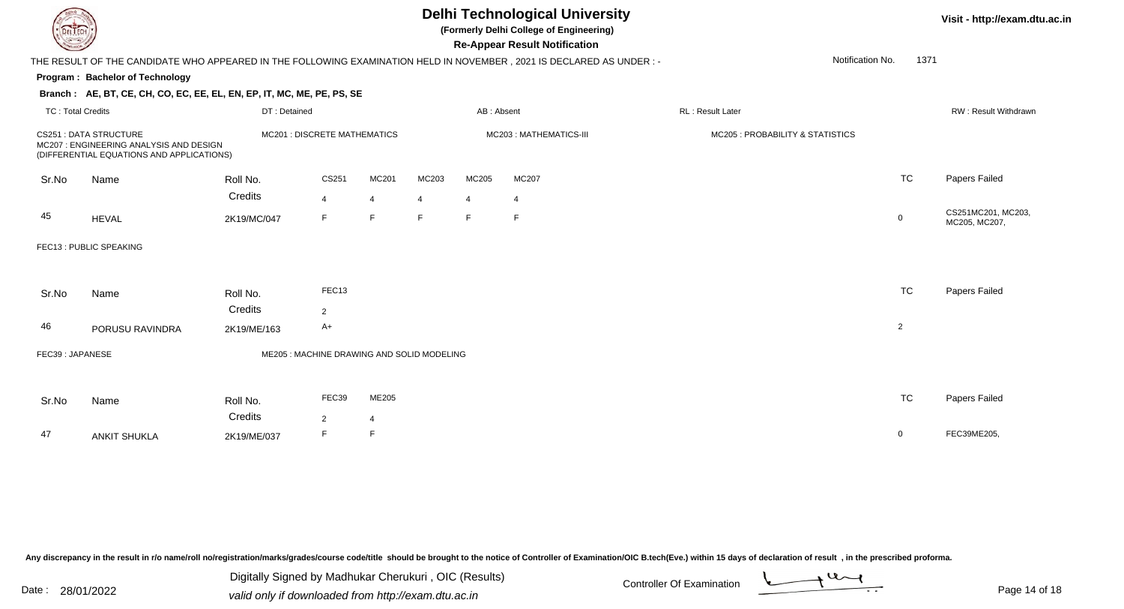

**(Formerly Delhi College of Engineering)**

**Visit - http://exam.dtu.ac.in**

| <b>Courses of The Designation of the Courses of The Designation of the Courses of The Designation of the United States of The United States of The United States and States of The United States and States and States and State</b> |                                                                                                                       |                                                                                                                        |                                            |                |       |                | <b>Re-Appear Result Notification</b> |  |                                  |                  |                |                                     |
|--------------------------------------------------------------------------------------------------------------------------------------------------------------------------------------------------------------------------------------|-----------------------------------------------------------------------------------------------------------------------|------------------------------------------------------------------------------------------------------------------------|--------------------------------------------|----------------|-------|----------------|--------------------------------------|--|----------------------------------|------------------|----------------|-------------------------------------|
|                                                                                                                                                                                                                                      |                                                                                                                       | THE RESULT OF THE CANDIDATE WHO APPEARED IN THE FOLLOWING EXAMINATION HELD IN NOVEMBER , 2021 IS DECLARED AS UNDER : - |                                            |                |       |                |                                      |  |                                  | Notification No. | 1371           |                                     |
|                                                                                                                                                                                                                                      | <b>Program: Bachelor of Technology</b>                                                                                |                                                                                                                        |                                            |                |       |                |                                      |  |                                  |                  |                |                                     |
|                                                                                                                                                                                                                                      | Branch: AE, BT, CE, CH, CO, EC, EE, EL, EN, EP, IT, MC, ME, PE, PS, SE                                                |                                                                                                                        |                                            |                |       |                |                                      |  |                                  |                  |                |                                     |
| <b>TC: Total Credits</b>                                                                                                                                                                                                             |                                                                                                                       | DT: Detained                                                                                                           |                                            |                |       | AB: Absent     |                                      |  | RL : Result Later                |                  |                | <b>RW: Result Withdrawn</b>         |
|                                                                                                                                                                                                                                      | <b>CS251 : DATA STRUCTURE</b><br>MC207 : ENGINEERING ANALYSIS AND DESIGN<br>(DIFFERENTIAL EQUATIONS AND APPLICATIONS) |                                                                                                                        | <b>MC201 : DISCRETE MATHEMATICS</b>        |                |       |                | MC203: MATHEMATICS-III               |  | MC205 : PROBABILITY & STATISTICS |                  |                |                                     |
| Sr.No                                                                                                                                                                                                                                | Name                                                                                                                  | Roll No.                                                                                                               | CS251                                      | MC201          | MC203 | MC205          | MC207                                |  |                                  |                  | <b>TC</b>      | Papers Failed                       |
|                                                                                                                                                                                                                                      |                                                                                                                       | Credits                                                                                                                | $\overline{4}$                             | $\overline{4}$ | 4     | $\overline{4}$ | 4                                    |  |                                  |                  |                |                                     |
| 45                                                                                                                                                                                                                                   | <b>HEVAL</b>                                                                                                          | 2K19/MC/047                                                                                                            | F                                          | F              | E     | F.             | F                                    |  |                                  |                  | $\mathbf 0$    | CS251MC201, MC203,<br>MC205, MC207, |
|                                                                                                                                                                                                                                      | FEC13 : PUBLIC SPEAKING                                                                                               |                                                                                                                        |                                            |                |       |                |                                      |  |                                  |                  |                |                                     |
|                                                                                                                                                                                                                                      |                                                                                                                       |                                                                                                                        |                                            |                |       |                |                                      |  |                                  |                  |                |                                     |
| Sr.No                                                                                                                                                                                                                                | Name                                                                                                                  | Roll No.                                                                                                               | FEC13                                      |                |       |                |                                      |  |                                  |                  | <b>TC</b>      | Papers Failed                       |
|                                                                                                                                                                                                                                      |                                                                                                                       | Credits                                                                                                                | $\overline{2}$                             |                |       |                |                                      |  |                                  |                  |                |                                     |
| 46                                                                                                                                                                                                                                   | PORUSU RAVINDRA                                                                                                       | 2K19/ME/163                                                                                                            | A+                                         |                |       |                |                                      |  |                                  |                  | $\overline{c}$ |                                     |
| FEC39: JAPANESE                                                                                                                                                                                                                      |                                                                                                                       |                                                                                                                        | ME205 : MACHINE DRAWING AND SOLID MODELING |                |       |                |                                      |  |                                  |                  |                |                                     |
| Sr.No                                                                                                                                                                                                                                | Name                                                                                                                  | Roll No.                                                                                                               | FEC39                                      | ME205          |       |                |                                      |  |                                  |                  | <b>TC</b>      | Papers Failed                       |
|                                                                                                                                                                                                                                      |                                                                                                                       | Credits                                                                                                                | 2                                          | 4              |       |                |                                      |  |                                  |                  |                |                                     |
| 47                                                                                                                                                                                                                                   | <b>ANKIT SHUKLA</b>                                                                                                   | 2K19/ME/037                                                                                                            | F                                          | F              |       |                |                                      |  |                                  |                  | 0              | FEC39ME205,                         |
|                                                                                                                                                                                                                                      |                                                                                                                       |                                                                                                                        |                                            |                |       |                |                                      |  |                                  |                  |                |                                     |

Any discrepancy in the result in r/o name/roll no/registration/marks/grades/course code/title should be brought to the notice of Controller of Examination/OIC B.tech(Eve.) within 15 days of declaration of result, in the pr

Date : 28/01/2022 Valid only if downloaded from http://exam.dtu.ac.in<br>
Date : 28/01/2022 valid only if downloaded from http://exam.dtu.ac.in Digitally Signed by Madhukar Cherukuri , OIC (Results)

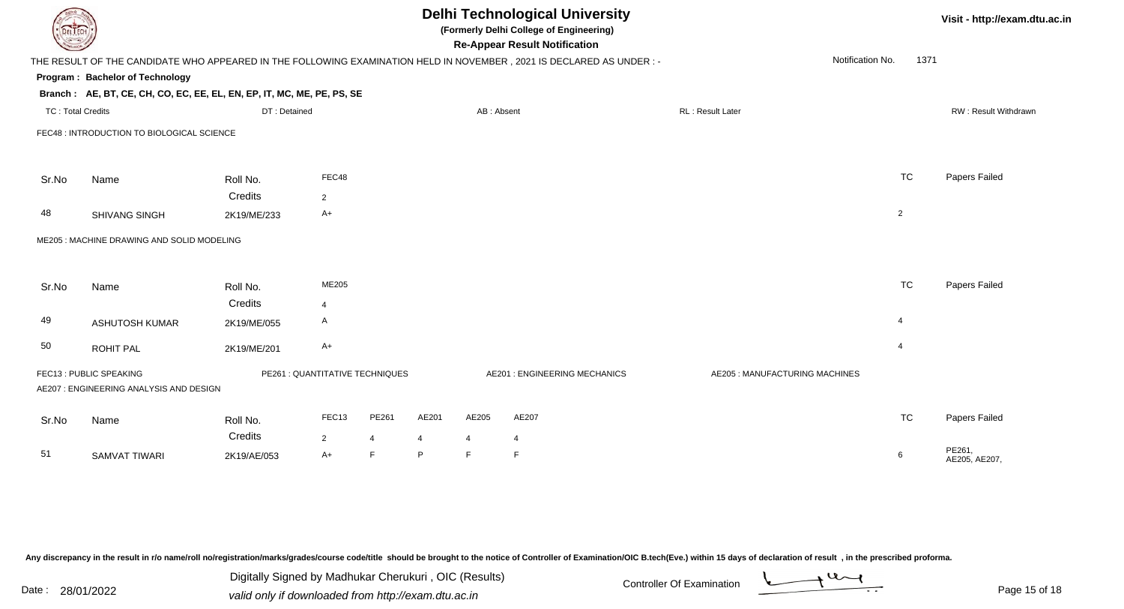| EL ECH                                                                                                                                           |                                                                        |                        |                                 |                      |         |                                | <b>Delhi Technological University</b><br>(Formerly Delhi College of Engineering)<br><b>Re-Appear Result Notification</b> |                                |                |           | Visit - http://exam.dtu.ac.in |  |
|--------------------------------------------------------------------------------------------------------------------------------------------------|------------------------------------------------------------------------|------------------------|---------------------------------|----------------------|---------|--------------------------------|--------------------------------------------------------------------------------------------------------------------------|--------------------------------|----------------|-----------|-------------------------------|--|
| Notification No.<br>1371<br>THE RESULT OF THE CANDIDATE WHO APPEARED IN THE FOLLOWING EXAMINATION HELD IN NOVEMBER, 2021 IS DECLARED AS UNDER :- |                                                                        |                        |                                 |                      |         |                                |                                                                                                                          |                                |                |           |                               |  |
|                                                                                                                                                  | <b>Program: Bachelor of Technology</b>                                 |                        |                                 |                      |         |                                |                                                                                                                          |                                |                |           |                               |  |
|                                                                                                                                                  | Branch: AE, BT, CE, CH, CO, EC, EE, EL, EN, EP, IT, MC, ME, PE, PS, SE |                        |                                 |                      |         |                                |                                                                                                                          |                                |                |           |                               |  |
| <b>TC: Total Credits</b>                                                                                                                         |                                                                        | DT: Detained           |                                 |                      |         | AB: Absent                     |                                                                                                                          | RL: Result Later               |                |           | RW: Result Withdrawn          |  |
|                                                                                                                                                  | FEC48 : INTRODUCTION TO BIOLOGICAL SCIENCE                             |                        |                                 |                      |         |                                |                                                                                                                          |                                |                |           |                               |  |
| Sr.No                                                                                                                                            | Name                                                                   | Roll No.               | FEC48                           |                      |         |                                |                                                                                                                          |                                |                | <b>TC</b> | Papers Failed                 |  |
|                                                                                                                                                  |                                                                        | Credits                | $\overline{2}$                  |                      |         |                                |                                                                                                                          |                                |                |           |                               |  |
| 48                                                                                                                                               | SHIVANG SINGH                                                          | 2K19/ME/233            | $A+$                            |                      |         |                                |                                                                                                                          |                                | $\overline{2}$ |           |                               |  |
|                                                                                                                                                  | ME205 : MACHINE DRAWING AND SOLID MODELING                             |                        |                                 |                      |         |                                |                                                                                                                          |                                |                |           |                               |  |
| Sr.No                                                                                                                                            | Name                                                                   | Roll No.               | ME205                           |                      |         |                                |                                                                                                                          |                                |                | <b>TC</b> | Papers Failed                 |  |
|                                                                                                                                                  |                                                                        | Credits                | $\overline{4}$                  |                      |         |                                |                                                                                                                          |                                |                |           |                               |  |
| 49                                                                                                                                               | <b>ASHUTOSH KUMAR</b>                                                  | 2K19/ME/055            | A                               |                      |         |                                |                                                                                                                          |                                | $\overline{4}$ |           |                               |  |
| 50                                                                                                                                               | ROHIT PAL                                                              | 2K19/ME/201            | $A+$                            |                      |         |                                |                                                                                                                          |                                | $\overline{4}$ |           |                               |  |
|                                                                                                                                                  | FEC13 : PUBLIC SPEAKING<br>AE207: ENGINEERING ANALYSIS AND DESIGN      |                        | PE261 : QUANTITATIVE TECHNIQUES |                      |         |                                | AE201 : ENGINEERING MECHANICS                                                                                            | AE205 : MANUFACTURING MACHINES |                |           |                               |  |
| Sr.No                                                                                                                                            | Name                                                                   | Roll No.               | FEC13                           | PE261                | AE201   | AE205                          | AE207                                                                                                                    |                                |                | <b>TC</b> | Papers Failed                 |  |
| 51                                                                                                                                               | <b>SAMVAT TIWARI</b>                                                   | Credits<br>2K19/AE/053 | $\overline{2}$<br>$A+$          | $\overline{4}$<br>F. | 4<br>P. | $\overline{4}$<br>$\mathsf{F}$ | 4                                                                                                                        |                                | 6              |           | PE261,<br>AE205, AE207,       |  |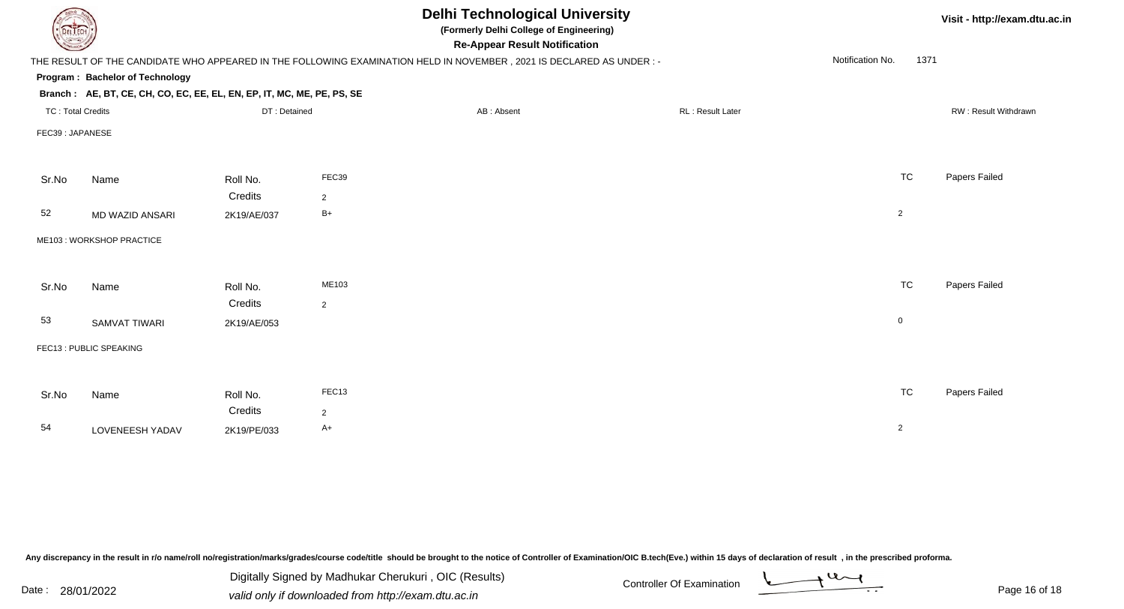| <b>DELTECH</b>           |                                                                        |              |                | <b>Delhi Technological University</b><br>(Formerly Delhi College of Engineering)<br><b>Re-Appear Result Notification</b> |                  |                          | Visit - http://exam.dtu.ac.in |
|--------------------------|------------------------------------------------------------------------|--------------|----------------|--------------------------------------------------------------------------------------------------------------------------|------------------|--------------------------|-------------------------------|
|                          |                                                                        |              |                | THE RESULT OF THE CANDIDATE WHO APPEARED IN THE FOLLOWING EXAMINATION HELD IN NOVEMBER, 2021 IS DECLARED AS UNDER :-     |                  | Notification No.<br>1371 |                               |
|                          | Program: Bachelor of Technology                                        |              |                |                                                                                                                          |                  |                          |                               |
|                          | Branch: AE, BT, CE, CH, CO, EC, EE, EL, EN, EP, IT, MC, ME, PE, PS, SE |              |                |                                                                                                                          |                  |                          |                               |
| <b>TC: Total Credits</b> |                                                                        | DT: Detained |                | AB: Absent                                                                                                               | RL: Result Later |                          | RW: Result Withdrawn          |
| FEC39: JAPANESE          |                                                                        |              |                |                                                                                                                          |                  |                          |                               |
|                          |                                                                        |              |                |                                                                                                                          |                  |                          |                               |
| Sr.No                    | Name                                                                   | Roll No.     | FEC39          |                                                                                                                          |                  | <b>TC</b>                | Papers Failed                 |
|                          |                                                                        | Credits      | 2              |                                                                                                                          |                  |                          |                               |
| 52                       | MD WAZID ANSARI                                                        | 2K19/AE/037  | $B+$           |                                                                                                                          |                  | $\overline{2}$           |                               |
|                          | ME103: WORKSHOP PRACTICE                                               |              |                |                                                                                                                          |                  |                          |                               |
|                          |                                                                        |              |                |                                                                                                                          |                  |                          |                               |
| Sr.No                    | Name                                                                   | Roll No.     | ME103          |                                                                                                                          |                  | <b>TC</b>                | Papers Failed                 |
|                          |                                                                        | Credits      | $\overline{2}$ |                                                                                                                          |                  |                          |                               |
| 53                       | <b>SAMVAT TIWARI</b>                                                   | 2K19/AE/053  |                |                                                                                                                          |                  | $\mathsf 0$              |                               |
|                          | FEC13: PUBLIC SPEAKING                                                 |              |                |                                                                                                                          |                  |                          |                               |
|                          |                                                                        |              |                |                                                                                                                          |                  |                          |                               |
| Sr.No                    | Name                                                                   | Roll No.     | FEC13          |                                                                                                                          |                  | <b>TC</b>                | Papers Failed                 |
|                          |                                                                        | Credits      | $\overline{2}$ |                                                                                                                          |                  |                          |                               |
| 54                       | LOVENEESH YADAV                                                        | 2K19/PE/033  | $A+$           |                                                                                                                          |                  | $\overline{2}$           |                               |
|                          |                                                                        |              |                |                                                                                                                          |                  |                          |                               |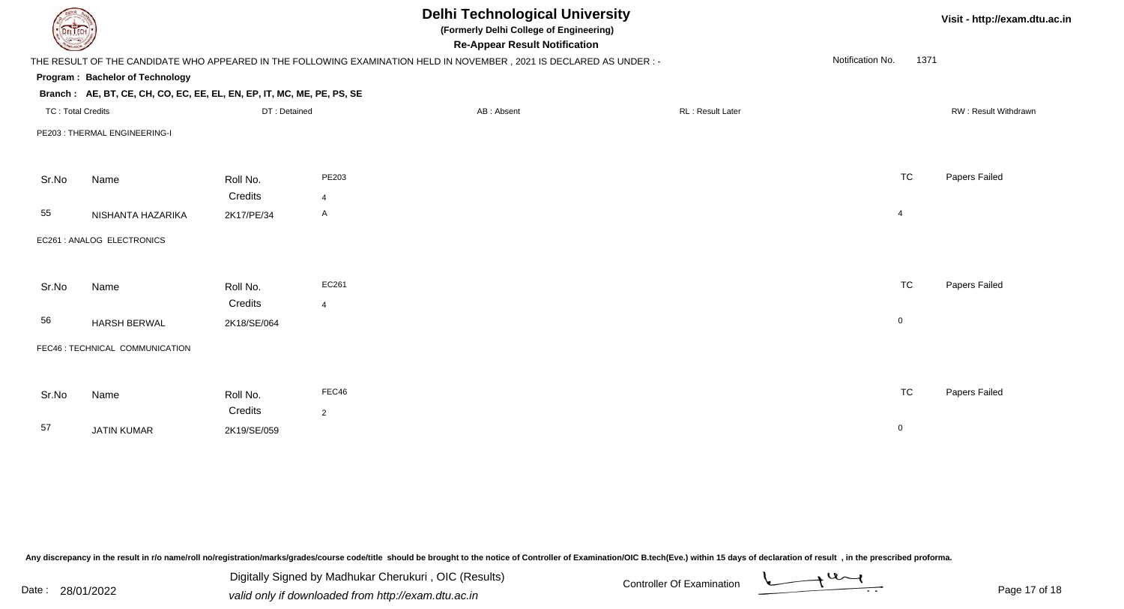| DEL TECH                 |                                                                        |              |                | <b>Delhi Technological University</b><br>(Formerly Delhi College of Engineering)<br><b>Re-Appear Result Notification</b> |                  |                          | Visit - http://exam.dtu.ac.in |
|--------------------------|------------------------------------------------------------------------|--------------|----------------|--------------------------------------------------------------------------------------------------------------------------|------------------|--------------------------|-------------------------------|
|                          |                                                                        |              |                | THE RESULT OF THE CANDIDATE WHO APPEARED IN THE FOLLOWING EXAMINATION HELD IN NOVEMBER, 2021 IS DECLARED AS UNDER :-     |                  | Notification No.<br>1371 |                               |
|                          | Program: Bachelor of Technology                                        |              |                |                                                                                                                          |                  |                          |                               |
|                          | Branch: AE, BT, CE, CH, CO, EC, EE, EL, EN, EP, IT, MC, ME, PE, PS, SE |              |                |                                                                                                                          |                  |                          |                               |
| <b>TC: Total Credits</b> |                                                                        | DT: Detained |                | AB: Absent                                                                                                               | RL: Result Later |                          | RW: Result Withdrawn          |
|                          | PE203: THERMAL ENGINEERING-I                                           |              |                |                                                                                                                          |                  |                          |                               |
|                          |                                                                        |              |                |                                                                                                                          |                  |                          |                               |
| Sr.No                    | Name                                                                   | Roll No.     | PE203          |                                                                                                                          |                  | <b>TC</b>                | Papers Failed                 |
|                          |                                                                        | Credits      | $\overline{4}$ |                                                                                                                          |                  |                          |                               |
| 55                       | NISHANTA HAZARIKA                                                      | 2K17/PE/34   | A              |                                                                                                                          |                  | $\overline{4}$           |                               |
|                          | EC261 : ANALOG ELECTRONICS                                             |              |                |                                                                                                                          |                  |                          |                               |
|                          |                                                                        |              |                |                                                                                                                          |                  |                          |                               |
| Sr.No                    | Name                                                                   | Roll No.     | EC261          |                                                                                                                          |                  | <b>TC</b>                | Papers Failed                 |
|                          |                                                                        | Credits      | $\overline{4}$ |                                                                                                                          |                  |                          |                               |
| 56                       | <b>HARSH BERWAL</b>                                                    | 2K18/SE/064  |                |                                                                                                                          |                  | $\mathbf 0$              |                               |
|                          | FEC46 : TECHNICAL COMMUNICATION                                        |              |                |                                                                                                                          |                  |                          |                               |
|                          |                                                                        |              |                |                                                                                                                          |                  |                          |                               |
| Sr.No                    | Name                                                                   | Roll No.     | FEC46          |                                                                                                                          |                  | <b>TC</b>                | Papers Failed                 |
|                          |                                                                        | Credits      | $\overline{2}$ |                                                                                                                          |                  |                          |                               |
| 57                       | <b>JATIN KUMAR</b>                                                     | 2K19/SE/059  |                |                                                                                                                          |                  | $\overline{0}$           |                               |
|                          |                                                                        |              |                |                                                                                                                          |                  |                          |                               |